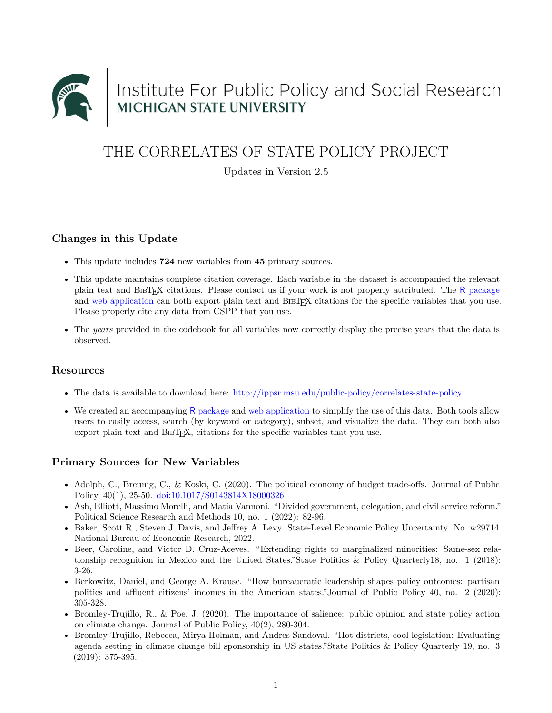

# Institute For Public Policy and Social Research<br>MICHIGAN STATE UNIVERSITY

# THE CORRELATES OF STATE POLICY PROJECT

Updates in Version 2.5

#### **Changes in this Update**

- This update includes **724** new variables from **45** primary sources.
- This update maintains complete citation coverage. Each variable in the dataset is accompanied the relevant plain text and BIBTEX citations. Please contact us if your work is not properly attributed. The R [package](https://github.com/correlatesstatepolicy/cspp) and [web application](https://cspp.ippsr.msu.edu/cspp/) can both export plain text and BIBT<sub>EX</sub> citations for the specific variables that you use. Please properly cite any data from CSPP that you use.
- The *years* provided in the codebook for all variables now correctly display the precise years that the data is observed.

#### **Resources**

- The data is available to download here: <http://ippsr.msu.edu/public-policy/correlates-state-policy>
- We created an accompanying R [package](https://github.com/correlatesstatepolicy/cspp) and [web application](https://cspp.ippsr.msu.edu/cspp/) to simplify the use of this data. Both tools allow users to easily access, search (by keyword or category), subset, and visualize the data. They can both also export plain text and BIBTEX, citations for the specific variables that you use.

## **Primary Sources for New Variables**

- Adolph, C., Breunig, C., & Koski, C. (2020). The political economy of budget trade-offs. Journal of Public Policy, 40(1), 25-50. <doi:10.1017/S0143814X18000326>
- Ash, Elliott, Massimo Morelli, and Matia Vannoni. "Divided government, delegation, and civil service reform." Political Science Research and Methods 10, no. 1 (2022): 82-96.
- Baker, Scott R., Steven J. Davis, and Jeffrey A. Levy. State-Level Economic Policy Uncertainty. No. w29714. National Bureau of Economic Research, 2022.
- Beer, Caroline, and Victor D. Cruz-Aceves. "Extending rights to marginalized minorities: Same-sex relationship recognition in Mexico and the United States."State Politics & Policy Quarterly18, no. 1 (2018): 3-26.
- Berkowitz, Daniel, and George A. Krause. "How bureaucratic leadership shapes policy outcomes: partisan politics and affluent citizens' incomes in the American states."Journal of Public Policy 40, no. 2 (2020): 305-328.
- Bromley-Trujillo, R., & Poe, J. (2020). The importance of salience: public opinion and state policy action on climate change. Journal of Public Policy, 40(2), 280-304.
- Bromley-Trujillo, Rebecca, Mirya Holman, and Andres Sandoval. "Hot districts, cool legislation: Evaluating agenda setting in climate change bill sponsorship in US states."State Politics & Policy Quarterly 19, no. 3 (2019): 375-395.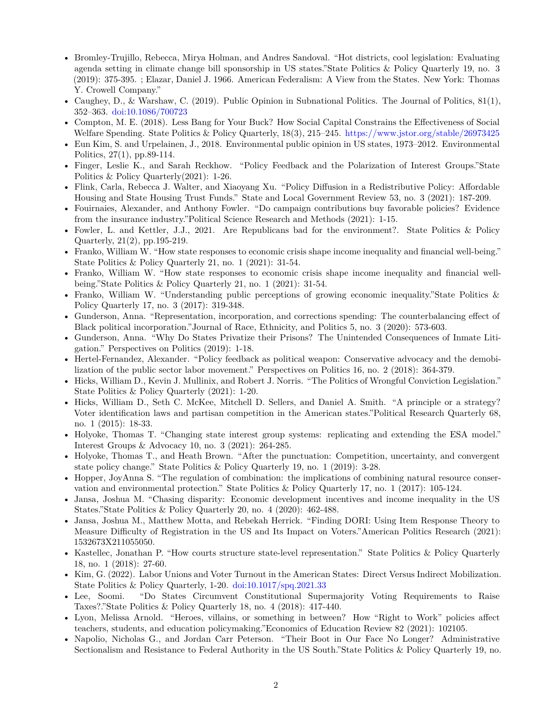- Bromley-Trujillo, Rebecca, Mirya Holman, and Andres Sandoval. "Hot districts, cool legislation: Evaluating agenda setting in climate change bill sponsorship in US states."State Politics & Policy Quarterly 19, no. 3 (2019): 375-395. ; Elazar, Daniel J. 1966. American Federalism: A View from the States. New York: Thomas Y. Crowell Company."
- Caughey, D., & Warshaw, C. (2019). Public Opinion in Subnational Politics. The Journal of Politics, 81(1), 352–363. <doi:10.1086/700723>
- Compton, M. E. (2018). Less Bang for Your Buck? How Social Capital Constrains the Effectiveness of Social Welfare Spending. State Politics & Policy Quarterly, 18(3), 215–245. <https://www.jstor.org/stable/26973425>
- Eun Kim, S. and Urpelainen, J., 2018. Environmental public opinion in US states, 1973–2012. Environmental Politics, 27(1), pp.89-114.
- Finger, Leslie K., and Sarah Reckhow. "Policy Feedback and the Polarization of Interest Groups."State Politics & Policy Quarterly(2021): 1-26.
- Flink, Carla, Rebecca J. Walter, and Xiaoyang Xu. "Policy Diffusion in a Redistributive Policy: Affordable Housing and State Housing Trust Funds." State and Local Government Review 53, no. 3 (2021): 187-209.
- Fouirnaies, Alexander, and Anthony Fowler. "Do campaign contributions buy favorable policies? Evidence from the insurance industry."Political Science Research and Methods (2021): 1-15.
- Fowler, L. and Kettler, J.J., 2021. Are Republicans bad for the environment?. State Politics & Policy Quarterly, 21(2), pp.195-219.
- Franko, William W. "How state responses to economic crisis shape income inequality and financial well-being." State Politics & Policy Quarterly 21, no. 1 (2021): 31-54.
- Franko, William W. "How state responses to economic crisis shape income inequality and financial wellbeing."State Politics & Policy Quarterly 21, no. 1 (2021): 31-54.
- Franko, William W. "Understanding public perceptions of growing economic inequality."State Politics & Policy Quarterly 17, no. 3 (2017): 319-348.
- Gunderson, Anna. "Representation, incorporation, and corrections spending: The counterbalancing effect of Black political incorporation."Journal of Race, Ethnicity, and Politics 5, no. 3 (2020): 573-603.
- Gunderson, Anna. "Why Do States Privatize their Prisons? The Unintended Consequences of Inmate Litigation." Perspectives on Politics (2019): 1-18.
- Hertel-Fernandez, Alexander. "Policy feedback as political weapon: Conservative advocacy and the demobilization of the public sector labor movement." Perspectives on Politics 16, no. 2 (2018): 364-379.
- Hicks, William D., Kevin J. Mullinix, and Robert J. Norris. "The Politics of Wrongful Conviction Legislation." State Politics & Policy Quarterly (2021): 1-20.
- Hicks, William D., Seth C. McKee, Mitchell D. Sellers, and Daniel A. Smith. "A principle or a strategy? Voter identification laws and partisan competition in the American states."Political Research Quarterly 68, no. 1 (2015): 18-33.
- Holyoke, Thomas T. "Changing state interest group systems: replicating and extending the ESA model." Interest Groups & Advocacy 10, no. 3 (2021): 264-285.
- Holyoke, Thomas T., and Heath Brown. "After the punctuation: Competition, uncertainty, and convergent state policy change." State Politics & Policy Quarterly 19, no. 1 (2019): 3-28.
- Hopper, JoyAnna S. "The regulation of combination: the implications of combining natural resource conservation and environmental protection." State Politics & Policy Quarterly 17, no. 1 (2017): 105-124.
- Jansa, Joshua M. "Chasing disparity: Economic development incentives and income inequality in the US States."State Politics & Policy Quarterly 20, no. 4 (2020): 462-488.
- Jansa, Joshua M., Matthew Motta, and Rebekah Herrick. "Finding DORI: Using Item Response Theory to Measure Difficulty of Registration in the US and Its Impact on Voters."American Politics Research (2021): 1532673X211055050.
- Kastellec, Jonathan P. "How courts structure state-level representation." State Politics & Policy Quarterly 18, no. 1 (2018): 27-60.
- Kim, G. (2022). Labor Unions and Voter Turnout in the American States: Direct Versus Indirect Mobilization. State Politics & Policy Quarterly, 1-20. <doi:10.1017/spq.2021.33>
- Lee, Soomi. "Do States Circumvent Constitutional Supermajority Voting Requirements to Raise Taxes?."State Politics & Policy Quarterly 18, no. 4 (2018): 417-440.
- Lyon, Melissa Arnold. "Heroes, villains, or something in between? How "Right to Work" policies affect teachers, students, and education policymaking."Economics of Education Review 82 (2021): 102105.
- Napolio, Nicholas G., and Jordan Carr Peterson. "Their Boot in Our Face No Longer? Administrative Sectionalism and Resistance to Federal Authority in the US South."State Politics & Policy Quarterly 19, no.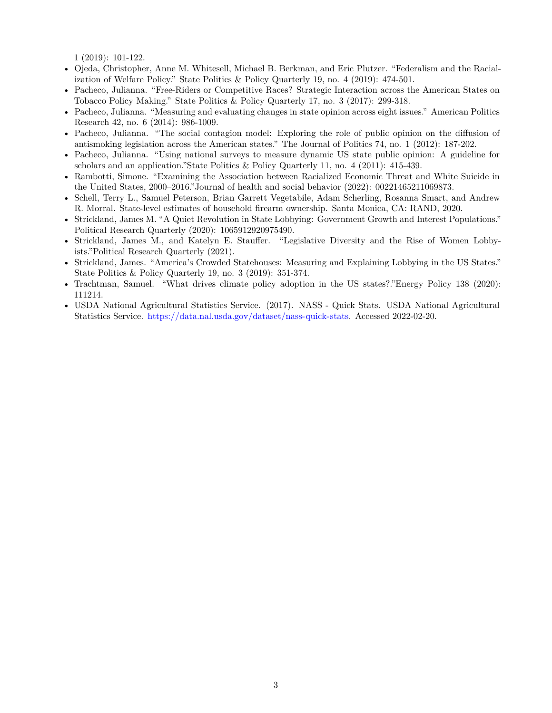1 (2019): 101-122.

- Ojeda, Christopher, Anne M. Whitesell, Michael B. Berkman, and Eric Plutzer. "Federalism and the Racialization of Welfare Policy." State Politics & Policy Quarterly 19, no. 4 (2019): 474-501.
- Pacheco, Julianna. "Free-Riders or Competitive Races? Strategic Interaction across the American States on Tobacco Policy Making." State Politics & Policy Quarterly 17, no. 3 (2017): 299-318.
- Pacheco, Julianna. "Measuring and evaluating changes in state opinion across eight issues." American Politics Research 42, no. 6 (2014): 986-1009.
- Pacheco, Julianna. "The social contagion model: Exploring the role of public opinion on the diffusion of antismoking legislation across the American states." The Journal of Politics 74, no. 1 (2012): 187-202.
- Pacheco, Julianna. "Using national surveys to measure dynamic US state public opinion: A guideline for scholars and an application."State Politics & Policy Quarterly 11, no. 4 (2011): 415-439.
- Rambotti, Simone. "Examining the Association between Racialized Economic Threat and White Suicide in the United States, 2000–2016."Journal of health and social behavior (2022): 00221465211069873.
- Schell, Terry L., Samuel Peterson, Brian Garrett Vegetabile, Adam Scherling, Rosanna Smart, and Andrew R. Morral. State-level estimates of household firearm ownership. Santa Monica, CA: RAND, 2020.
- Strickland, James M. "A Quiet Revolution in State Lobbying: Government Growth and Interest Populations." Political Research Quarterly (2020): 1065912920975490.
- Strickland, James M., and Katelyn E. Stauffer. "Legislative Diversity and the Rise of Women Lobbyists."Political Research Quarterly (2021).
- Strickland, James. "America's Crowded Statehouses: Measuring and Explaining Lobbying in the US States." State Politics & Policy Quarterly 19, no. 3 (2019): 351-374.
- Trachtman, Samuel. "What drives climate policy adoption in the US states?."Energy Policy 138 (2020): 111214.
- USDA National Agricultural Statistics Service. (2017). NASS Quick Stats. USDA National Agricultural Statistics Service. [https://data.nal.usda.gov/dataset/nass-quick-stats.](https://data.nal.usda.gov/dataset/nass-quick-stats) Accessed 2022-02-20.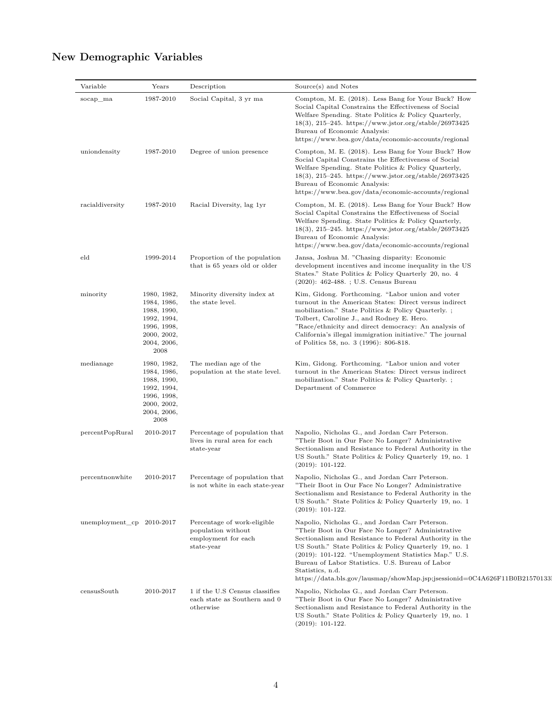| Variable                    | Years                                                                                                         | Description                                                                            | Source(s) and Notes                                                                                                                                                                                                                                                                                                                                                                                                                       |
|-----------------------------|---------------------------------------------------------------------------------------------------------------|----------------------------------------------------------------------------------------|-------------------------------------------------------------------------------------------------------------------------------------------------------------------------------------------------------------------------------------------------------------------------------------------------------------------------------------------------------------------------------------------------------------------------------------------|
| socap_ma                    | 1987-2010                                                                                                     | Social Capital, 3 yr ma                                                                | Compton, M. E. (2018). Less Bang for Your Buck? How<br>Social Capital Constrains the Effectiveness of Social<br>Welfare Spending. State Politics & Policy Quarterly,<br>$18(3), 215-245.$ https://www.jstor.org/stable/26973425<br>Bureau of Economic Analysis:<br>https://www.bea.gov/data/economic-accounts/regional                                                                                                                    |
| uniondensity                | 1987-2010                                                                                                     | Degree of union presence                                                               | Compton, M. E. (2018). Less Bang for Your Buck? How<br>Social Capital Constrains the Effectiveness of Social<br>Welfare Spending. State Politics & Policy Quarterly,<br>$18(3), 215-245.$ https://www.jstor.org/stable/26973425<br>Bureau of Economic Analysis:<br>https://www.bea.gov/data/economic-accounts/regional                                                                                                                    |
| racialdiversity             | 1987-2010                                                                                                     | Racial Diversity, lag 1yr                                                              | Compton, M. E. (2018). Less Bang for Your Buck? How<br>Social Capital Constrains the Effectiveness of Social<br>Welfare Spending. State Politics & Policy Quarterly,<br>$18(3), 215-245.$ https://www.jstor.org/stable/26973425<br>Bureau of Economic Analysis:<br>https://www.bea.gov/data/economic-accounts/regional                                                                                                                    |
| eld                         | 1999-2014                                                                                                     | Proportion of the population<br>that is 65 years old or older                          | Jansa, Joshua M. "Chasing disparity: Economic<br>development incentives and income inequality in the US<br>States." State Politics & Policy Quarterly 20, no. 4<br>$(2020)$ : 462-488. ; U.S. Census Bureau                                                                                                                                                                                                                               |
| minority                    | 1980, 1982,<br>1984, 1986,<br>1988, 1990,<br>1992, 1994,<br>1996, 1998,<br>2000, 2002,<br>2004, 2006,<br>2008 | Minority diversity index at<br>the state level.                                        | Kim, Gidong. Forthcoming. "Labor union and voter<br>turnout in the American States: Direct versus indirect<br>mobilization." State Politics & Policy Quarterly.;<br>Tolbert, Caroline J., and Rodney E. Hero.<br>"Race/ethnicity and direct democracy: An analysis of<br>California's illegal immigration initiative." The journal<br>of Politics 58, no. 3 (1996): 806-818.                                                              |
| medianage                   | 1980, 1982,<br>1984, 1986,<br>1988, 1990,<br>1992, 1994,<br>1996, 1998,<br>2000, 2002,<br>2004, 2006,<br>2008 | The median age of the<br>population at the state level.                                | Kim, Gidong. Forthcoming. "Labor union and voter<br>turnout in the American States: Direct versus indirect<br>mobilization." State Politics & Policy Quarterly.;<br>Department of Commerce                                                                                                                                                                                                                                                |
| percentPopRural             | 2010-2017                                                                                                     | Percentage of population that<br>lives in rural area for each<br>state-year            | Napolio, Nicholas G., and Jordan Carr Peterson.<br>"Their Boot in Our Face No Longer? Administrative<br>Sectionalism and Resistance to Federal Authority in the<br>US South." State Politics & Policy Quarterly 19, no. 1<br>$(2019): 101-122.$                                                                                                                                                                                           |
| percentnonwhite             | 2010-2017                                                                                                     | is not white in each state-year                                                        | Percentage of population that Napolio, Nicholas G., and Jordan Carr Peterson.<br>"Their Boot in Our Face No Longer? Administrative<br>Sectionalism and Resistance to Federal Authority in the<br>US South." State Politics & Policy Quarterly 19, no. 1<br>$(2019): 101-122.$                                                                                                                                                             |
| unemployment $cp$ 2010-2017 |                                                                                                               | Percentage of work-eligible<br>population without<br>employment for each<br>state-year | Napolio, Nicholas G., and Jordan Carr Peterson.<br>"Their Boot in Our Face No Longer? Administrative<br>Sectionalism and Resistance to Federal Authority in the<br>US South." State Politics & Policy Quarterly 19, no. 1<br>$(2019): 101-122.$ "Unemployment Statistics Map." U.S.<br>Bureau of Labor Statistics. U.S. Bureau of Labor<br>Statistics, n.d.<br>https://data.bls.gov/lausmap/showMap.jsp;jsessionid=0C4A626F11B0B21570133. |
| censusSouth                 | 2010-2017                                                                                                     | 1 if the U.S Census classifies<br>each state as Southern and 0<br>otherwise            | Napolio, Nicholas G., and Jordan Carr Peterson.<br>"Their Boot in Our Face No Longer? Administrative<br>Sectionalism and Resistance to Federal Authority in the<br>US South." State Politics & Policy Quarterly 19, no. 1<br>$(2019): 101-122.$                                                                                                                                                                                           |

# **New Demographic Variables**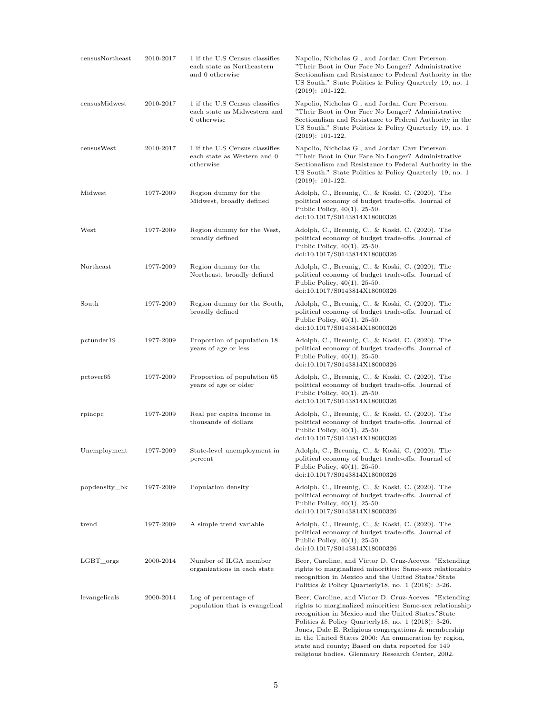| censusNortheast       | 2010-2017 | 1 if the U.S Census classifies<br>each state as Northeastern<br>and 0 otherwise | Napolio, Nicholas G., and Jordan Carr Peterson.<br>"Their Boot in Our Face No Longer? Administrative<br>Sectionalism and Resistance to Federal Authority in the<br>US South." State Politics & Policy Quarterly 19, no. 1<br>$(2019): 101-122.$                                                                                                                                                                                                           |
|-----------------------|-----------|---------------------------------------------------------------------------------|-----------------------------------------------------------------------------------------------------------------------------------------------------------------------------------------------------------------------------------------------------------------------------------------------------------------------------------------------------------------------------------------------------------------------------------------------------------|
| censusMidwest         | 2010-2017 | 1 if the U.S Census classifies<br>each state as Midwestern and<br>0 otherwise   | Napolio, Nicholas G., and Jordan Carr Peterson.<br>"Their Boot in Our Face No Longer? Administrative<br>Sectionalism and Resistance to Federal Authority in the<br>US South." State Politics & Policy Quarterly 19, no. 1<br>$(2019): 101-122.$                                                                                                                                                                                                           |
| censusWest            | 2010-2017 | 1 if the U.S Census classifies<br>each state as Western and 0<br>otherwise      | Napolio, Nicholas G., and Jordan Carr Peterson.<br>"Their Boot in Our Face No Longer? Administrative<br>Sectionalism and Resistance to Federal Authority in the<br>US South." State Politics & Policy Quarterly 19, no. 1<br>$(2019): 101-122.$                                                                                                                                                                                                           |
| Midwest               | 1977-2009 | Region dummy for the<br>Midwest, broadly defined                                | Adolph, C., Breunig, C., & Koski, C. (2020). The<br>political economy of budget trade-offs. Journal of<br>Public Policy, $40(1)$ , 25-50.<br>doi:10.1017/S0143814X18000326                                                                                                                                                                                                                                                                                |
| West                  | 1977-2009 | Region dummy for the West,<br>broadly defined                                   | Adolph, C., Breunig, C., & Koski, C. (2020). The<br>political economy of budget trade-offs. Journal of<br>Public Policy, $40(1)$ , 25-50.<br>doi:10.1017/S0143814X18000326                                                                                                                                                                                                                                                                                |
| Northeast             | 1977-2009 | Region dummy for the<br>Northeast, broadly defined                              | Adolph, C., Breunig, C., & Koski, C. (2020). The<br>political economy of budget trade-offs. Journal of<br>Public Policy, $40(1)$ , 25-50.<br>doi:10.1017/S0143814X18000326                                                                                                                                                                                                                                                                                |
| South                 | 1977-2009 | Region dummy for the South,<br>broadly defined                                  | Adolph, C., Breunig, C., & Koski, C. (2020). The<br>political economy of budget trade-offs. Journal of<br>Public Policy, $40(1)$ , 25-50.<br>doi:10.1017/S0143814X18000326                                                                                                                                                                                                                                                                                |
| pctunder19            | 1977-2009 | Proportion of population 18<br>years of age or less                             | Adolph, C., Breunig, C., & Koski, C. (2020). The<br>political economy of budget trade-offs. Journal of<br>Public Policy, $40(1)$ , 25-50.<br>doi:10.1017/S0143814X18000326                                                                                                                                                                                                                                                                                |
| pctover <sub>65</sub> | 1977-2009 | Proportion of population 65<br>years of age or older                            | Adolph, C., Breunig, C., & Koski, C. (2020). The<br>political economy of budget trade-offs. Journal of<br>Public Policy, $40(1)$ , 25-50.<br>doi:10.1017/S0143814X18000326                                                                                                                                                                                                                                                                                |
| rpincpc               | 1977-2009 | Real per capita income in<br>thousands of dollars                               | Adolph, C., Breunig, C., & Koski, C. (2020). The<br>political economy of budget trade-offs. Journal of<br>Public Policy, $40(1)$ , 25-50.<br>doi:10.1017/S0143814X18000326                                                                                                                                                                                                                                                                                |
| Unemployment          | 1977-2009 | State-level unemployment in<br>percent                                          | Adolph, C., Breunig, C., & Koski, C. (2020). The<br>political economy of budget trade-offs. Journal of<br>Public Policy, $40(1)$ , 25-50.<br>doi:10.1017/S0143814X18000326                                                                                                                                                                                                                                                                                |
| popdensity bk         | 1977-2009 | Population density                                                              | Adolph, C., Breunig, C., & Koski, C. (2020). The<br>political economy of budget trade-offs. Journal of<br>Public Policy, $40(1)$ , 25-50.<br>doi:10.1017/S0143814X18000326                                                                                                                                                                                                                                                                                |
| $_{\rm trend}$        | 1977-2009 | A simple trend variable                                                         | Adolph, C., Breunig, C., & Koski, C. (2020). The<br>political economy of budget trade-offs. Journal of<br>Public Policy, $40(1)$ , 25-50.<br>doi:10.1017/S0143814X18000326                                                                                                                                                                                                                                                                                |
| LGBT orgs             | 2000-2014 | Number of ILGA member<br>organizations in each state                            | Beer, Caroline, and Victor D. Cruz-Aceves. "Extending"<br>rights to marginalized minorities: Same-sex relationship<br>recognition in Mexico and the United States."State<br>Politics & Policy Quarterly 18, no. 1 (2018): 3-26.                                                                                                                                                                                                                           |
| levangelicals         | 2000-2014 | Log of percentage of<br>population that is evangelical                          | Beer, Caroline, and Victor D. Cruz-Aceves. "Extending<br>rights to marginalized minorities: Same-sex relationship<br>recognition in Mexico and the United States."State<br>Politics & Policy Quarterly 18, no. 1 (2018): 3-26.<br>Jones, Dale E. Religious congregations $\&$ membership<br>in the United States 2000: An enumeration by region,<br>state and county; Based on data reported for 149<br>religious bodies. Glenmary Research Center, 2002. |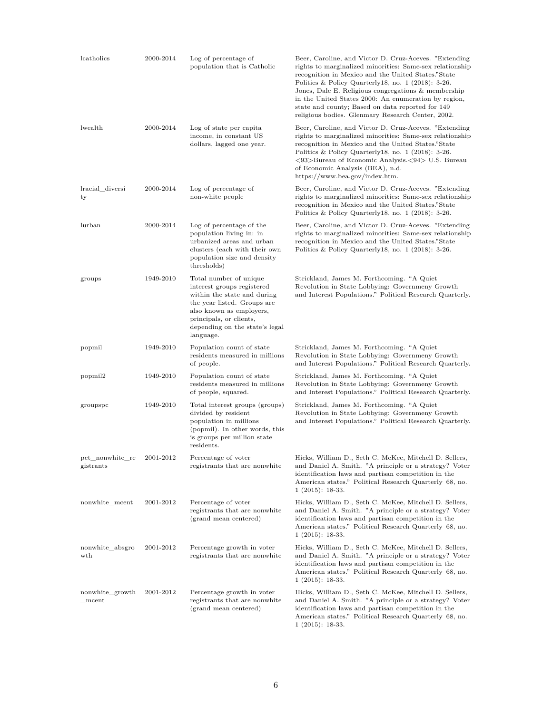| lcatholics                   | 2000-2014 | Log of percentage of<br>population that is Catholic                                                                                                                                                                      | Beer, Caroline, and Victor D. Cruz-Aceves. "Extending"<br>rights to marginalized minorities: Same-sex relationship<br>recognition in Mexico and the United States."State<br>Politics & Policy Quarterly18, no. $1$ (2018): 3-26.<br>Jones, Dale E. Religious congregations $\&$ membership<br>in the United States 2000: An enumeration by region,<br>state and county; Based on data reported for 149<br>religious bodies. Glenmary Research Center, 2002. |
|------------------------------|-----------|--------------------------------------------------------------------------------------------------------------------------------------------------------------------------------------------------------------------------|-------------------------------------------------------------------------------------------------------------------------------------------------------------------------------------------------------------------------------------------------------------------------------------------------------------------------------------------------------------------------------------------------------------------------------------------------------------|
| lwealth                      | 2000-2014 | Log of state per capita<br>income, in constant US<br>dollars, lagged one year.                                                                                                                                           | Beer, Caroline, and Victor D. Cruz-Aceves. "Extending<br>rights to marginalized minorities: Same-sex relationship<br>recognition in Mexico and the United States."State<br>Politics & Policy Quarterly 18, no. 1 (2018): 3-26.<br><93>Bureau of Economic Analysis.<94> U.S. Bureau<br>of Economic Analysis (BEA), n.d.<br>https://www.bea.gov/index.htm.                                                                                                    |
| lracial diversi<br>ty        | 2000-2014 | Log of percentage of<br>non-white people                                                                                                                                                                                 | Beer, Caroline, and Victor D. Cruz-Aceves. "Extending"<br>rights to marginalized minorities: Same-sex relationship<br>recognition in Mexico and the United States."State<br>Politics & Policy Quarterly 18, no. $1$ (2018): 3-26.                                                                                                                                                                                                                           |
| lurban                       | 2000-2014 | Log of percentage of the<br>population living in: in<br>urbanized areas and urban<br>clusters (each with their own<br>population size and density<br>thresholds)                                                         | Beer, Caroline, and Victor D. Cruz-Aceves. "Extending<br>rights to marginalized minorities: Same-sex relationship<br>recognition in Mexico and the United States."State<br>Politics & Policy Quarterly 18, no. $1$ (2018): 3-26.                                                                                                                                                                                                                            |
| groups                       | 1949-2010 | Total number of unique<br>interest groups registered<br>within the state and during<br>the year listed. Groups are<br>also known as employers,<br>principals, or clients,<br>depending on the state's legal<br>language. | Strickland, James M. Forthcoming. "A Quiet<br>Revolution in State Lobbying: Governmeny Growth<br>and Interest Populations." Political Research Quarterly.                                                                                                                                                                                                                                                                                                   |
| popmil                       | 1949-2010 | Population count of state<br>residents measured in millions<br>of people.                                                                                                                                                | Strickland, James M. Forthcoming. "A Quiet<br>Revolution in State Lobbying: Governmeny Growth<br>and Interest Populations." Political Research Quarterly.                                                                                                                                                                                                                                                                                                   |
| popmil2                      | 1949-2010 | Population count of state<br>residents measured in millions<br>of people, squared.                                                                                                                                       | Strickland, James M. Forthcoming. "A Quiet<br>Revolution in State Lobbying: Governmeny Growth<br>and Interest Populations." Political Research Quarterly.                                                                                                                                                                                                                                                                                                   |
| groupspc                     | 1949-2010 | Total interest groups (groups)<br>divided by resident<br>population in millions<br>(popmil). In other words, this<br>is groups per million state<br>residents.                                                           | Strickland, James M. Forthcoming. "A Quiet<br>Revolution in State Lobbying: Governmeny Growth<br>and Interest Populations." Political Research Quarterly.                                                                                                                                                                                                                                                                                                   |
| pct_nonwhite_re<br>gistrants | 2001-2012 | Percentage of voter<br>registrants that are nonwhite                                                                                                                                                                     | Hicks, William D., Seth C. McKee, Mitchell D. Sellers,<br>and Daniel A. Smith. "A principle or a strategy? Voter<br>identification laws and partisan competition in the<br>American states." Political Research Quarterly 68, no.<br>$1(2015): 18-33.$                                                                                                                                                                                                      |
| nonwhite_mcent               | 2001-2012 | Percentage of voter<br>registrants that are nonwhite<br>(grand mean centered)                                                                                                                                            | Hicks, William D., Seth C. McKee, Mitchell D. Sellers,<br>and Daniel A. Smith. "A principle or a strategy? Voter<br>identification laws and partisan competition in the<br>American states." Political Research Quarterly 68, no.<br>$1(2015): 18-33.$                                                                                                                                                                                                      |
| nonwhite_absgro<br>wth       | 2001-2012 | Percentage growth in voter<br>registrants that are nonwhite                                                                                                                                                              | Hicks, William D., Seth C. McKee, Mitchell D. Sellers,<br>and Daniel A. Smith. "A principle or a strategy? Voter<br>identification laws and partisan competition in the<br>American states." Political Research Quarterly 68, no.<br>$1(2015): 18-33.$                                                                                                                                                                                                      |
| nonwhite_growth<br>mcent     | 2001-2012 | Percentage growth in voter<br>registrants that are nonwhite<br>(grand mean centered)                                                                                                                                     | Hicks, William D., Seth C. McKee, Mitchell D. Sellers,<br>and Daniel A. Smith. "A principle or a strategy? Voter<br>identification laws and partisan competition in the<br>American states." Political Research Quarterly 68, no.<br>$1(2015): 18-33.$                                                                                                                                                                                                      |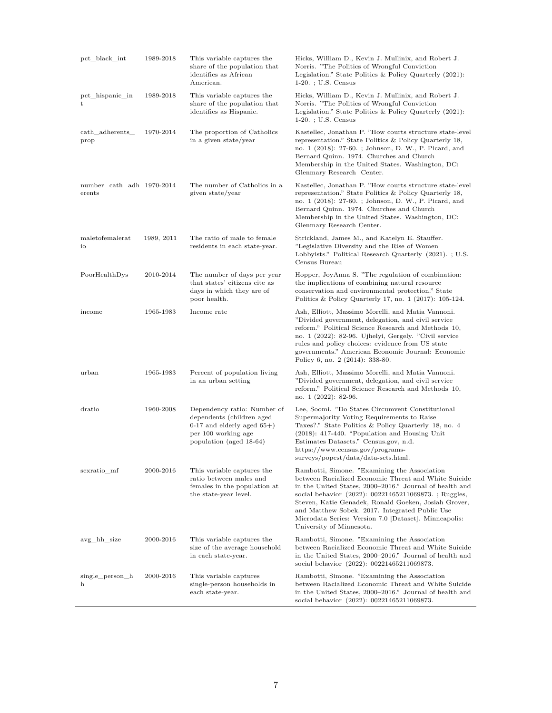| pct_black_int                       | 1989-2018  | This variable captures the<br>share of the population that<br>identifies as African<br>American.                                            | Hicks, William D., Kevin J. Mullinix, and Robert J.<br>Norris. "The Politics of Wrongful Conviction<br>Legislation." State Politics & Policy Quarterly $(2021)$ :<br>$1-20.$ ; U.S. Census                                                                                                                                                                                                                                |
|-------------------------------------|------------|---------------------------------------------------------------------------------------------------------------------------------------------|---------------------------------------------------------------------------------------------------------------------------------------------------------------------------------------------------------------------------------------------------------------------------------------------------------------------------------------------------------------------------------------------------------------------------|
| pct_hispanic_in<br>t                | 1989-2018  | This variable captures the<br>share of the population that<br>identifies as Hispanic.                                                       | Hicks, William D., Kevin J. Mullinix, and Robert J.<br>Norris. "The Politics of Wrongful Conviction<br>Legislation." State Politics & Policy Quarterly $(2021)$ :<br>$1-20.$ ; U.S. Census                                                                                                                                                                                                                                |
| cath_adherents_<br>prop             | 1970-2014  | The proportion of Catholics<br>in a given state/year                                                                                        | Kastellec, Jonathan P. "How courts structure state-level<br>representation." State Politics & Policy Quarterly 18,<br>no. 1 (2018): 27-60. ; Johnson, D. W., P. Picard, and<br>Bernard Quinn. 1974. Churches and Church<br>Membership in the United States. Washington, DC:<br>Glenmary Research Center.                                                                                                                  |
| number_cath_adh 1970-2014<br>erents |            | The number of Catholics in a<br>given state/year                                                                                            | Kastellec, Jonathan P. "How courts structure state-level<br>representation." State Politics & Policy Quarterly 18,<br>no. 1 (2018): 27-60. ; Johnson, D. W., P. Picard, and<br>Bernard Quinn. 1974. Churches and Church<br>Membership in the United States. Washington, DC:<br>Glenmary Research Center.                                                                                                                  |
| maletofemalerat<br>io               | 1989, 2011 | The ratio of male to female<br>residents in each state-year.                                                                                | Strickland, James M., and Katelyn E. Stauffer.<br>"Legislative Diversity and the Rise of Women"<br>Lobbyists." Political Research Quarterly (2021).; U.S.<br>Census Bureau                                                                                                                                                                                                                                                |
| PoorHealthDys                       | 2010-2014  | The number of days per year<br>that states' citizens cite as<br>days in which they are of<br>poor health.                                   | Hopper, JoyAnna S. "The regulation of combination:<br>the implications of combining natural resource<br>conservation and environmental protection." State<br>Politics & Policy Quarterly 17, no. $1$ (2017): 105-124.                                                                                                                                                                                                     |
| income                              | 1965-1983  | Income rate                                                                                                                                 | Ash, Elliott, Massimo Morelli, and Matia Vannoni.<br>"Divided government, delegation, and civil service"<br>reform." Political Science Research and Methods 10,<br>no. 1 (2022): 82-96. Ujhelyi, Gergely. "Civil service<br>rules and policy choices: evidence from US state<br>governments." American Economic Journal: Economic<br>Policy 6, no. 2 (2014): 338-80.                                                      |
| urban                               | 1965-1983  | Percent of population living<br>in an urban setting                                                                                         | Ash, Elliott, Massimo Morelli, and Matia Vannoni.<br>"Divided government, delegation, and civil service<br>reform." Political Science Research and Methods 10,<br>no. 1 (2022): 82-96.                                                                                                                                                                                                                                    |
| dratio                              | 1960-2008  | Dependency ratio: Number of<br>dependents (children aged<br>0-17 and elderly aged $65+$ )<br>per 100 working age<br>population (aged 18-64) | Lee, Soomi. "Do States Circumvent Constitutional<br>Supermajority Voting Requirements to Raise<br>Taxes?." State Politics & Policy Quarterly 18, no. 4<br>$(2018)$ : 417-440. "Population and Housing Unit<br>Estimates Datasets." Census.gov, n.d.<br>https://www.census.gov/programs-<br>surveys/popest/data/data-sets.html.                                                                                            |
| sexratio_mf                         | 2000-2016  | This variable captures the<br>ratio between males and<br>females in the population at<br>the state-year level.                              | Rambotti, Simone. "Examining the Association"<br>between Racialized Economic Threat and White Suicide<br>in the United States, 2000–2016." Journal of health and<br>social behavior (2022): 00221465211069873.; Ruggles,<br>Steven, Katie Genadek, Ronald Goeken, Josiah Grover,<br>and Matthew Sobek. 2017. Integrated Public Use<br>Microdata Series: Version 7.0   Dataset  . Minneapolis:<br>University of Minnesota. |
| avg_hh_size                         | 2000-2016  | This variable captures the<br>size of the average household<br>in each state-year.                                                          | Rambotti, Simone. "Examining the Association"<br>between Racialized Economic Threat and White Suicide<br>in the United States, 2000–2016." Journal of health and<br>social behavior (2022): 00221465211069873.                                                                                                                                                                                                            |
| single_person_h<br>h                | 2000-2016  | This variable captures<br>single-person households in<br>each state-year.                                                                   | Rambotti, Simone. "Examining the Association"<br>between Racialized Economic Threat and White Suicide<br>in the United States, 2000–2016." Journal of health and<br>social behavior (2022): 00221465211069873.                                                                                                                                                                                                            |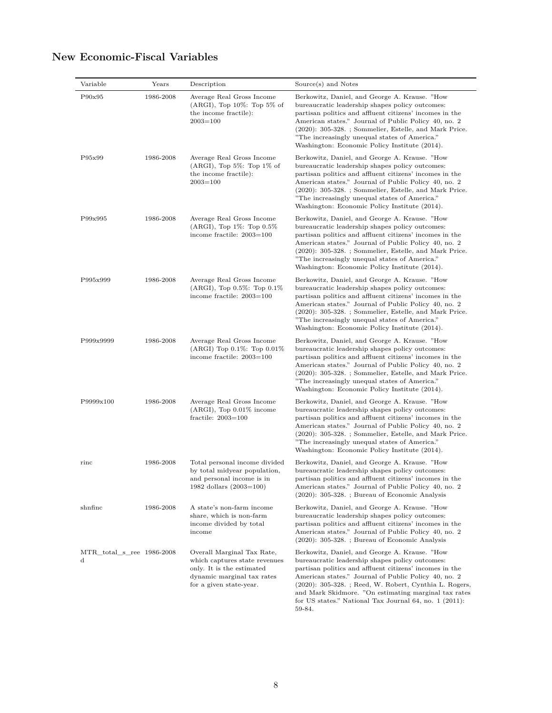| Variable                       | Years     | Description                                                                                                                                       | Source(s) and Notes                                                                                                                                                                                                                                                                                                                                                                                            |
|--------------------------------|-----------|---------------------------------------------------------------------------------------------------------------------------------------------------|----------------------------------------------------------------------------------------------------------------------------------------------------------------------------------------------------------------------------------------------------------------------------------------------------------------------------------------------------------------------------------------------------------------|
| P90x95                         | 1986-2008 | Average Real Gross Income<br>$(ARGI), Top 10\%: Top 5\% of$<br>the income fractile):<br>$2003 = 100$                                              | Berkowitz, Daniel, and George A. Krause. "How<br>bureaucratic leadership shapes policy outcomes:<br>partisan politics and affluent citizens' incomes in the<br>American states." Journal of Public Policy 40, no. 2<br>$(2020)$ : 305-328. ; Sommelier, Estelle, and Mark Price.<br>"The increasingly unequal states of America."<br>Washington: Economic Policy Institute (2014).                             |
| P95x99                         | 1986-2008 | Average Real Gross Income<br>$(ARGI), Top 5\%: Top 1\% of$<br>the income fractile):<br>$2003 = 100$                                               | Berkowitz, Daniel, and George A. Krause. "How<br>bureaucratic leadership shapes policy outcomes:<br>partisan politics and affluent citizens' incomes in the<br>American states." Journal of Public Policy 40, no. 2<br>$(2020)$ : 305-328. ; Sommelier, Estelle, and Mark Price.<br>"The increasingly unequal states of America."<br>Washington: Economic Policy Institute (2014).                             |
| P99x995                        | 1986-2008 | Average Real Gross Income<br>$(ARGI), Top 1\%: Top 0.5\%$<br>income fractile: 2003=100                                                            | Berkowitz, Daniel, and George A. Krause. "How<br>bureaucratic leadership shapes policy outcomes:<br>partisan politics and affluent citizens' incomes in the<br>American states." Journal of Public Policy 40, no. 2<br>$(2020)$ : 305-328. ; Sommelier, Estelle, and Mark Price.<br>"The increasingly unequal states of America."<br>Washington: Economic Policy Institute (2014).                             |
| P995x999                       | 1986-2008 | Average Real Gross Income<br>$(ARGI), Top 0.5\%: Top 0.1\%$<br>income fractile: 2003=100                                                          | Berkowitz, Daniel, and George A. Krause. "How<br>bureaucratic leadership shapes policy outcomes:<br>partisan politics and affluent citizens' incomes in the<br>American states." Journal of Public Policy 40, no. 2<br>$(2020)$ : 305-328. ; Sommelier, Estelle, and Mark Price.<br>"The increasingly unequal states of America."<br>Washington: Economic Policy Institute (2014).                             |
| P999x9999                      | 1986-2008 | Average Real Gross Income<br>$(ARGI)$ Top 0.1\%: Top 0.01\%<br>income fractile: 2003=100                                                          | Berkowitz, Daniel, and George A. Krause. "How<br>bureaucratic leadership shapes policy outcomes:<br>partisan politics and affluent citizens' incomes in the<br>American states." Journal of Public Policy 40, no. 2<br>$(2020)$ : 305-328. ; Sommelier, Estelle, and Mark Price.<br>"The increasingly unequal states of America."<br>Washington: Economic Policy Institute (2014).                             |
| P9999x100                      | 1986-2008 | Average Real Gross Income<br>$(ARGI), Top 0.01\%$ income<br>fractile: $2003 = 100$                                                                | Berkowitz, Daniel, and George A. Krause. "How<br>bureaucratic leadership shapes policy outcomes:<br>partisan politics and affluent citizens' incomes in the<br>American states." Journal of Public Policy 40, no. 2<br>$(2020)$ : 305-328. ; Sommelier, Estelle, and Mark Price.<br>"The increasingly unequal states of America."<br>Washington: Economic Policy Institute (2014).                             |
| rinc                           | 1986-2008 | Total personal income divided<br>by total midyear population,<br>and personal income is in<br>1982 dollars $(2003=100)$                           | Berkowitz, Daniel, and George A. Krause. "How<br>bureaucratic leadership shapes policy outcomes:<br>partisan politics and affluent citizens' incomes in the<br>American states." Journal of Public Policy 40, no. 2<br>$(2020)$ : 305-328. ; Bureau of Economic Analysis                                                                                                                                       |
| shnfinc                        | 1986-2008 | A state's non-farm income<br>share, which is non-farm<br>income divided by total<br>income                                                        | Berkowitz, Daniel, and George A. Krause. "How<br>bureaucratic leadership shapes policy outcomes:<br>partisan politics and affluent citizens' incomes in the<br>American states." Journal of Public Policy 40, no. 2<br>$(2020)$ : 305-328. ; Bureau of Economic Analysis                                                                                                                                       |
| MTR total s ree 1986-2008<br>d |           | Overall Marginal Tax Rate,<br>which captures state revenues<br>only. It is the estimated<br>dynamic marginal tax rates<br>for a given state-year. | Berkowitz, Daniel, and George A. Krause. "How<br>bureaucratic leadership shapes policy outcomes:<br>partisan politics and affluent citizens' incomes in the<br>American states." Journal of Public Policy 40, no. 2<br>$(2020)$ : 305-328.; Reed, W. Robert, Cynthia L. Rogers,<br>and Mark Skidmore. "On estimating marginal tax rates<br>for US states." National Tax Journal $64$ , no. 1 (2011):<br>59-84. |

# **New Economic-Fiscal Variables**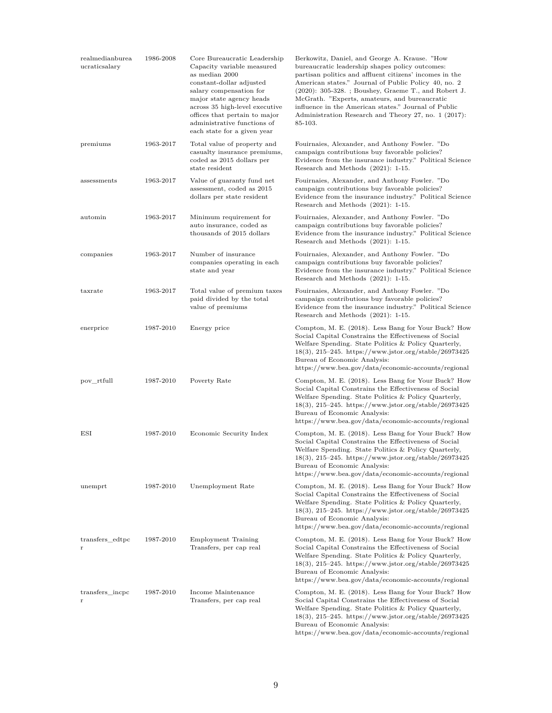| realmedianburea<br>ucraticsalary | 1986-2008 | Core Bureaucratic Leadership<br>Capacity variable measured<br>as median 2000<br>constant-dollar adjusted<br>salary compensation for<br>major state agency heads<br>across 35 high-level executive<br>offices that pertain to major<br>administrative functions of<br>each state for a given year | Berkowitz, Daniel, and George A. Krause. "How<br>bureaucratic leadership shapes policy outcomes:<br>partisan politics and affluent citizens' incomes in the<br>American states." Journal of Public Policy 40, no. 2<br>$(2020)$ : 305-328.; Boushey, Graeme T., and Robert J.<br>McGrath. "Experts, amateurs, and bureaucratic<br>influence in the American states." Journal of Public<br>Administration Research and Theory 27, no. 1 (2017):<br>85-103. |
|----------------------------------|-----------|--------------------------------------------------------------------------------------------------------------------------------------------------------------------------------------------------------------------------------------------------------------------------------------------------|-----------------------------------------------------------------------------------------------------------------------------------------------------------------------------------------------------------------------------------------------------------------------------------------------------------------------------------------------------------------------------------------------------------------------------------------------------------|
| premiums                         | 1963-2017 | Total value of property and<br>casualty insurance premiums,<br>coded as 2015 dollars per<br>state resident                                                                                                                                                                                       | Fouirnaies, Alexander, and Anthony Fowler. "Do<br>campaign contributions buy favorable policies?<br>Evidence from the insurance industry." Political Science<br>Research and Methods (2021): 1-15.                                                                                                                                                                                                                                                        |
| assessments                      | 1963-2017 | Value of guaranty fund net<br>assessment, coded as 2015<br>dollars per state resident                                                                                                                                                                                                            | Fouirnaies, Alexander, and Anthony Fowler. "Do<br>campaign contributions buy favorable policies?<br>Evidence from the insurance industry." Political Science<br>Research and Methods (2021): 1-15.                                                                                                                                                                                                                                                        |
| automin                          | 1963-2017 | Minimum requirement for<br>auto insurance, coded as<br>thousands of 2015 dollars                                                                                                                                                                                                                 | Fouirnaies, Alexander, and Anthony Fowler. "Do<br>campaign contributions buy favorable policies?<br>Evidence from the insurance industry." Political Science<br>Research and Methods (2021): 1-15.                                                                                                                                                                                                                                                        |
| companies                        | 1963-2017 | Number of insurance<br>companies operating in each<br>state and year                                                                                                                                                                                                                             | Fouirnaies, Alexander, and Anthony Fowler. "Do<br>campaign contributions buy favorable policies?<br>Evidence from the insurance industry." Political Science<br>Research and Methods (2021): 1-15.                                                                                                                                                                                                                                                        |
| taxrate                          | 1963-2017 | Total value of premium taxes<br>paid divided by the total<br>value of premiums                                                                                                                                                                                                                   | Fouirnaies, Alexander, and Anthony Fowler. "Do<br>campaign contributions buy favorable policies?<br>Evidence from the insurance industry." Political Science<br>Research and Methods (2021): 1-15.                                                                                                                                                                                                                                                        |
| enerprice                        | 1987-2010 | Energy price                                                                                                                                                                                                                                                                                     | Compton, M. E. (2018). Less Bang for Your Buck? How<br>Social Capital Constrains the Effectiveness of Social<br>Welfare Spending. State Politics & Policy Quarterly,<br>$18(3), 215-245.$ https://www.jstor.org/stable/26973425<br>Bureau of Economic Analysis:<br>https://www.bea.gov/data/economic-accounts/regional                                                                                                                                    |
| pov_rtfull                       | 1987-2010 | Poverty Rate                                                                                                                                                                                                                                                                                     | Compton, M. E. (2018). Less Bang for Your Buck? How<br>Social Capital Constrains the Effectiveness of Social<br>Welfare Spending. State Politics & Policy Quarterly,<br>$18(3), 215-245.$ https://www.jstor.org/stable/26973425<br>Bureau of Economic Analysis:<br>https://www.bea.gov/data/economic-accounts/regional                                                                                                                                    |
| ESI                              | 1987-2010 | Economic Security Index                                                                                                                                                                                                                                                                          | Compton, M. E. (2018). Less Bang for Your Buck? How<br>Social Capital Constrains the Effectiveness of Social<br>Welfare Spending. State Politics & Policy Quarterly,<br>$18(3),\,215\text{--}245.\,$ https://www.jstor.org/stable/26973425<br>Bureau of Economic Analysis:<br>https://www.bea.gov/data/economic-accounts/regional                                                                                                                         |
| unemprt                          | 1987-2010 | Unemployment Rate                                                                                                                                                                                                                                                                                | Compton, M. E. (2018). Less Bang for Your Buck? How<br>Social Capital Constrains the Effectiveness of Social<br>Welfare Spending. State Politics & Policy Quarterly,<br>18(3), 215-245. https://www.jstor.org/stable/26973425<br>Bureau of Economic Analysis:<br>https://www.bea.gov/data/economic-accounts/regional                                                                                                                                      |
| transfers_edtpc<br>r             | 1987-2010 | Employment Training<br>Transfers, per cap real                                                                                                                                                                                                                                                   | Compton, M. E. (2018). Less Bang for Your Buck? How<br>Social Capital Constrains the Effectiveness of Social<br>Welfare Spending. State Politics & Policy Quarterly,<br>$18(3), 215-245.$ https://www.jstor.org/stable/26973425<br>Bureau of Economic Analysis:<br>https://www.bea.gov/data/economic-accounts/regional                                                                                                                                    |
| transfers_incpc<br>r             | 1987-2010 | Income Maintenance<br>Transfers, per cap real                                                                                                                                                                                                                                                    | Compton, M. E. (2018). Less Bang for Your Buck? How<br>Social Capital Constrains the Effectiveness of Social<br>Welfare Spending. State Politics & Policy Quarterly,<br>$18(3), 215-245.$ https://www.jstor.org/stable/26973425<br>Bureau of Economic Analysis:                                                                                                                                                                                           |

https://www.bea.gov/data/economic-accounts/regional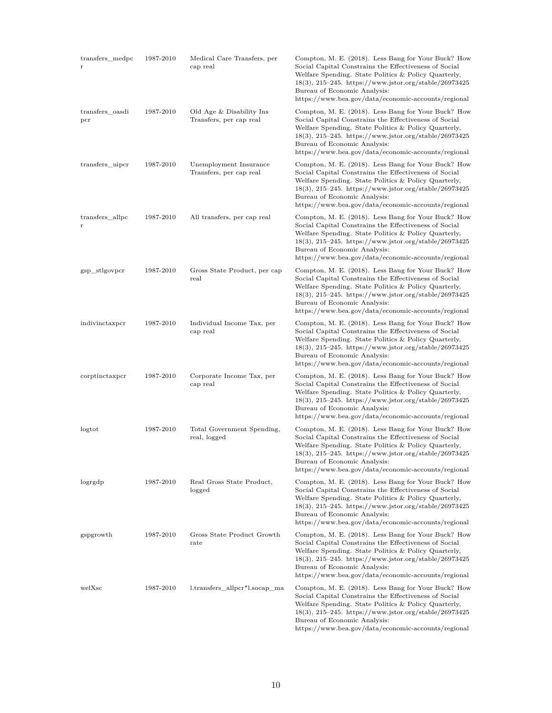| transfers_medpc        | 1987-2010 | Medical Care Transfers, per<br>cap real             | Compton, M. E. (2018). Less Bang for Your Buck? How<br>Social Capital Constrains the Effectiveness of Social<br>Welfare Spending. State Politics & Policy Quarterly,<br>18(3), 215–245. https://www.jstor.org/stable/26973425<br>Bureau of Economic Analysis:<br>https://www.bea.gov/data/economic-accounts/regional   |
|------------------------|-----------|-----------------------------------------------------|------------------------------------------------------------------------------------------------------------------------------------------------------------------------------------------------------------------------------------------------------------------------------------------------------------------------|
| transfers oasdi<br>pcr | 1987-2010 | Old Age & Disability Ins<br>Transfers, per cap real | Compton, M. E. (2018). Less Bang for Your Buck? How<br>Social Capital Constrains the Effectiveness of Social<br>Welfare Spending. State Politics & Policy Quarterly,<br>$18(3), 215-245.$ https://www.jstor.org/stable/26973425<br>Bureau of Economic Analysis:<br>https://www.bea.gov/data/economic-accounts/regional |
| transfers_uipcr        | 1987-2010 | Unemployment Insurance<br>Transfers, per cap real   | Compton, M. E. (2018). Less Bang for Your Buck? How<br>Social Capital Constrains the Effectiveness of Social<br>Welfare Spending. State Politics & Policy Quarterly,<br>18(3), 215–245. https://www.jstor.org/stable/26973425<br>Bureau of Economic Analysis:<br>https://www.bea.gov/data/economic-accounts/regional   |
| transfers_allpc<br>r   | 1987-2010 | All transfers, per cap real                         | Compton, M. E. (2018). Less Bang for Your Buck? How<br>Social Capital Constrains the Effectiveness of Social<br>Welfare Spending. State Politics & Policy Quarterly,<br>$18(3), 215-245.$ https://www.jstor.org/stable/26973425<br>Bureau of Economic Analysis:<br>https://www.bea.gov/data/economic-accounts/regional |
| gsp stlgovpcr          | 1987-2010 | Gross State Product, per cap<br>real                | Compton, M. E. (2018). Less Bang for Your Buck? How<br>Social Capital Constrains the Effectiveness of Social<br>Welfare Spending. State Politics & Policy Quarterly,<br>$18(3), 215-245.$ https://www.jstor.org/stable/26973425<br>Bureau of Economic Analysis:<br>https://www.bea.gov/data/economic-accounts/regional |
| indivinctaxpcr         | 1987-2010 | Individual Income Tax, per<br>cap real              | Compton, M. E. (2018). Less Bang for Your Buck? How<br>Social Capital Constrains the Effectiveness of Social<br>Welfare Spending. State Politics & Policy Quarterly,<br>$18(3), 215-245.$ https://www.jstor.org/stable/26973425<br>Bureau of Economic Analysis:<br>https://www.bea.gov/data/economic-accounts/regional |
| corptinctaxpcr         | 1987-2010 | Corporate Income Tax, per<br>cap real               | Compton, M. E. (2018). Less Bang for Your Buck? How<br>Social Capital Constrains the Effectiveness of Social<br>Welfare Spending. State Politics & Policy Quarterly,<br>$18(3), 215-245.$ https://www.jstor.org/stable/26973425<br>Bureau of Economic Analysis:<br>https://www.bea.gov/data/economic-accounts/regional |
| logtot                 | 1987-2010 | Total Government Spending,<br>real, logged          | Compton, M. E. (2018). Less Bang for Your Buck? How<br>Social Capital Constrains the Effectiveness of Social<br>Welfare Spending. State Politics & Policy Quarterly,<br>$18(3), 215-245.$ https://www.jstor.org/stable/26973425<br>Bureau of Economic Analysis:<br>https://www.bea.gov/data/economic-accounts/regional |
| logrgdp                | 1987-2010 | Real Gross State Product,<br>logged                 | Compton, M. E. (2018). Less Bang for Your Buck? How<br>Social Capital Constrains the Effectiveness of Social<br>Welfare Spending. State Politics & Policy Quarterly,<br>$18(3), 215-245.$ https://www.jstor.org/stable/26973425<br>Bureau of Economic Analysis:<br>https://www.bea.gov/data/economic-accounts/regional |
| gspgrowth              | 1987-2010 | Gross State Product Growth<br>rate                  | Compton, M. E. (2018). Less Bang for Your Buck? How<br>Social Capital Constrains the Effectiveness of Social<br>Welfare Spending. State Politics & Policy Quarterly,<br>18(3), 215–245. https://www.jstor.org/stable/26973425<br>Bureau of Economic Analysis:<br>https://www.bea.gov/data/economic-accounts/regional   |
| welXsc                 | 1987-2010 | l.transfers_allpcr*l.socap_ma                       | Compton, M. E. (2018). Less Bang for Your Buck? How<br>Social Capital Constrains the Effectiveness of Social<br>Welfare Spending. State Politics & Policy Quarterly,<br>$18(3), 215-245.$ https://www.jstor.org/stable/26973425<br>Bureau of Economic Analysis:<br>https://www.bea.gov/data/economic-accounts/regional |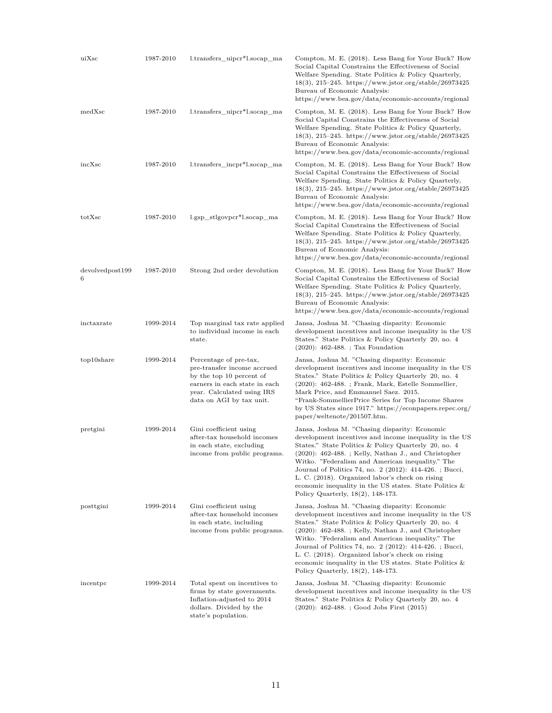| uiXsc                | 1987-2010 | l.transfers_uipcr*l.socap_ma                                                                                                                                                 | Compton, M. E. (2018). Less Bang for Your Buck? How<br>Social Capital Constrains the Effectiveness of Social<br>Welfare Spending. State Politics & Policy Quarterly,<br>$18(3), 215-245.$ https://www.jstor.org/stable/26973425<br>Bureau of Economic Analysis:<br>https://www.bea.gov/data/economic-accounts/regional                                                                                                                                                                              |
|----------------------|-----------|------------------------------------------------------------------------------------------------------------------------------------------------------------------------------|-----------------------------------------------------------------------------------------------------------------------------------------------------------------------------------------------------------------------------------------------------------------------------------------------------------------------------------------------------------------------------------------------------------------------------------------------------------------------------------------------------|
| medXsc               | 1987-2010 | l.transfers_uipcr*l.socap_ma                                                                                                                                                 | Compton, M. E. (2018). Less Bang for Your Buck? How<br>Social Capital Constrains the Effectiveness of Social<br>Welfare Spending. State Politics & Policy Quarterly,<br>$18(3), 215-245.$ https://www.jstor.org/stable/26973425<br>Bureau of Economic Analysis:<br>https://www.bea.gov/data/economic-accounts/regional                                                                                                                                                                              |
| incXsc               | 1987-2010 | l.transfers incpr <sup>*</sup> l.socap ma                                                                                                                                    | Compton, M. E. (2018). Less Bang for Your Buck? How<br>Social Capital Constrains the Effectiveness of Social<br>Welfare Spending. State Politics & Policy Quarterly,<br>$18(3), 215-245.$ https://www.jstor.org/stable/26973425<br>Bureau of Economic Analysis:<br>https://www.bea.gov/data/economic-accounts/regional                                                                                                                                                                              |
| totXsc               | 1987-2010 | l.gsp_stlgovpcr*l.socap_ma                                                                                                                                                   | Compton, M. E. (2018). Less Bang for Your Buck? How<br>Social Capital Constrains the Effectiveness of Social<br>Welfare Spending. State Politics & Policy Quarterly,<br>$18(3), 215-245.$ https://www.jstor.org/stable/26973425<br>Bureau of Economic Analysis:<br>https://www.bea.gov/data/economic-accounts/regional                                                                                                                                                                              |
| devolvedpost199<br>6 | 1987-2010 | Strong 2nd order devolution                                                                                                                                                  | Compton, M. E. (2018). Less Bang for Your Buck? How<br>Social Capital Constrains the Effectiveness of Social<br>Welfare Spending. State Politics & Policy Quarterly,<br>$18(3), 215-245.$ https://www.jstor.org/stable/26973425<br>Bureau of Economic Analysis:<br>https://www.bea.gov/data/economic-accounts/regional                                                                                                                                                                              |
| inctaxrate           | 1999-2014 | Top marginal tax rate applied<br>to individual income in each<br>state.                                                                                                      | Jansa, Joshua M. "Chasing disparity: Economic<br>development incentives and income inequality in the US<br>States." State Politics & Policy Quarterly 20, no. 4<br>$(2020)$ : 462-488. ; Tax Foundation                                                                                                                                                                                                                                                                                             |
| top10share           | 1999-2014 | Percentage of pre-tax,<br>pre-transfer income accrued<br>by the top 10 percent of<br>earners in each state in each<br>year. Calculated using IRS<br>data on AGI by tax unit. | Jansa, Joshua M. "Chasing disparity: Economic<br>development incentives and income inequality in the US<br>States." State Politics & Policy Quarterly 20, no. 4<br>$(2020)$ : 462-488.; Frank, Mark, Estelle Sommellier,<br>Mark Price, and Emmanuel Saez. 2015.<br>"Frank-SommellierPrice Series for Top Income Shares<br>by US States since 1917." https://econpapers.repec.org/<br>paper/weltenote/201507.htm.                                                                                   |
| pretgini             | 1999-2014 | Gini coefficient using<br>after-tax household incomes<br>in each state, excluding<br>income from public programs.                                                            | Jansa, Joshua M. "Chasing disparity: Economic<br>development incentives and income inequality in the US<br>States." State Politics & Policy Quarterly 20, no. 4<br>(2020): 462-488. ; Kelly, Nathan J., and Christopher<br>Witko. "Federalism and American inequality." The<br>Journal of Politics 74, no. 2 (2012): 414-426.; Bucci,<br>L. C. (2018). Organized labor's check on rising<br>economic inequality in the US states. State Politics $\&$<br>Policy Quarterly, 18(2), 148-173.          |
| posttgini            | 1999-2014 | Gini coefficient using<br>after-tax household incomes<br>in each state, including<br>income from public programs.                                                            | Jansa, Joshua M. "Chasing disparity: Economic<br>development incentives and income inequality in the US<br>States." State Politics & Policy Quarterly 20, no. 4<br>$(2020)$ : 462-488.; Kelly, Nathan J., and Christopher<br>Witko. "Federalism and American inequality." The<br>Journal of Politics 74, no. 2 (2012): 414-426. ; Bucci,<br>L. C. (2018). Organized labor's check on rising<br>economic inequality in the US states. State Politics $\&$<br>Policy Quarterly, $18(2)$ , $148-173$ . |
| incentpc             | 1999-2014 | Total spent on incentives to<br>firms by state governments.<br>Inflation-adjusted to 2014<br>dollars. Divided by the<br>state's population.                                  | Jansa, Joshua M. "Chasing disparity: Economic<br>development incentives and income inequality in the US<br>States." State Politics & Policy Quarterly 20, no. 4<br>$(2020)$ : 462-488.; Good Jobs First $(2015)$                                                                                                                                                                                                                                                                                    |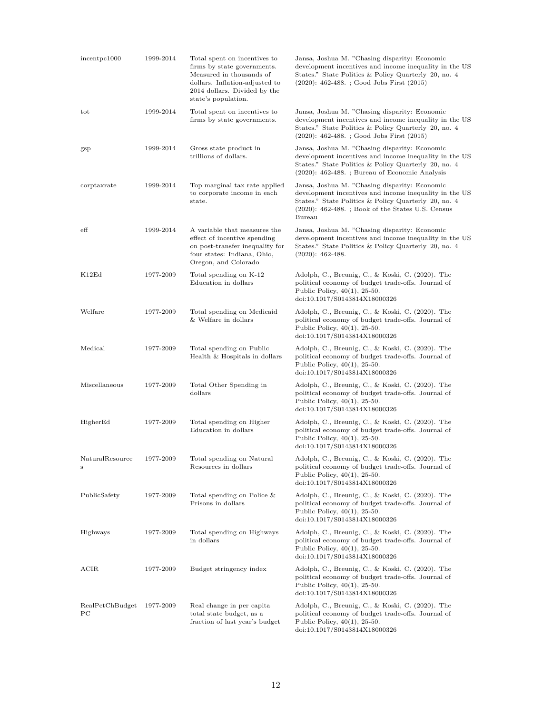| incentpc1000          | 1999-2014 | Total spent on incentives to<br>firms by state governments.<br>Measured in thousands of<br>dollars. Inflation-adjusted to<br>2014 dollars. Divided by the<br>state's population. | Jansa, Joshua M. "Chasing disparity: Economic<br>development incentives and income inequality in the US<br>States." State Politics & Policy Quarterly 20, no. 4<br>$(2020): 462-488.$ ; Good Jobs First $(2015)$                 |
|-----------------------|-----------|----------------------------------------------------------------------------------------------------------------------------------------------------------------------------------|----------------------------------------------------------------------------------------------------------------------------------------------------------------------------------------------------------------------------------|
| tot                   | 1999-2014 | Total spent on incentives to<br>firms by state governments.                                                                                                                      | Jansa, Joshua M. "Chasing disparity: Economic<br>development incentives and income inequality in the US<br>States." State Politics & Policy Quarterly 20, no. 4<br>$(2020): 462-488.$ ; Good Jobs First $(2015)$                 |
| $_{\rm gsp}$          | 1999-2014 | Gross state product in<br>trillions of dollars.                                                                                                                                  | Jansa, Joshua M. "Chasing disparity: Economic<br>development incentives and income inequality in the US<br>States." State Politics & Policy Quarterly 20, no. 4<br>$(2020)$ : 462-488. ; Bureau of Economic Analysis             |
| corptaxrate           | 1999-2014 | Top marginal tax rate applied<br>to corporate income in each<br>state.                                                                                                           | Jansa, Joshua M. "Chasing disparity: Economic<br>development incentives and income inequality in the US<br>States." State Politics & Policy Quarterly 20, no. 4<br>$(2020)$ : 462-488.; Book of the States U.S. Census<br>Bureau |
| $_{\rm eff}$          | 1999-2014 | A variable that measures the<br>effect of incentive spending<br>on post-transfer inequality for<br>four states: Indiana, Ohio,<br>Oregon, and Colorado                           | Jansa, Joshua M. "Chasing disparity: Economic<br>development incentives and income inequality in the US<br>States." State Politics & Policy Quarterly 20, no. 4<br>$(2020): 462-488.$                                            |
| K12Ed                 | 1977-2009 | Total spending on K-12<br>Education in dollars                                                                                                                                   | Adolph, C., Breunig, C., & Koski, C. (2020). The<br>political economy of budget trade-offs. Journal of<br>Public Policy, $40(1)$ , 25-50.<br>doi:10.1017/S0143814X18000326                                                       |
| Welfare               | 1977-2009 | Total spending on Medicaid<br>& Welfare in dollars                                                                                                                               | Adolph, C., Breunig, C., & Koski, C. (2020). The<br>political economy of budget trade-offs. Journal of<br>Public Policy, $40(1)$ , 25-50.<br>doi:10.1017/S0143814X18000326                                                       |
| Medical               | 1977-2009 | Total spending on Public<br>Health & Hospitals in dollars                                                                                                                        | Adolph, C., Breunig, C., & Koski, C. (2020). The<br>political economy of budget trade-offs. Journal of<br>Public Policy, $40(1)$ , 25-50.<br>doi:10.1017/S0143814X18000326                                                       |
| Miscellaneous         | 1977-2009 | Total Other Spending in<br>dollars                                                                                                                                               | Adolph, C., Breunig, C., & Koski, C. (2020). The<br>political economy of budget trade-offs. Journal of<br>Public Policy, $40(1)$ , 25-50.<br>doi:10.1017/S0143814X18000326                                                       |
| HigherEd              | 1977-2009 | Total spending on Higher<br>Education in dollars                                                                                                                                 | Adolph, C., Breunig, C., & Koski, C. (2020). The<br>political economy of budget trade-offs. Journal of<br>Public Policy, $40(1)$ , 25-50.<br>doi:10.1017/S0143814X18000326                                                       |
| NaturalResource<br>s  | 1977-2009 | Total spending on Natural<br>Resources in dollars                                                                                                                                | Adolph, C., Breunig, C., & Koski, C. (2020). The<br>political economy of budget trade-offs. Journal of<br>Public Policy, $40(1)$ , 25-50.<br>doi:10.1017/S0143814X18000326                                                       |
| PublicSafety          | 1977-2009 | Total spending on Police $&$<br>Prisons in dollars                                                                                                                               | Adolph, C., Breunig, C., & Koski, C. (2020). The<br>political economy of budget trade-offs. Journal of<br>Public Policy, $40(1)$ , 25-50.<br>doi:10.1017/S0143814X18000326                                                       |
| Highways              | 1977-2009 | Total spending on Highways<br>in dollars                                                                                                                                         | Adolph, C., Breunig, C., & Koski, C. (2020). The<br>political economy of budget trade-offs. Journal of<br>Public Policy, $40(1)$ , 25-50.<br>doi:10.1017/S0143814X18000326                                                       |
| ACIR                  | 1977-2009 | Budget stringency index                                                                                                                                                          | Adolph, C., Breunig, C., & Koski, C. (2020). The<br>political economy of budget trade-offs. Journal of<br>Public Policy, $40(1)$ , 25-50.<br>doi:10.1017/S0143814X18000326                                                       |
| RealPctChBudget<br>PС | 1977-2009 | Real change in per capita<br>total state budget, as a<br>fraction of last year's budget                                                                                          | Adolph, C., Breunig, C., & Koski, C. (2020). The<br>political economy of budget trade-offs. Journal of<br>Public Policy, 40(1), 25-50.<br>doi:10.1017/S0143814X18000326                                                          |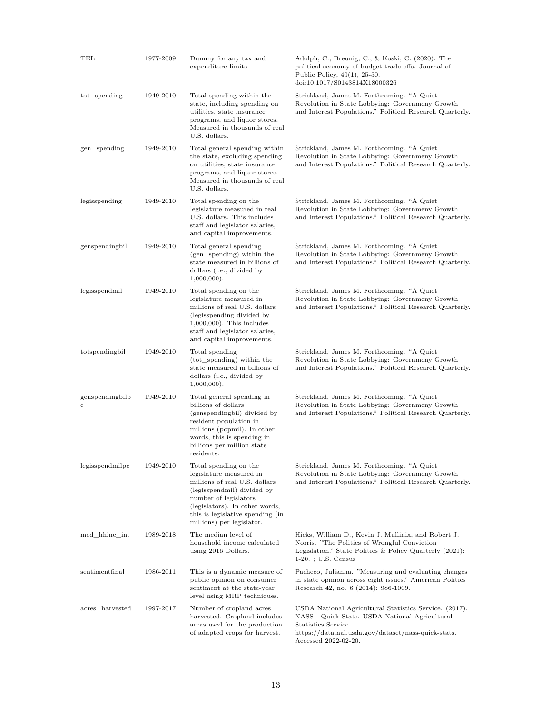| TEL                  | 1977-2009 | Dummy for any tax and<br>expenditure limits                                                                                                                                                                                                 | Adolph, C., Breunig, C., & Koski, C. (2020). The<br>political economy of budget trade-offs. Journal of<br>Public Policy, $40(1)$ , 25-50.<br>doi:10.1017/S0143814X18000326                                     |
|----------------------|-----------|---------------------------------------------------------------------------------------------------------------------------------------------------------------------------------------------------------------------------------------------|----------------------------------------------------------------------------------------------------------------------------------------------------------------------------------------------------------------|
| tot_spending         | 1949-2010 | Total spending within the<br>state, including spending on<br>utilities, state insurance<br>programs, and liquor stores.<br>Measured in thousands of real<br>U.S. dollars.                                                                   | Strickland, James M. Forthcoming. "A Quiet"<br>Revolution in State Lobbying: Governmeny Growth<br>and Interest Populations." Political Research Quarterly.                                                     |
| gen_spending         | 1949-2010 | Total general spending within<br>the state, excluding spending<br>on utilities, state insurance<br>programs, and liquor stores.<br>Measured in thousands of real<br>U.S. dollars.                                                           | Strickland, James M. Forthcoming. "A Quiet"<br>Revolution in State Lobbying: Governmeny Growth<br>and Interest Populations." Political Research Quarterly.                                                     |
| legisspending        | 1949-2010 | Total spending on the<br>legislature measured in real<br>U.S. dollars. This includes<br>staff and legislator salaries,<br>and capital improvements.                                                                                         | Strickland, James M. Forthcoming. "A Quiet<br>Revolution in State Lobbying: Governmeny Growth<br>and Interest Populations." Political Research Quarterly.                                                      |
| genspendingbil       | 1949-2010 | Total general spending<br>(gen_spending) within the<br>state measured in billions of<br>dollars (i.e., divided by<br>$1,000,000$ ).                                                                                                         | Strickland, James M. Forthcoming. "A Quiet<br>Revolution in State Lobbying: Governmeny Growth<br>and Interest Populations." Political Research Quarterly.                                                      |
| legisspendmil        | 1949-2010 | Total spending on the<br>legislature measured in<br>millions of real U.S. dollars<br>(legisspending divided by)<br>$1,000,000$ ). This includes<br>staff and legislator salaries,<br>and capital improvements.                              | Strickland, James M. Forthcoming. "A Quiet<br>Revolution in State Lobbying: Governmeny Growth<br>and Interest Populations." Political Research Quarterly.                                                      |
| totspendingbil       | 1949-2010 | Total spending<br>(tot_spending) within the<br>state measured in billions of<br>dollars (i.e., divided by<br>$1,000,000$ ).                                                                                                                 | Strickland, James M. Forthcoming. "A Quiet<br>Revolution in State Lobbying: Governmeny Growth<br>and Interest Populations." Political Research Quarterly.                                                      |
| genspendingbilp<br>C | 1949-2010 | Total general spending in<br>billions of dollars<br>(genspendingbil) divided by<br>resident population in<br>millions (popmil). In other<br>words, this is spending in<br>billions per million state<br>residents.                          | Strickland, James M. Forthcoming. "A Quiet<br>Revolution in State Lobbying: Governmeny Growth<br>and Interest Populations." Political Research Quarterly.                                                      |
| legisspendmilpc      | 1949-2010 | Total spending on the<br>legislature measured in<br>millions of real U.S. dollars<br>(legisspendmil) divided by<br>number of legislators<br>(legislators). In other words,<br>this is legislative spending (in<br>millions) per legislator. | Strickland, James M. Forthcoming. "A Quiet<br>Revolution in State Lobbying: Governmeny Growth<br>and Interest Populations." Political Research Quarterly.                                                      |
| med_hhinc_int        | 1989-2018 | The median level of<br>household income calculated<br>using 2016 Dollars.                                                                                                                                                                   | Hicks, William D., Kevin J. Mullinix, and Robert J.<br>Norris. "The Politics of Wrongful Conviction"<br>Legislation." State Politics & Policy Quarterly (2021):<br>$1-20.$ ; U.S. Census                       |
| sentimentfinal       | 1986-2011 | This is a dynamic measure of<br>public opinion on consumer<br>sentiment at the state-year<br>level using MRP techniques.                                                                                                                    | Pacheco, Julianna. "Measuring and evaluating changes<br>in state opinion across eight issues." American Politics<br>Research 42, no. 6 (2014): 986-1009.                                                       |
| acres harvested      | 1997-2017 | Number of cropland acres<br>harvested. Cropland includes<br>areas used for the production<br>of adapted crops for harvest.                                                                                                                  | USDA National Agricultural Statistics Service. (2017).<br>NASS - Quick Stats. USDA National Agricultural<br>Statistics Service.<br>https://data.nal.usda.gov/dataset/nass-quick-stats.<br>Accessed 2022-02-20. |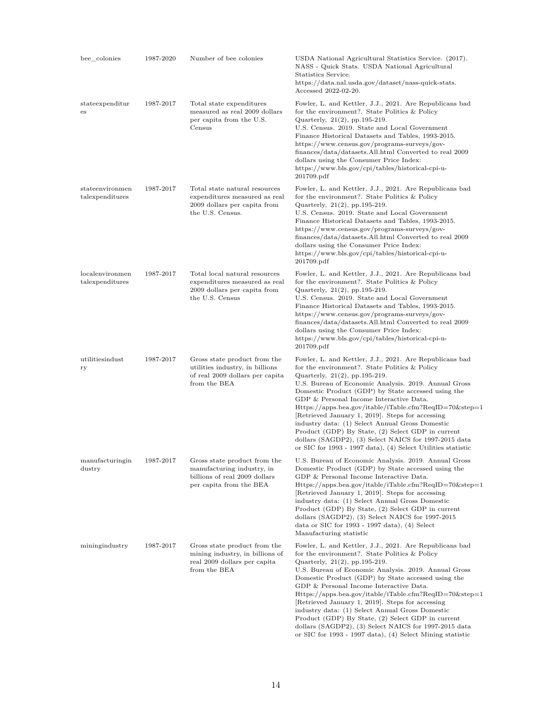| bee colonies                       | 1987-2020 | Number of bee colonies                                                                                                 | USDA National Agricultural Statistics Service. (2017).<br>NASS - Quick Stats. USDA National Agricultural<br>Statistics Service.<br>https://data.nal.usda.gov/dataset/nass-quick-stats.<br>Accessed 2022-02-20.                                                                                                                                                                                                                                                                                                                                                                                                                                                         |
|------------------------------------|-----------|------------------------------------------------------------------------------------------------------------------------|------------------------------------------------------------------------------------------------------------------------------------------------------------------------------------------------------------------------------------------------------------------------------------------------------------------------------------------------------------------------------------------------------------------------------------------------------------------------------------------------------------------------------------------------------------------------------------------------------------------------------------------------------------------------|
| state expenditur<br>es             | 1987-2017 | Total state expenditures<br>measured as real 2009 dollars<br>per capita from the U.S.<br>Census                        | Fowler, L. and Kettler, J.J., 2021. Are Republicans bad<br>for the environment?. State Politics & Policy<br>Quarterly, $21(2)$ , pp. 195-219.<br>U.S. Census. 2019. State and Local Government<br>Finance Historical Datasets and Tables, 1993-2015.<br>https://www.census.gov/programs-surveys/gov-<br>finances/data/datasets.All.html Converted to real 2009<br>dollars using the Consumer Price Index:<br>https://www.bls.gov/cpi/tables/historical-cpi-u-<br>201709.pdf                                                                                                                                                                                            |
| stateenvironmen<br>talexpenditures | 1987-2017 | Total state natural resources<br>expenditures measured as real<br>2009 dollars per capita from<br>the U.S. Census.     | Fowler, L. and Kettler, J.J., 2021. Are Republicans bad<br>for the environment?. State Politics & Policy<br>Quarterly, 21(2), pp.195-219.<br>U.S. Census. 2019. State and Local Government<br>Finance Historical Datasets and Tables, 1993-2015.<br>https://www.census.gov/programs-surveys/gov-<br>finances/data/datasets.All.html Converted to real 2009<br>dollars using the Consumer Price Index:<br>https://www.bls.gov/cpi/tables/historical-cpi-u-<br>201709.pdf                                                                                                                                                                                                |
| localenvironmen<br>talexpenditures | 1987-2017 | Total local natural resources<br>expenditures measured as real<br>2009 dollars per capita from<br>the U.S. Census      | Fowler, L. and Kettler, J.J., 2021. Are Republicans bad<br>for the environment?. State Politics & Policy<br>Quarterly, 21(2), pp.195-219.<br>U.S. Census. 2019. State and Local Government<br>Finance Historical Datasets and Tables, 1993-2015.<br>https://www.census.gov/programs-surveys/gov-<br>finances/data/datasets.All.html Converted to real 2009<br>dollars using the Consumer Price Index:<br>https://www.bls.gov/cpi/tables/historical-cpi-u-<br>201709.pdf                                                                                                                                                                                                |
| utilitiesindust<br>ry              | 1987-2017 | Gross state product from the<br>utilities industry, in billions<br>of real 2009 dollars per capita<br>from the BEA     | Fowler, L. and Kettler, J.J., 2021. Are Republicans bad<br>for the environment?. State Politics & Policy<br>Quarterly, $21(2)$ , pp. 195-219.<br>U.S. Bureau of Economic Analysis. 2019. Annual Gross<br>Domestic Product (GDP) by State accessed using the<br>GDP & Personal Income Interactive Data.<br>$\text{Htips:}/\text{/apps-bea.gov/itable/iTable.cfm?ReqID=70\&step=1}$<br>[Retrieved January 1, 2019]. Steps for accessing<br>industry data: (1) Select Annual Gross Domestic<br>Product (GDP) By State, (2) Select GDP in current<br>dollars (SAGDP2), (3) Select NAICS for 1997-2015 data<br>or SIC for 1993 - 1997 data), (4) Select Utilities statistic |
| manufacturingin<br>dustry          | 1987-2017 | Gross state product from the<br>manufacturing industry, in<br>billions of real 2009 dollars<br>per capita from the BEA | U.S. Bureau of Economic Analysis. 2019. Annual Gross<br>Domestic Product (GDP) by State accessed using the<br>GDP & Personal Income Interactive Data.<br>Https://apps.bea.gov/itable/iTable.cfm?ReqID=70&step=1<br>Retrieved January 1, 2019. Steps for accessing<br>industry data: (1) Select Annual Gross Domestic<br>Product (GDP) By State, (2) Select GDP in current<br>dollars (SAGDP2), (3) Select NAICS for 1997-2015<br>data or SIC for $1993 - 1997$ data), (4) Select<br>Manufacturing statistic                                                                                                                                                            |
| miningindustry                     | 1987-2017 | Gross state product from the<br>mining industry, in billions of<br>real 2009 dollars per capita<br>from the BEA        | Fowler, L. and Kettler, J.J., 2021. Are Republicans bad<br>for the environment?. State Politics & Policy<br>Quarterly, $21(2)$ , pp. 195-219.<br>U.S. Bureau of Economic Analysis. 2019. Annual Gross<br>Domestic Product (GDP) by State accessed using the<br>GDP & Personal Income Interactive Data.<br>$\mu$ Https://apps.bea.gov/itable/iTable.cfm?ReqID=70&step=1<br>Retrieved January 1, 2019. Steps for accessing<br>industry data: (1) Select Annual Gross Domestic<br>Product (GDP) By State, (2) Select GDP in current<br>dollars (SAGDP2), (3) Select NAICS for 1997-2015 data<br>or SIC for 1993 - 1997 data), (4) Select Mining statistic                 |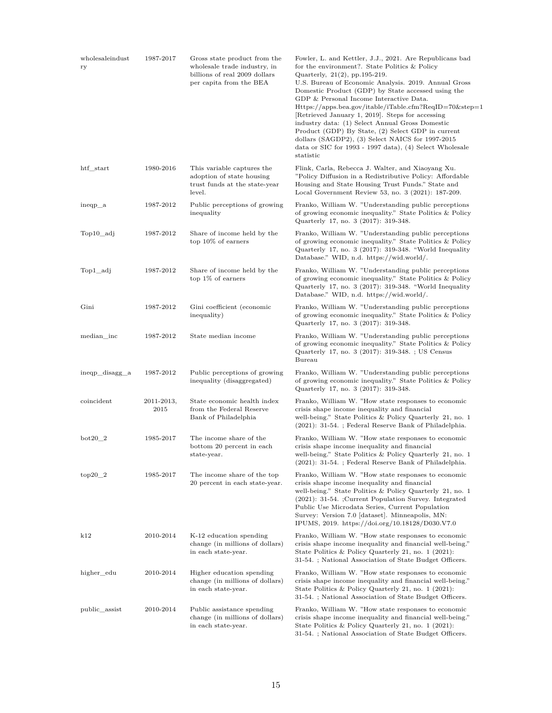| wholesaleindust<br>ry | 1987-2017          | Gross state product from the<br>wholesale trade industry, in<br>billions of real 2009 dollars<br>per capita from the BEA | Fowler, L. and Kettler, J.J., 2021. Are Republicans bad<br>for the environment?. State Politics & Policy<br>Quarterly, $21(2)$ , pp. 195-219.<br>U.S. Bureau of Economic Analysis. 2019. Annual Gross<br>Domestic Product (GDP) by State accessed using the<br>GDP & Personal Income Interactive Data.<br>$\text{Htips:}/\text{/apps-bea.gov/itable/iTable.cfm?}\text{ReqID}=70\&\text{step}=1$<br>[Retrieved January 1, 2019]. Steps for accessing<br>industry data: (1) Select Annual Gross Domestic<br>Product (GDP) By State, (2) Select GDP in current<br>dollars (SAGDP2), (3) Select NAICS for 1997-2015<br>data or SIC for 1993 - 1997 data), (4) Select Wholesale<br>statistic |
|-----------------------|--------------------|--------------------------------------------------------------------------------------------------------------------------|-----------------------------------------------------------------------------------------------------------------------------------------------------------------------------------------------------------------------------------------------------------------------------------------------------------------------------------------------------------------------------------------------------------------------------------------------------------------------------------------------------------------------------------------------------------------------------------------------------------------------------------------------------------------------------------------|
| htf_start             | 1980-2016          | This variable captures the<br>adoption of state housing<br>trust funds at the state-year<br>level.                       | Flink, Carla, Rebecca J. Walter, and Xiaoyang Xu.<br>"Policy Diffusion in a Redistributive Policy: Affordable<br>Housing and State Housing Trust Funds." State and<br>Local Government Review 53, no. 3 (2021): 187-209.                                                                                                                                                                                                                                                                                                                                                                                                                                                                |
| ineqp_a               | 1987-2012          | Public perceptions of growing<br>inequality                                                                              | Franko, William W. "Understanding public perceptions<br>of growing economic inequality." State Politics & Policy<br>Quarterly 17, no. 3 (2017): 319-348.                                                                                                                                                                                                                                                                                                                                                                                                                                                                                                                                |
| Top10 adj             | 1987-2012          | Share of income held by the<br>top $10\%$ of earners                                                                     | Franko, William W. "Understanding public perceptions<br>of growing economic inequality." State Politics & Policy<br>Quarterly 17, no. 3 (2017): 319-348. "World Inequality<br>Database." WID, n.d. https://wid.world/.                                                                                                                                                                                                                                                                                                                                                                                                                                                                  |
| Top1_adj              | 1987-2012          | Share of income held by the<br>top $1\%$ of earners                                                                      | Franko, William W. "Understanding public perceptions<br>of growing economic inequality." State Politics & Policy<br>Quarterly 17, no. 3 (2017): 319-348. "World Inequality<br>Database." WID, n.d. https://wid.world/.                                                                                                                                                                                                                                                                                                                                                                                                                                                                  |
| Gini                  | 1987-2012          | Gini coefficient (economic<br>inequality)                                                                                | Franko, William W. "Understanding public perceptions<br>of growing economic inequality." State Politics & Policy<br>Quarterly 17, no. 3 (2017): 319-348.                                                                                                                                                                                                                                                                                                                                                                                                                                                                                                                                |
| median inc            | 1987-2012          | State median income                                                                                                      | Franko, William W. "Understanding public perceptions<br>of growing economic inequality." State Politics & Policy<br>Quarterly 17, no. 3 (2017): 319-348. ; US Census<br>Bureau                                                                                                                                                                                                                                                                                                                                                                                                                                                                                                          |
| ineqp_disagg_a        | 1987-2012          | Public perceptions of growing<br>inequality (disaggregated)                                                              | Franko, William W. "Understanding public perceptions<br>of growing economic inequality." State Politics & Policy<br>Quarterly 17, no. 3 (2017): 319-348.                                                                                                                                                                                                                                                                                                                                                                                                                                                                                                                                |
| coincident            | 2011-2013,<br>2015 | State economic health index<br>from the Federal Reserve<br>Bank of Philadelphia                                          | Franko, William W. "How state responses to economic<br>crisis shape income inequality and financial<br>well-being." State Politics & Policy Quarterly 21, no. 1<br>(2021): 31-54. ; Federal Reserve Bank of Philadelphia.                                                                                                                                                                                                                                                                                                                                                                                                                                                               |
| $bot20$ 2             | 1985-2017          | The income share of the<br>bottom 20 percent in each<br>state-year.                                                      | Franko, William W. "How state responses to economic<br>crisis shape income inequality and financial<br>well-being." State Politics & Policy Quarterly 21, no. 1<br>(2021): 31-54. ; Federal Reserve Bank of Philadelphia.                                                                                                                                                                                                                                                                                                                                                                                                                                                               |
| $top20_2$             | 1985-2017          | The income share of the top<br>20 percent in each state-year.                                                            | Franko, William W. "How state responses to economic<br>crisis shape income inequality and financial<br>well-being." State Politics & Policy Quarterly 21, no. 1<br>$(2021):$ 31-54. ; Current Population Survey. Integrated<br>Public Use Microdata Series, Current Population<br>Survey: Version 7.0 [dataset]. Minneapolis, MN:<br>IPUMS, 2019. https://doi.org/10.18128/D030.V7.0                                                                                                                                                                                                                                                                                                    |
| k12                   | 2010-2014          | K-12 education spending<br>change (in millions of dollars)<br>in each state-year.                                        | Franko, William W. "How state responses to economic<br>crisis shape income inequality and financial well-being."<br>State Politics & Policy Quarterly 21, no. 1 (2021):<br>31-54. ; National Association of State Budget Officers.                                                                                                                                                                                                                                                                                                                                                                                                                                                      |
| higher edu            | 2010-2014          | Higher education spending<br>change (in millions of dollars)<br>in each state-year.                                      | Franko, William W. "How state responses to economic<br>crisis shape income inequality and financial well-being."<br>State Politics & Policy Quarterly 21, no. 1 (2021):<br>31-54. ; National Association of State Budget Officers.                                                                                                                                                                                                                                                                                                                                                                                                                                                      |
| public assist         | 2010-2014          | Public assistance spending<br>change (in millions of dollars)<br>in each state-year.                                     | Franko, William W. "How state responses to economic<br>crisis shape income inequality and financial well-being."<br>State Politics & Policy Quarterly 21, no. 1 (2021):<br>31-54. ; National Association of State Budget Officers.                                                                                                                                                                                                                                                                                                                                                                                                                                                      |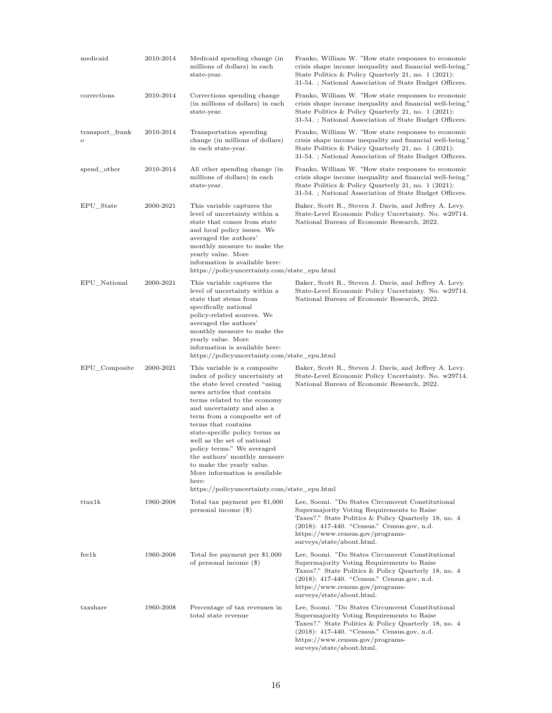| medicaid                   | 2010-2014 | Medicaid spending change (in<br>millions of dollars) in each<br>state-year.                                                                                                                                                                                                                                                                                                                                                                                                                                | Franko, William W. "How state responses to economic<br>crisis shape income inequality and financial well-being."<br>State Politics & Policy Quarterly 21, no. 1 (2021):<br>31-54. ; National Association of State Budget Officers.                                       |
|----------------------------|-----------|------------------------------------------------------------------------------------------------------------------------------------------------------------------------------------------------------------------------------------------------------------------------------------------------------------------------------------------------------------------------------------------------------------------------------------------------------------------------------------------------------------|--------------------------------------------------------------------------------------------------------------------------------------------------------------------------------------------------------------------------------------------------------------------------|
| corrections                | 2010-2014 | Corrections spending change<br>(in millions of dollars) in each<br>state-year.                                                                                                                                                                                                                                                                                                                                                                                                                             | Franko, William W. "How state responses to economic<br>crisis shape income inequality and financial well-being."<br>State Politics & Policy Quarterly 21, no. 1 (2021):<br>31-54.; National Association of State Budget Officers.                                        |
| transport_frank<br>$\circ$ | 2010-2014 | Transportation spending<br>change (in millions of dollars)<br>in each state-year.                                                                                                                                                                                                                                                                                                                                                                                                                          | Franko, William W. "How state responses to economic<br>crisis shape income inequality and financial well-being."<br>State Politics & Policy Quarterly 21, no. 1 (2021):<br>31-54.; National Association of State Budget Officers.                                        |
| spend_other                | 2010-2014 | All other spending change (in<br>millions of dollars) in each<br>state-year.                                                                                                                                                                                                                                                                                                                                                                                                                               | Franko, William W. "How state responses to economic<br>crisis shape income inequality and financial well-being."<br>State Politics & Policy Quarterly 21, no. 1 (2021):<br>31-54.; National Association of State Budget Officers.                                        |
| EPU_State                  | 2000-2021 | This variable captures the<br>level of uncertainty within a<br>state that comes from state<br>and local policy issues. We<br>averaged the authors'<br>monthly measure to make the<br>yearly value. More<br>information is available here:<br>https://policyuncertainty.com/state_epu.html                                                                                                                                                                                                                  | Baker, Scott R., Steven J. Davis, and Jeffrey A. Levy.<br>State-Level Economic Policy Uncertainty. No. w29714.<br>National Bureau of Economic Research, 2022.                                                                                                            |
| EPU_National               | 2000-2021 | This variable captures the<br>level of uncertainty within a<br>state that stems from<br>specifically national<br>policy-related sources. We<br>averaged the authors'<br>monthly measure to make the<br>yearly value. More<br>information is available here:<br>https://policyuncertainty.com/state_epu.html                                                                                                                                                                                                | Baker, Scott R., Steven J. Davis, and Jeffrey A. Levy.<br>State-Level Economic Policy Uncertainty. No. w29714.<br>National Bureau of Economic Research, 2022.                                                                                                            |
| EPU_Composite              | 2000-2021 | This variable is a composite<br>index of policy uncertainty at<br>the state level created "using"<br>news articles that contain<br>terms related to the economy<br>and uncertainty and also a<br>term from a composite set of<br>terms that contains<br>state-specific policy terms as<br>well as the set of national<br>policy terms." We averaged<br>the authors' monthly measure<br>to make the yearly value.<br>More information is available<br>here:<br>https://policyuncertainty.com/state_epu.html | Baker, Scott R., Steven J. Davis, and Jeffrey A. Levy.<br>State-Level Economic Policy Uncertainty. No. w29714.<br>National Bureau of Economic Research, 2022.                                                                                                            |
| ttax1k                     | 1960-2008 | Total tax payment per \$1,000<br>personal income (\$)                                                                                                                                                                                                                                                                                                                                                                                                                                                      | Lee, Soomi. "Do States Circumvent Constitutional<br>Supermajority Voting Requirements to Raise<br>Taxes?." State Politics & Policy Quarterly 18, no. 4<br>(2018): 417-440. "Census." Census.gov, n.d.<br>https://www.census.gov/programs-<br>surveys/state/about.html.   |
| feelk                      | 1960-2008 | Total fee payment per \$1,000<br>of personal income $(\$)$                                                                                                                                                                                                                                                                                                                                                                                                                                                 | Lee, Soomi. "Do States Circumvent Constitutional<br>Supermajority Voting Requirements to Raise<br>Taxes?." State Politics & Policy Quarterly 18, no. 4<br>$(2018): 417-440.$ "Census." Census.gov, n.d.<br>https://www.census.gov/programs-<br>surveys/state/about.html. |
| taxshare                   | 1960-2008 | Percentage of tax revenues in<br>total state revenue                                                                                                                                                                                                                                                                                                                                                                                                                                                       | Lee, Soomi. "Do States Circumvent Constitutional<br>Supermajority Voting Requirements to Raise<br>Taxes?." State Politics & Policy Quarterly 18, no. 4<br>(2018): 417-440. "Census." Census.gov, n.d.<br>https://www.census.gov/programs-<br>surveys/state/about.html.   |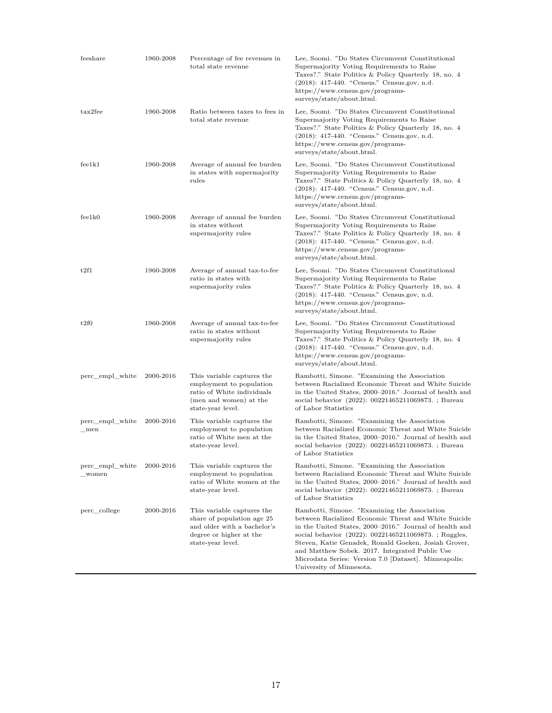| feeshare                 | 1960-2008 | Percentage of fee revenues in<br>total state revenue                                                                                    | Lee, Soomi. "Do States Circumvent Constitutional<br>Supermajority Voting Requirements to Raise<br>Taxes?." State Politics & Policy Quarterly 18, no. 4<br>(2018): 417-440. "Census." Census.gov, n.d.<br>https://www.census.gov/programs-<br>surveys/state/about.html.                                                                                                                                                  |
|--------------------------|-----------|-----------------------------------------------------------------------------------------------------------------------------------------|-------------------------------------------------------------------------------------------------------------------------------------------------------------------------------------------------------------------------------------------------------------------------------------------------------------------------------------------------------------------------------------------------------------------------|
| tax2fee                  | 1960-2008 | Ratio between taxes to fees in<br>total state revenue                                                                                   | Lee, Soomi. "Do States Circumvent Constitutional<br>Supermajority Voting Requirements to Raise<br>Taxes?." State Politics & Policy Quarterly 18, no. 4<br>(2018): 417-440. "Census." Census.gov, n.d.<br>https://www.census.gov/programs-<br>surveys/state/about.html.                                                                                                                                                  |
| feelk1                   | 1960-2008 | Average of annual fee burden<br>in states with supermajority<br>rules                                                                   | Lee, Soomi. "Do States Circumvent Constitutional<br>Supermajority Voting Requirements to Raise<br>Taxes?." State Politics & Policy Quarterly 18, no. 4<br>(2018): 417-440. "Census." Census.gov, n.d.<br>https://www.census.gov/programs-<br>surveys/state/about.html.                                                                                                                                                  |
| feelk0                   | 1960-2008 | Average of annual fee burden<br>in states without<br>supermajority rules                                                                | Lee, Soomi. "Do States Circumvent Constitutional<br>Supermajority Voting Requirements to Raise<br>Taxes?." State Politics & Policy Quarterly 18, no. 4<br>(2018): 417-440. "Census." Census.gov, n.d.<br>https://www.census.gov/programs-<br>surveys/state/about.html.                                                                                                                                                  |
| t2f1                     | 1960-2008 | Average of annual tax-to-fee<br>ratio in states with<br>supermajority rules                                                             | Lee, Soomi. "Do States Circumvent Constitutional<br>Supermajority Voting Requirements to Raise<br>Taxes?." State Politics & Policy Quarterly 18, no. 4<br>(2018): 417-440. "Census." Census.gov, n.d.<br>https://www.census.gov/programs-<br>surveys/state/about.html.                                                                                                                                                  |
| t2f0                     | 1960-2008 | Average of annual tax-to-fee<br>ratio in states without<br>supermajority rules                                                          | Lee, Soomi. "Do States Circumvent Constitutional<br>Supermajority Voting Requirements to Raise<br>Taxes?." State Politics & Policy Quarterly 18, no. 4<br>(2018): 417-440. "Census." Census.gov, n.d.<br>https://www.census.gov/programs-<br>surveys/state/about.html.                                                                                                                                                  |
| perc_empl_white          | 2000-2016 | This variable captures the<br>employment to population<br>ratio of White individuals<br>(men and women) at the<br>state-year level.     | Rambotti, Simone. "Examining the Association"<br>between Racialized Economic Threat and White Suicide<br>in the United States, 2000–2016." Journal of health and<br>social behavior (2022): 00221465211069873. ; Bureau<br>of Labor Statistics                                                                                                                                                                          |
| perc_empl_white<br>_men  | 2000-2016 | This variable captures the<br>employment to population<br>ratio of White men at the<br>state-year level.                                | Rambotti, Simone. "Examining the Association"<br>between Racialized Economic Threat and White Suicide<br>in the United States, 2000–2016." Journal of health and<br>social behavior (2022): 00221465211069873.; Bureau<br>of Labor Statistics                                                                                                                                                                           |
| perc_empl_white<br>women | 2000-2016 | This variable captures the<br>employment to population<br>ratio of White women at the<br>state-year level.                              | Rambotti, Simone. "Examining the Association"<br>between Racialized Economic Threat and White Suicide<br>in the United States, 2000–2016." Journal of health and<br>social behavior (2022): 00221465211069873. ; Bureau<br>of Labor Statistics                                                                                                                                                                          |
| perc college             | 2000-2016 | This variable captures the<br>share of population age 25<br>and older with a bachelor's<br>degree or higher at the<br>state-year level. | Rambotti, Simone. "Examining the Association"<br>between Racialized Economic Threat and White Suicide<br>in the United States, 2000-2016." Journal of health and<br>social behavior (2022): 00221465211069873.; Ruggles,<br>Steven, Katie Genadek, Ronald Goeken, Josiah Grover,<br>and Matthew Sobek. 2017. Integrated Public Use<br>Microdata Series: Version 7.0 [Dataset]. Minneapolis:<br>University of Minnesota. |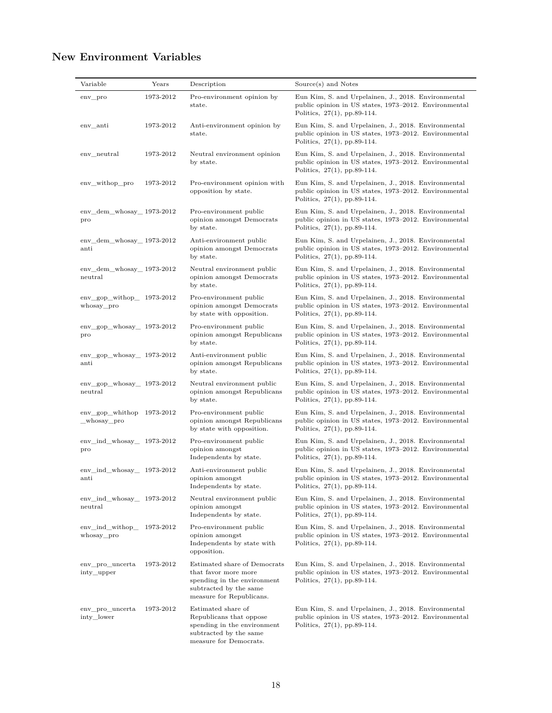# **New Environment Variables**

| Variable                                                | Years     | Description                                                                                                                               | Source(s) and Notes                                                                                                                            |
|---------------------------------------------------------|-----------|-------------------------------------------------------------------------------------------------------------------------------------------|------------------------------------------------------------------------------------------------------------------------------------------------|
| env_pro                                                 | 1973-2012 | Pro-environment opinion by<br>state.                                                                                                      | Eun Kim, S. and Urpelainen, J., 2018. Environmental<br>public opinion in US states, 1973–2012. Environmental<br>Politics, $27(1)$ , pp.89-114. |
| env_anti                                                | 1973-2012 | Anti-environment opinion by<br>state.                                                                                                     | Eun Kim, S. and Urpelainen, J., 2018. Environmental<br>public opinion in US states, 1973–2012. Environmental<br>Politics, $27(1)$ , pp.89-114. |
| env_neutral                                             | 1973-2012 | Neutral environment opinion<br>by state.                                                                                                  | Eun Kim, S. and Urpelainen, J., 2018. Environmental<br>public opinion in US states, 1973–2012. Environmental<br>Politics, 27(1), pp.89-114.    |
| env_withop_pro                                          | 1973-2012 | Pro-environment opinion with<br>opposition by state.                                                                                      | Eun Kim, S. and Urpelainen, J., 2018. Environmental<br>public opinion in US states, 1973-2012. Environmental<br>Politics, $27(1)$ , pp.89-114. |
| $env$ <sub>_</sub> dem_whosay_ $1973-2012$<br>pro       |           | Pro-environment public<br>opinion amongst Democrats<br>by state.                                                                          | Eun Kim, S. and Urpelainen, J., 2018. Environmental<br>public opinion in US states, 1973–2012. Environmental<br>Politics, $27(1)$ , pp.89-114. |
| $env$ <sub>_</sub> dem_whosay_ $1973-2012$<br>anti      |           | Anti-environment public<br>opinion amongst Democrats<br>by state.                                                                         | Eun Kim, S. and Urpelainen, J., 2018. Environmental<br>public opinion in US states, 1973–2012. Environmental<br>Politics, $27(1)$ , pp.89-114. |
| env dem whosay 1973-2012<br>neutral                     |           | Neutral environment public<br>opinion amongst Democrats<br>by state.                                                                      | Eun Kim, S. and Urpelainen, J., 2018. Environmental<br>public opinion in US states, 1973–2012. Environmental<br>Politics, $27(1)$ , pp.89-114. |
| env gop with $1973-2012$<br>whosay pro                  |           | Pro-environment public<br>opinion amongst Democrats<br>by state with opposition.                                                          | Eun Kim, S. and Urpelainen, J., 2018. Environmental<br>public opinion in US states, 1973–2012. Environmental<br>Politics, $27(1)$ , pp.89-114. |
| env gop whosay $1973-2012$<br>pro                       |           | Pro-environment public<br>opinion amongst Republicans<br>by state.                                                                        | Eun Kim, S. and Urpelainen, J., 2018. Environmental<br>public opinion in US states, 1973-2012. Environmental<br>Politics, $27(1)$ , pp.89-114. |
| $env\_gop_w$ hosay $_1973-2012$<br>anti                 |           | Anti-environment public<br>opinion amongst Republicans<br>by state.                                                                       | Eun Kim, S. and Urpelainen, J., 2018. Environmental<br>public opinion in US states, 1973–2012. Environmental<br>Politics, 27(1), pp.89-114.    |
| $env\_gop_whosay\_ 1973-2012$<br>neutral                |           | Neutral environment public<br>opinion amongst Republicans<br>by state.                                                                    | Eun Kim, S. and Urpelainen, J., 2018. Environmental<br>public opinion in US states, 1973–2012. Environmental<br>Politics, $27(1)$ , pp.89-114. |
| $env\_gop\_whithop 1973-2012$<br>_whosay_pro            |           | Pro-environment public<br>opinion amongst Republicans<br>by state with opposition.                                                        | Eun Kim, S. and Urpelainen, J., 2018. Environmental<br>public opinion in US states, 1973–2012. Environmental<br>Politics, $27(1)$ , pp.89-114. |
| $env\_ind\_whosay\_ 1973-2012$<br>pro                   |           | Pro-environment public<br>opinion amongst<br>Independents by state.                                                                       | Eun Kim, S. and Urpelainen, J., 2018. Environmental<br>public opinion in US states, 1973–2012. Environmental<br>Politics, 27(1), pp.89-114.    |
| $env\_ind\_whosay\_ 1973-2012$<br>$\operatorname{anti}$ |           | Anti-environment public<br>opinion amongst<br>Independents by state.                                                                      | Eun Kim, S. and Urpelainen, J., 2018. Environmental<br>public opinion in US states, 1973-2012. Environmental<br>Politics, $27(1)$ , pp.89-114. |
| env_ind_whosay_ 1973-2012<br>neutral                    |           | Neutral environment public<br>opinion amongst<br>Independents by state.                                                                   | Eun Kim, S. and Urpelainen, J., 2018. Environmental<br>public opinion in US states, 1973–2012. Environmental<br>Politics, $27(1)$ , pp.89-114. |
| env_ind_withop_<br>whosay_pro                           | 1973-2012 | Pro-environment public<br>opinion amongst<br>Independents by state with<br>opposition.                                                    | Eun Kim, S. and Urpelainen, J., 2018. Environmental<br>public opinion in US states, 1973–2012. Environmental<br>Politics, $27(1)$ , pp.89-114. |
| env_pro_uncerta<br>inty_upper                           | 1973-2012 | Estimated share of Democrats<br>that favor more more<br>spending in the environment<br>subtracted by the same<br>measure for Republicans. | Eun Kim, S. and Urpelainen, J., 2018. Environmental<br>public opinion in US states, 1973-2012. Environmental<br>Politics, $27(1)$ , pp.89-114. |
| env_pro_uncerta<br>inty_lower                           | 1973-2012 | Estimated share of<br>Republicans that oppose<br>spending in the environment<br>subtracted by the same<br>measure for Democrats.          | Eun Kim, S. and Urpelainen, J., 2018. Environmental<br>public opinion in US states, 1973–2012. Environmental<br>Politics, $27(1)$ , pp.89-114. |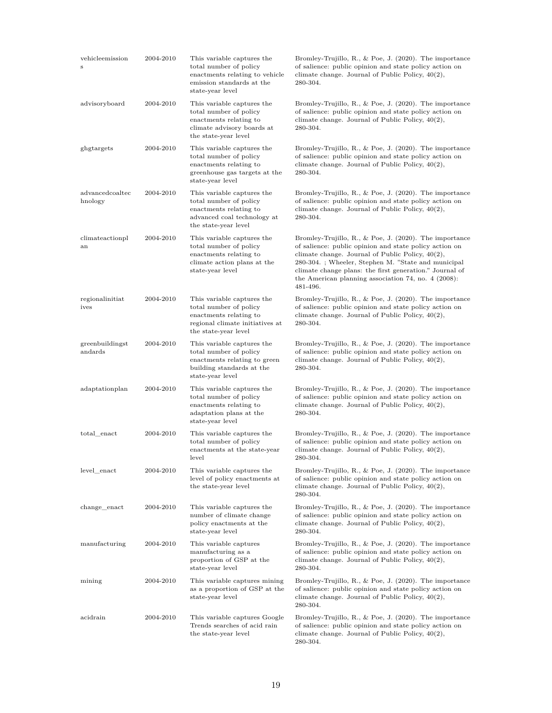| vehicleemission<br>S       | 2004-2010 | This variable captures the<br>total number of policy<br>enactments relating to vehicle<br>emission standards at the<br>state-year level   | Bromley-Trujillo, R., & Poe, J. (2020). The importance<br>of salience: public opinion and state policy action on<br>climate change. Journal of Public Policy, $40(2)$ ,<br>280-304.                                                                                                                                                                              |
|----------------------------|-----------|-------------------------------------------------------------------------------------------------------------------------------------------|------------------------------------------------------------------------------------------------------------------------------------------------------------------------------------------------------------------------------------------------------------------------------------------------------------------------------------------------------------------|
| advisoryboard              | 2004-2010 | This variable captures the<br>total number of policy<br>enactments relating to<br>climate advisory boards at<br>the state-year level      | Bromley-Trujillo, R., & Poe, J. $(2020)$ . The importance<br>of salience: public opinion and state policy action on<br>climate change. Journal of Public Policy, $40(2)$ ,<br>280-304.                                                                                                                                                                           |
| ghgtargets                 | 2004-2010 | This variable captures the<br>total number of policy<br>enactments relating to<br>greenhouse gas targets at the<br>state-year level       | Bromley-Trujillo, R., & Poe, J. $(2020)$ . The importance<br>of salience: public opinion and state policy action on<br>climate change. Journal of Public Policy, $40(2)$ ,<br>280-304.                                                                                                                                                                           |
| advancedcoaltec<br>hnology | 2004-2010 | This variable captures the<br>total number of policy<br>enactments relating to<br>advanced coal technology at<br>the state-year level     | Bromley-Trujillo, R., & Poe, J. $(2020)$ . The importance<br>of salience: public opinion and state policy action on<br>climate change. Journal of Public Policy, $40(2)$ ,<br>280-304.                                                                                                                                                                           |
| climateactionpl<br>an      | 2004-2010 | This variable captures the<br>total number of policy<br>enactments relating to<br>climate action plans at the<br>state-year level         | Bromley-Trujillo, R., & Poe, J. (2020). The importance<br>of salience: public opinion and state policy action on<br>climate change. Journal of Public Policy, $40(2)$ ,<br>280-304.; Wheeler, Stephen M. "State and municipal<br>climate change plans: the first generation." Journal of<br>the American planning association $74$ , no. $4$ (2008):<br>481-496. |
| regionalinitiat<br>ives    | 2004-2010 | This variable captures the<br>total number of policy<br>enactments relating to<br>regional climate initiatives at<br>the state-year level | Bromley-Trujillo, R., & Poe, J. (2020). The importance<br>of salience: public opinion and state policy action on<br>climate change. Journal of Public Policy, $40(2)$ ,<br>280-304.                                                                                                                                                                              |
| greenbuildingst<br>andards | 2004-2010 | This variable captures the<br>total number of policy<br>enactments relating to green<br>building standards at the<br>state-year level     | Bromley-Trujillo, R., & Poe, J. $(2020)$ . The importance<br>of salience: public opinion and state policy action on<br>climate change. Journal of Public Policy, $40(2)$ ,<br>280-304.                                                                                                                                                                           |
| adaptationplan             | 2004-2010 | This variable captures the<br>total number of policy<br>enactments relating to<br>adaptation plans at the<br>state-year level             | Bromley-Trujillo, R., & Poe, J. $(2020)$ . The importance<br>of salience: public opinion and state policy action on<br>climate change. Journal of Public Policy, $40(2)$ ,<br>280-304.                                                                                                                                                                           |
| total enact                | 2004-2010 | This variable captures the<br>total number of policy<br>enactments at the state-year<br><b>level</b>                                      | Bromley-Trujillo, R., & Poe, J. (2020). The importance<br>of salience: public opinion and state policy action on<br>climate change. Journal of Public Policy, $40(2)$ ,<br>280-304.                                                                                                                                                                              |
| level enact                | 2004-2010 | This variable captures the<br>level of policy enactments at<br>the state-year level                                                       | Bromley-Trujillo, R., & Poe, J. (2020). The importance<br>of salience: public opinion and state policy action on<br>climate change. Journal of Public Policy, $40(2)$ ,<br>280-304.                                                                                                                                                                              |
| change_enact               | 2004-2010 | This variable captures the<br>number of climate change<br>policy enactments at the<br>state-year level                                    | Bromley-Trujillo, R., & Poe, J. $(2020)$ . The importance<br>of salience: public opinion and state policy action on<br>climate change. Journal of Public Policy, $40(2)$ ,<br>280-304.                                                                                                                                                                           |
| manufacturing              | 2004-2010 | This variable captures<br>manufacturing as a<br>proportion of GSP at the<br>state-year level                                              | Bromley-Trujillo, R., & Poe, J. (2020). The importance<br>of salience: public opinion and state policy action on<br>climate change. Journal of Public Policy, $40(2)$ ,<br>280-304.                                                                                                                                                                              |
| mining                     | 2004-2010 | This variable captures mining<br>as a proportion of GSP at the<br>state-year level                                                        | Bromley-Trujillo, R., & Poe, J. (2020). The importance<br>of salience: public opinion and state policy action on<br>climate change. Journal of Public Policy, $40(2)$ ,<br>280-304.                                                                                                                                                                              |
| acidrain                   | 2004-2010 | This variable captures Google<br>Trends searches of acid rain<br>the state-year level                                                     | Bromley-Trujillo, R., & Poe, J. (2020). The importance<br>of salience: public opinion and state policy action on<br>climate change. Journal of Public Policy, $40(2)$ ,<br>280-304.                                                                                                                                                                              |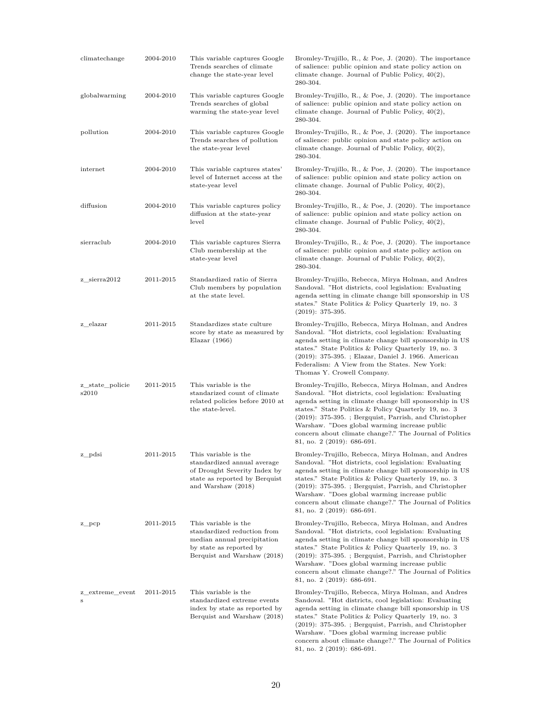| climatechange               | 2004-2010 | This variable captures Google<br>Trends searches of climate<br>change the state-year level                                                   | Bromley-Trujillo, R., & Poe, J. $(2020)$ . The importance<br>of salience: public opinion and state policy action on<br>climate change. Journal of Public Policy, $40(2)$ ,<br>280-304.                                                                                                                                                                                                                                                   |
|-----------------------------|-----------|----------------------------------------------------------------------------------------------------------------------------------------------|------------------------------------------------------------------------------------------------------------------------------------------------------------------------------------------------------------------------------------------------------------------------------------------------------------------------------------------------------------------------------------------------------------------------------------------|
| globalwarming               | 2004-2010 | This variable captures Google<br>Trends searches of global<br>warming the state-year level                                                   | Bromley-Trujillo, R., & Poe, J. $(2020)$ . The importance<br>of salience: public opinion and state policy action on<br>climate change. Journal of Public Policy, $40(2)$ ,<br>280-304.                                                                                                                                                                                                                                                   |
| pollution                   | 2004-2010 | This variable captures Google<br>Trends searches of pollution<br>the state-year level                                                        | Bromley-Trujillo, R., & Poe, J. $(2020)$ . The importance<br>of salience: public opinion and state policy action on<br>climate change. Journal of Public Policy, $40(2)$ ,<br>280-304.                                                                                                                                                                                                                                                   |
| internet                    | 2004-2010 | This variable captures states'<br>level of Internet access at the<br>state-year level                                                        | Bromley-Trujillo, R., & Poe, J. $(2020)$ . The importance<br>of salience: public opinion and state policy action on<br>climate change. Journal of Public Policy, $40(2)$ ,<br>280-304.                                                                                                                                                                                                                                                   |
| diffusion                   | 2004-2010 | This variable captures policy<br>diffusion at the state-year<br>level                                                                        | Bromley-Trujillo, R., & Poe, J. $(2020)$ . The importance<br>of salience: public opinion and state policy action on<br>climate change. Journal of Public Policy, $40(2)$ ,<br>280-304.                                                                                                                                                                                                                                                   |
| sierraclub                  | 2004-2010 | This variable captures Sierra<br>Club membership at the<br>state-year level                                                                  | Bromley-Trujillo, R., & Poe, J. $(2020)$ . The importance<br>of salience: public opinion and state policy action on<br>climate change. Journal of Public Policy, $40(2)$ ,<br>280-304.                                                                                                                                                                                                                                                   |
| z sierra2012                | 2011-2015 | Standardized ratio of Sierra<br>Club members by population<br>at the state level.                                                            | Bromley-Trujillo, Rebecca, Mirya Holman, and Andres<br>Sandoval. "Hot districts, cool legislation: Evaluating<br>agenda setting in climate change bill sponsorship in US<br>states." State Politics & Policy Quarterly 19, no. 3<br>$(2019): 375-395.$                                                                                                                                                                                   |
| z elazar                    | 2011-2015 | Standardizes state culture<br>score by state as measured by<br>Elazar $(1966)$                                                               | Bromley-Trujillo, Rebecca, Mirya Holman, and Andres<br>Sandoval. "Hot districts, cool legislation: Evaluating<br>agenda setting in climate change bill sponsorship in US<br>states." State Politics & Policy Quarterly 19, no. 3<br>(2019): 375-395. ; Elazar, Daniel J. 1966. American<br>Federalism: A View from the States. New York:<br>Thomas Y. Crowell Company.                                                                   |
| z_state_policie<br>s2010    | 2011-2015 | This variable is the<br>standarized count of climate<br>related policies before 2010 at<br>the state-level.                                  | Bromley-Trujillo, Rebecca, Mirya Holman, and Andres<br>Sandoval. "Hot districts, cool legislation: Evaluating<br>agenda setting in climate change bill sponsorship in US<br>states." State Politics & Policy Quarterly 19, no. 3<br>$(2019)$ : 375-395.; Bergquist, Parrish, and Christopher<br>Warshaw. "Does global warming increase public<br>concern about climate change?." The Journal of Politics<br>81, no. $2(2019)$ : 686-691. |
| z_pdsi                      | 2011-2015 | This variable is the<br>standardized annual average<br>of Drought Severity Index by<br>state as reported by Berquist<br>and Warshaw (2018)   | Bromley-Trujillo, Rebecca, Mirya Holman, and Andres<br>Sandoval. "Hot districts, cool legislation: Evaluating<br>agenda setting in climate change bill sponsorship in US<br>states." State Politics & Policy Quarterly 19, no. 3<br>$(2019)$ : 375-395.; Bergquist, Parrish, and Christopher<br>Warshaw. "Does global warming increase public<br>concern about climate change?." The Journal of Politics<br>81, no. 2 (2019): 686-691.   |
| $z$ <sub>pc</sub> $p$ c $p$ | 2011-2015 | This variable is the<br>standardized reduction from<br>median annual precipitation<br>by state as reported by<br>Berquist and Warshaw (2018) | Bromley-Trujillo, Rebecca, Mirya Holman, and Andres<br>Sandoval. "Hot districts, cool legislation: Evaluating<br>agenda setting in climate change bill sponsorship in US<br>states." State Politics & Policy Quarterly 19, no. 3<br>$(2019)$ : 375-395.; Bergquist, Parrish, and Christopher<br>Warshaw. "Does global warming increase public<br>concern about climate change?." The Journal of Politics<br>81, no. 2 (2019): 686-691.   |
| z_extreme_event<br>S        | 2011-2015 | This variable is the<br>standardized extreme events<br>index by state as reported by<br>Berquist and Warshaw (2018)                          | Bromley-Trujillo, Rebecca, Mirya Holman, and Andres<br>Sandoval. "Hot districts, cool legislation: Evaluating<br>agenda setting in climate change bill sponsorship in US<br>states." State Politics & Policy Quarterly 19, no. 3<br>$(2019)$ : 375-395.; Bergquist, Parrish, and Christopher<br>Warshaw. "Does global warming increase public<br>concern about climate change?." The Journal of Politics                                 |

81, no. 2 (2019): 686-691.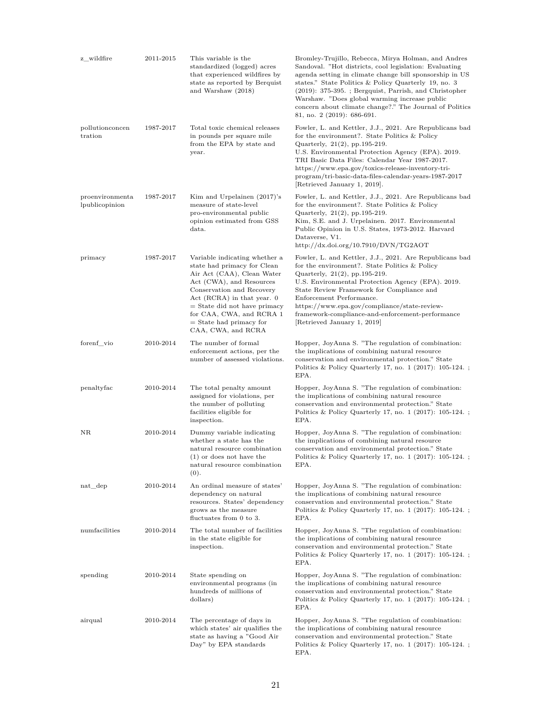| z_wildfire                        | 2011-2015 | This variable is the<br>standardized (logged) acres<br>that experienced wildfires by<br>state as reported by Berquist<br>and Warshaw (2018)                                                                                                                                                        | Bromley-Trujillo, Rebecca, Mirya Holman, and Andres<br>Sandoval. "Hot districts, cool legislation: Evaluating<br>agenda setting in climate change bill sponsorship in US<br>states." State Politics & Policy Quarterly 19, no. 3<br>$(2019):$ 375-395.; Bergquist, Parrish, and Christopher<br>Warshaw. "Does global warming increase public<br>concern about climate change?." The Journal of Politics<br>81, no. 2 $(2019)$ : 686-691. |
|-----------------------------------|-----------|----------------------------------------------------------------------------------------------------------------------------------------------------------------------------------------------------------------------------------------------------------------------------------------------------|------------------------------------------------------------------------------------------------------------------------------------------------------------------------------------------------------------------------------------------------------------------------------------------------------------------------------------------------------------------------------------------------------------------------------------------|
| pollutionconcen<br>tration        | 1987-2017 | Total toxic chemical releases<br>in pounds per square mile<br>from the EPA by state and<br>year.                                                                                                                                                                                                   | Fowler, L. and Kettler, J.J., 2021. Are Republicans bad<br>for the environment?. State Politics & Policy<br>Quarterly, $21(2)$ , pp. 195-219.<br>U.S. Environmental Protection Agency (EPA). 2019.<br>TRI Basic Data Files: Calendar Year 1987-2017.<br>https://www.epa.gov/toxics-release-inventory-tri-<br>program/tri-basic-data-files-calendar-years-1987-2017<br>Retrieved January 1, 2019.                                         |
| proenvironmenta<br>lpublicopinion | 1987-2017 | Kim and Urpelainen $(2017)$ 's<br>measure of state-level<br>pro-environmental public<br>opinion estimated from GSS<br>$_{\rm data.}$                                                                                                                                                               | Fowler, L. and Kettler, J.J., 2021. Are Republicans bad<br>for the environment?. State Politics & Policy<br>Quarterly, 21(2), pp.195-219.<br>Kim, S.E. and J. Urpelainen. 2017. Environmental<br>Public Opinion in U.S. States, 1973-2012. Harvard<br>Dataverse, V1.<br>http://dx.doi.org/10.7910/DVN/TG2AOT                                                                                                                             |
| primacy                           | 1987-2017 | Variable indicating whether a<br>state had primacy for Clean<br>Air Act (CAA), Clean Water<br>Act (CWA), and Resources<br>Conservation and Recovery<br>Act (RCRA) in that year. 0<br>$=$ State did not have primacy<br>for CAA, CWA, and RCRA 1<br>$=$ State had primacy for<br>CAA, CWA, and RCRA | Fowler, L. and Kettler, J.J., 2021. Are Republicans bad<br>for the environment?. State Politics & Policy<br>Quarterly, 21(2), pp.195-219.<br>U.S. Environmental Protection Agency (EPA). 2019.<br>State Review Framework for Compliance and<br>Enforcement Performance.<br>https://www.epa.gov/compliance/state-review-<br>framework-compliance-and-enforcement-performance<br>Retrieved January 1, 2019                                 |
| forenf vio                        | 2010-2014 | The number of formal<br>enforcement actions, per the<br>number of assessed violations.                                                                                                                                                                                                             | Hopper, JoyAnna S. "The regulation of combination:<br>the implications of combining natural resource<br>conservation and environmental protection." State<br>Politics & Policy Quarterly 17, no. $1$ (2017): 105-124.;<br>EPA.                                                                                                                                                                                                           |
| penaltyfac                        | 2010-2014 | The total penalty amount<br>assigned for violations, per<br>the number of polluting<br>facilities eligible for<br>inspection.                                                                                                                                                                      | Hopper, JoyAnna S. "The regulation of combination:<br>the implications of combining natural resource<br>conservation and environmental protection." State<br>Politics & Policy Quarterly 17, no. $1$ (2017): 105-124.;<br>EPA.                                                                                                                                                                                                           |
| NR.                               | 2010-2014 | Dummy variable indicating<br>whether a state has the<br>natural resource combination<br>$(1)$ or does not have the<br>natural resource combination<br>(0).                                                                                                                                         | Hopper, JoyAnna S. "The regulation of combination:<br>the implications of combining natural resource<br>conservation and environmental protection." State<br>Politics & Policy Quarterly 17, no. 1 (2017): 105-124. ;<br>EPA.                                                                                                                                                                                                            |
| $nat\_dep$                        | 2010-2014 | An ordinal measure of states'<br>dependency on natural<br>resources. States' dependency<br>grows as the measure<br>fluctuates from 0 to 3.                                                                                                                                                         | Hopper, JoyAnna S. "The regulation of combination:<br>the implications of combining natural resource<br>conservation and environmental protection." State<br>Politics & Policy Quarterly 17, no. $1$ (2017): 105-124.;<br>EPA.                                                                                                                                                                                                           |
| numfacilities                     | 2010-2014 | The total number of facilities<br>in the state eligible for<br>inspection.                                                                                                                                                                                                                         | Hopper, JoyAnna S. "The regulation of combination:<br>the implications of combining natural resource<br>conservation and environmental protection." State<br>Politics & Policy Quarterly 17, no. $1$ (2017): 105-124.;<br>EPA.                                                                                                                                                                                                           |
| spending                          | 2010-2014 | State spending on<br>environmental programs (in<br>hundreds of millions of<br>dollars)                                                                                                                                                                                                             | Hopper, JoyAnna S. "The regulation of combination:<br>the implications of combining natural resource<br>conservation and environmental protection." State<br>Politics & Policy Quarterly 17, no. $1$ (2017): 105-124.;<br>EPA.                                                                                                                                                                                                           |
| airqual                           | 2010-2014 | The percentage of days in<br>which states' air qualifies the<br>state as having a "Good Air<br>Day" by EPA standards                                                                                                                                                                               | Hopper, JoyAnna S. "The regulation of combination:<br>the implications of combining natural resource<br>conservation and environmental protection." State<br>Politics & Policy Quarterly 17, no. $1$ (2017): 105-124.;<br>EPA.                                                                                                                                                                                                           |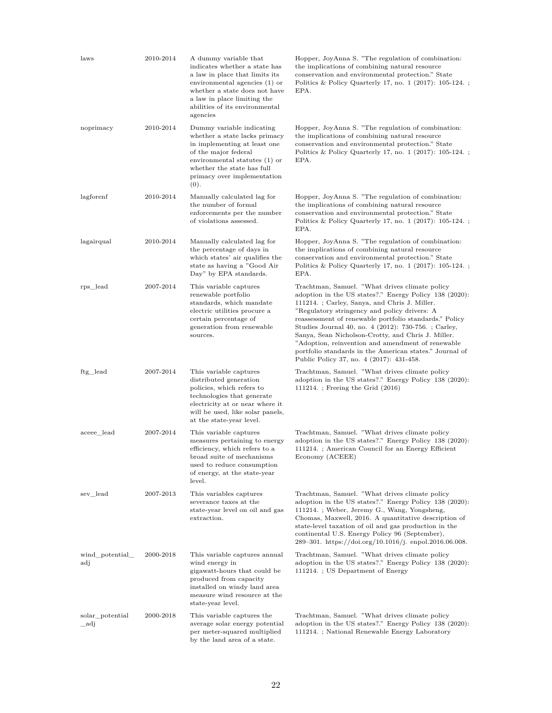| laws                    | 2010-2014 | A dummy variable that<br>indicates whether a state has<br>a law in place that limits its<br>environmental agencies (1) or<br>whether a state does not have<br>a law in place limiting the<br>abilities of its environmental<br>agencies | Hopper, JoyAnna S. "The regulation of combination:<br>the implications of combining natural resource<br>conservation and environmental protection." State<br>Politics & Policy Quarterly 17, no. 1 (2017): $105-124.$ ;<br>EPA.                                                                                                                                                                                                                                                                                                               |
|-------------------------|-----------|-----------------------------------------------------------------------------------------------------------------------------------------------------------------------------------------------------------------------------------------|-----------------------------------------------------------------------------------------------------------------------------------------------------------------------------------------------------------------------------------------------------------------------------------------------------------------------------------------------------------------------------------------------------------------------------------------------------------------------------------------------------------------------------------------------|
| noprimacy               | 2010-2014 | Dummy variable indicating<br>whether a state lacks primacy<br>in implementing at least one<br>of the major federal<br>environmental statutes (1) or<br>whether the state has full<br>primacy over implementation<br>(0).                | Hopper, JoyAnna S. "The regulation of combination:<br>the implications of combining natural resource<br>conservation and environmental protection." State<br>Politics & Policy Quarterly 17, no. $1$ (2017): 105-124.;<br>EPA.                                                                                                                                                                                                                                                                                                                |
| lagforenf               | 2010-2014 | Manually calculated lag for<br>the number of formal<br>enforcements per the number<br>of violations assessed.                                                                                                                           | Hopper, JoyAnna S. "The regulation of combination:<br>the implications of combining natural resource<br>conservation and environmental protection." State<br>Politics & Policy Quarterly 17, no. $1$ (2017): 105-124.;<br>EPA.                                                                                                                                                                                                                                                                                                                |
| lagairqual              | 2010-2014 | Manually calculated lag for<br>the percentage of days in<br>which states' air qualifies the<br>state as having a "Good Air<br>Day" by EPA standards.                                                                                    | Hopper, JoyAnna S. "The regulation of combination:<br>the implications of combining natural resource<br>conservation and environmental protection." State<br>Politics & Policy Quarterly 17, no. 1 (2017): 105-124. ;<br>EPA.                                                                                                                                                                                                                                                                                                                 |
| rps_lead                | 2007-2014 | This variable captures<br>renewable portfolio<br>standards, which mandate<br>electric utilities procure a<br>certain percentage of<br>generation from renewable<br>sources.                                                             | Trachtman, Samuel. "What drives climate policy<br>adoption in the US states?." Energy Policy 138 (2020):<br>111214. ; Carley, Sanya, and Chris J. Miller.<br>"Regulatory stringency and policy drivers: A<br>reassessment of renewable portfolio standards." Policy<br>Studies Journal 40, no. 4 (2012): 730-756. ; Carley,<br>Sanya, Sean Nicholson-Crotty, and Chris J. Miller.<br>"Adoption, reinvention and amendment of renewable<br>portfolio standards in the American states." Journal of<br>Public Policy 37, no. 4 (2017): 431-458. |
| ftg_lead                | 2007-2014 | This variable captures<br>distributed generation<br>policies, which refers to<br>technologies that generate<br>electricity at or near where it<br>will be used, like solar panels,<br>at the state-year level.                          | Trachtman, Samuel. "What drives climate policy"<br>adoption in the US states?." Energy Policy 138 (2020):<br>111214.; Freeing the Grid $(2016)$                                                                                                                                                                                                                                                                                                                                                                                               |
| aceee_lead              | 2007-2014 | This variable captures<br>measures pertaining to energy<br>efficiency, which refers to a<br>broad suite of mechanisms<br>used to reduce consumption<br>of energy, at the state-year<br>level.                                           | Trachtman, Samuel. "What drives climate policy<br>adoption in the US states?." Energy Policy 138 (2020):<br>111214. ; American Council for an Energy Efficient<br>Economy (ACEEE)                                                                                                                                                                                                                                                                                                                                                             |
| sev lead                | 2007-2013 | This variables captures<br>severance taxes at the<br>state-year level on oil and gas<br>extraction.                                                                                                                                     | Trachtman, Samuel. "What drives climate policy<br>adoption in the US states?." Energy Policy 138 (2020):<br>111214. ; Weber, Jeremy G., Wang, Yongsheng,<br>Chomas, Maxwell, 2016. A quantitative description of<br>state-level taxation of oil and gas production in the<br>continental U.S. Energy Policy 96 (September),<br>289-301. https://doi.org/10.1016/j. enpol.2016.06.008.                                                                                                                                                         |
| wind_potential_<br>adj  | 2000-2018 | This variable captures annual<br>wind energy in<br>gigawatt-hours that could be<br>produced from capacity<br>installed on windy land area<br>measure wind resource at the<br>state-year level.                                          | Trachtman, Samuel. "What drives climate policy<br>adoption in the US states?." Energy Policy 138 (2020):<br>111214. ; US Department of Energy                                                                                                                                                                                                                                                                                                                                                                                                 |
| solar_potential<br>_adj | 2000-2018 | This variable captures the<br>average solar energy potential<br>per meter-squared multiplied<br>by the land area of a state.                                                                                                            | Trachtman, Samuel. "What drives climate policy<br>adoption in the US states?." Energy Policy 138 (2020):<br>111214.; National Renewable Energy Laboratory                                                                                                                                                                                                                                                                                                                                                                                     |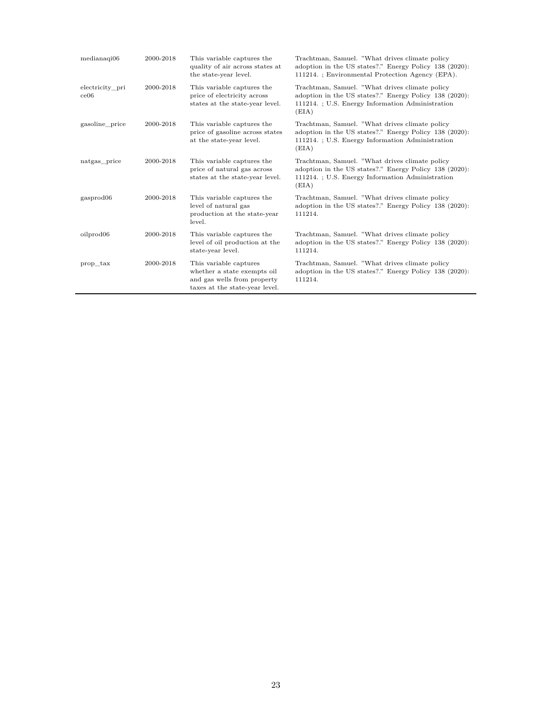| medianaqi06             | 2000-2018 | This variable captures the<br>quality of air across states at<br>the state-year level.                                 | Trachtman, Samuel. "What drives climate policy<br>adoption in the US states?." Energy Policy 138 (2020):<br>111214. ; Environmental Protection Agency (EPA).          |
|-------------------------|-----------|------------------------------------------------------------------------------------------------------------------------|-----------------------------------------------------------------------------------------------------------------------------------------------------------------------|
| electricity pri<br>ce06 | 2000-2018 | This variable captures the<br>price of electricity across<br>states at the state-year level.                           | Trachtman, Samuel. "What drives climate policy<br>adoption in the US states?." Energy Policy 138 (2020):<br>111214. ; U.S. Energy Information Administration<br>(EIA) |
| gasoline price          | 2000-2018 | This variable captures the<br>price of gasoline across states<br>at the state-year level.                              | Trachtman, Samuel. "What drives climate policy<br>adoption in the US states?." Energy Policy 138 (2020):<br>111214. ; U.S. Energy Information Administration<br>(EIA) |
| natgas price            | 2000-2018 | This variable captures the<br>price of natural gas across<br>states at the state-year level.                           | Trachtman, Samuel. "What drives climate policy<br>adoption in the US states?." Energy Policy 138 (2020):<br>111214. ; U.S. Energy Information Administration<br>(EIA) |
| gasprod06               | 2000-2018 | This variable captures the<br>level of natural gas<br>production at the state-year<br>level.                           | Trachtman, Samuel. "What drives climate policy<br>adoption in the US states?." Energy Policy 138 (2020):<br>111214.                                                   |
| oilprod06               | 2000-2018 | This variable captures the<br>level of oil production at the<br>state-year level.                                      | Trachtman, Samuel. "What drives climate policy<br>adoption in the US states?." Energy Policy 138 (2020):<br>111214.                                                   |
| prop tax                | 2000-2018 | This variable captures<br>whether a state exempts oil<br>and gas wells from property<br>taxes at the state-year level. | Trachtman, Samuel. "What drives climate policy<br>adoption in the US states?." Energy Policy 138 (2020):<br>111214.                                                   |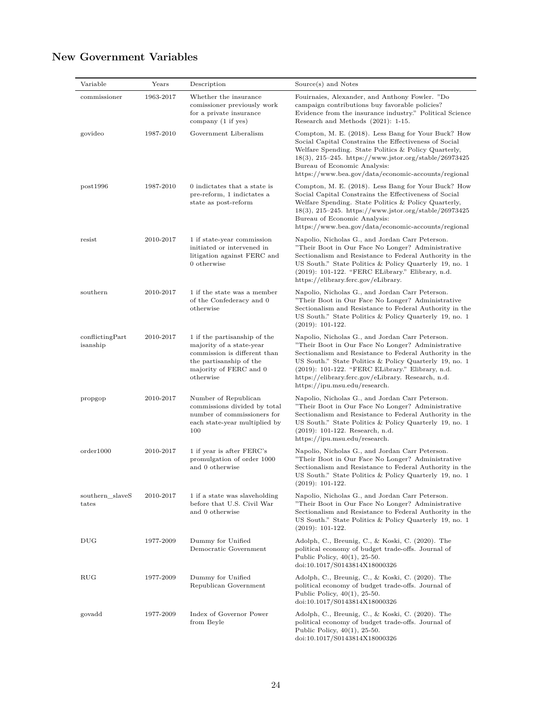# **New Government Variables**

| Variable                    | Years     | Description                                                                                                                                                | Source(s) and Notes                                                                                                                                                                                                                                                                                                                                                           |
|-----------------------------|-----------|------------------------------------------------------------------------------------------------------------------------------------------------------------|-------------------------------------------------------------------------------------------------------------------------------------------------------------------------------------------------------------------------------------------------------------------------------------------------------------------------------------------------------------------------------|
| commissioner                | 1963-2017 | Whether the insurance<br>comissioner previously work<br>for a private insurance<br>company (1 if yes)                                                      | Fouirnaies, Alexander, and Anthony Fowler. "Do<br>campaign contributions buy favorable policies?<br>Evidence from the insurance industry." Political Science<br>Research and Methods (2021): 1-15.                                                                                                                                                                            |
| govideo                     | 1987-2010 | Government Liberalism                                                                                                                                      | Compton, M. E. (2018). Less Bang for Your Buck? How<br>Social Capital Constrains the Effectiveness of Social<br>Welfare Spending. State Politics & Policy Quarterly,<br>$18(3), 215-245.$ https://www.jstor.org/stable/26973425<br>Bureau of Economic Analysis:<br>https://www.bea.gov/data/economic-accounts/regional                                                        |
| post1996                    | 1987-2010 | 0 indictates that a state is<br>pre-reform, 1 indictates a<br>state as post-reform                                                                         | Compton, M. E. (2018). Less Bang for Your Buck? How<br>Social Capital Constrains the Effectiveness of Social<br>Welfare Spending. State Politics & Policy Quarterly,<br>$18(3), 215-245.$ https://www.jstor.org/stable/26973425<br>Bureau of Economic Analysis:<br>https://www.bea.gov/data/economic-accounts/regional                                                        |
| resist                      | 2010-2017 | 1 if state-year commission<br>initiated or intervened in<br>litigation against FERC and<br>0 otherwise                                                     | Napolio, Nicholas G., and Jordan Carr Peterson.<br>"Their Boot in Our Face No Longer? Administrative<br>Sectionalism and Resistance to Federal Authority in the<br>US South." State Politics & Policy Quarterly 19, no. 1<br>(2019): 101-122. "FERC ELibrary." Elibrary, n.d.<br>https://elibrary.ferc.gov/eLibrary.                                                          |
| southern                    | 2010-2017 | 1 if the state was a member<br>of the Confederacy and 0<br>otherwise                                                                                       | Napolio, Nicholas G., and Jordan Carr Peterson.<br>"Their Boot in Our Face No Longer? Administrative<br>Sectionalism and Resistance to Federal Authority in the<br>US South." State Politics & Policy Quarterly 19, no. 1<br>$(2019): 101-122.$                                                                                                                               |
| conflictingPart<br>isanship | 2010-2017 | 1 if the partisanship of the<br>majority of a state-year<br>commission is different than<br>the partisanship of the<br>majority of FERC and 0<br>otherwise | Napolio, Nicholas G., and Jordan Carr Peterson.<br>"Their Boot in Our Face No Longer? Administrative<br>Sectionalism and Resistance to Federal Authority in the<br>US South." State Politics & Policy Quarterly 19, no. 1<br>(2019): 101-122. "FERC ELibrary." Elibrary, n.d.<br>https://elibrary.ferc.gov/eLibrary. Research, n.d.<br>$\frac{https://ipu.msu.edu/research.}$ |
| propgop                     | 2010-2017 | Number of Republican<br>commissions divided by total<br>number of commissioners for<br>each state-year multiplied by<br>100                                | Napolio, Nicholas G., and Jordan Carr Peterson.<br>"Their Boot in Our Face No Longer? Administrative<br>Sectionalism and Resistance to Federal Authority in the<br>US South." State Politics & Policy Quarterly 19, no. 1<br>$(2019): 101-122.$ Research, n.d.<br>https://ipu.msu.edu/research.                                                                               |
| order1000                   | 2010-2017 | 1 if year is after FERC's<br>promulgation of order 1000<br>and 0 otherwise                                                                                 | Napolio, Nicholas G., and Jordan Carr Peterson.<br>"Their Boot in Our Face No Longer? Administrative<br>Sectionalism and Resistance to Federal Authority in the<br>US South." State Politics $\&$ Policy Quarterly 19, no. $1$<br>$(2019): 101-122.$                                                                                                                          |
| southern slaveS<br>tates    | 2010-2017 | 1 if a state was slaveholding<br>before that U.S. Civil War<br>and 0 otherwise                                                                             | Napolio, Nicholas G., and Jordan Carr Peterson.<br>"Their Boot in Our Face No Longer? Administrative<br>Sectionalism and Resistance to Federal Authority in the<br>US South." State Politics & Policy Quarterly 19, no. 1<br>$(2019): 101-122.$                                                                                                                               |
| $_{\rm DUG}$                | 1977-2009 | Dummy for Unified<br>Democratic Government                                                                                                                 | Adolph, C., Breunig, C., & Koski, C. (2020). The<br>political economy of budget trade-offs. Journal of<br>Public Policy, $40(1)$ , 25-50.<br>doi:10.1017/S0143814X18000326                                                                                                                                                                                                    |
| RUG                         | 1977-2009 | Dummy for Unified<br>Republican Government                                                                                                                 | Adolph, C., Breunig, C., & Koski, C. (2020). The<br>political economy of budget trade-offs. Journal of<br>Public Policy, $40(1)$ , 25-50.<br>doi:10.1017/S0143814X18000326                                                                                                                                                                                                    |
| govadd                      | 1977-2009 | Index of Governor Power<br>from Beyle                                                                                                                      | Adolph, C., Breunig, C., & Koski, C. (2020). The<br>political economy of budget trade-offs. Journal of<br>Public Policy, $40(1)$ , 25-50.<br>doi:10.1017/S0143814X18000326                                                                                                                                                                                                    |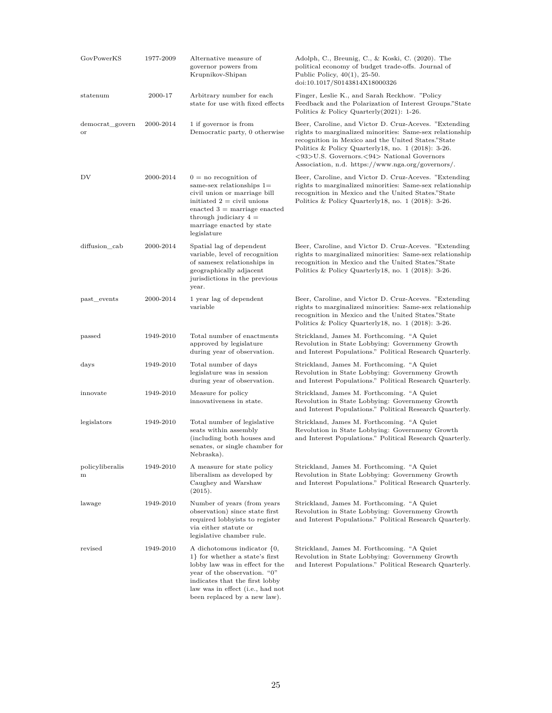| GovPowerKS            | 1977-2009 | Alternative measure of<br>governor powers from<br>Krupnikov-Shipan                                                                                                                                                                        | Adolph, C., Breunig, C., & Koski, C. (2020). The<br>political economy of budget trade-offs. Journal of<br>Public Policy, $40(1)$ , 25-50.<br>doi:10.1017/S0143814X18000326                                                                                                                                                           |
|-----------------------|-----------|-------------------------------------------------------------------------------------------------------------------------------------------------------------------------------------------------------------------------------------------|--------------------------------------------------------------------------------------------------------------------------------------------------------------------------------------------------------------------------------------------------------------------------------------------------------------------------------------|
| statenum              | 2000-17   | Arbitrary number for each<br>state for use with fixed effects                                                                                                                                                                             | Finger, Leslie K., and Sarah Reckhow. "Policy<br>Feedback and the Polarization of Interest Groups."State<br>Politics & Policy Quarterly $(2021)$ : 1-26.                                                                                                                                                                             |
| democrat_govern<br>or | 2000-2014 | 1 if governor is from<br>Democratic party, 0 otherwise                                                                                                                                                                                    | Beer, Caroline, and Victor D. Cruz-Aceves. "Extending"<br>rights to marginalized minorities: Same-sex relationship<br>recognition in Mexico and the United States."State<br>Politics & Policy Quarterly 18, no. $1$ (2018): 3-26.<br><93>U.S. Governors.<94> National Governors<br>Association, n.d. https://www.nga.org/governors/. |
| DV                    | 2000-2014 | $0 =$ no recognition of<br>same-sex relationships $1=$<br>civil union or marriage bill<br>initiated $2 =$ civil unions<br>enacted $3 =$ marriage enacted<br>through judiciary $4 =$<br>marriage enacted by state<br>legislature           | Beer, Caroline, and Victor D. Cruz-Aceves. "Extending"<br>rights to marginalized minorities: Same-sex relationship<br>recognition in Mexico and the United States."State<br>Politics & Policy Quarterly 18, no. $1$ (2018): 3-26.                                                                                                    |
| diffusion cab         | 2000-2014 | Spatial lag of dependent<br>variable, level of recognition<br>of samesex relationships in<br>geographically adjacent<br>jurisdictions in the previous<br>year.                                                                            | Beer, Caroline, and Victor D. Cruz-Aceves. "Extending<br>rights to marginalized minorities: Same-sex relationship<br>recognition in Mexico and the United States."State<br>Politics & Policy Quarterly 18, no. 1 (2018): 3-26.                                                                                                       |
| past_events           | 2000-2014 | 1 year lag of dependent<br>variable                                                                                                                                                                                                       | Beer, Caroline, and Victor D. Cruz-Aceves. "Extending<br>rights to marginalized minorities: Same-sex relationship<br>recognition in Mexico and the United States."State<br>Politics & Policy Quarterly 18, no. $1$ (2018): 3-26.                                                                                                     |
| $_{\rm passed}$       | 1949-2010 | Total number of enactments<br>approved by legislature<br>during year of observation.                                                                                                                                                      | Strickland, James M. Forthcoming. "A Quiet<br>Revolution in State Lobbying: Governmeny Growth<br>and Interest Populations." Political Research Quarterly.                                                                                                                                                                            |
| days                  | 1949-2010 | Total number of days<br>legislature was in session<br>during year of observation.                                                                                                                                                         | Strickland, James M. Forthcoming. "A Quiet<br>Revolution in State Lobbying: Governmeny Growth<br>and Interest Populations." Political Research Quarterly.                                                                                                                                                                            |
| innovate              | 1949-2010 | Measure for policy<br>innovativeness in state.                                                                                                                                                                                            | Strickland, James M. Forthcoming. "A Quiet<br>Revolution in State Lobbying: Governmeny Growth<br>and Interest Populations." Political Research Quarterly.                                                                                                                                                                            |
| legislators           | 1949-2010 | Total number of legislative<br>seats within assembly<br>(including both houses and<br>senates, or single chamber for<br>Nebraska).                                                                                                        | Strickland, James M. Forthcoming. "A Quiet<br>Revolution in State Lobbying: Governmeny Growth<br>and Interest Populations." Political Research Quarterly.                                                                                                                                                                            |
| policyliberalis<br>m  | 1949-2010 | A measure for state policy<br>liberalism as developed by<br>Caughey and Warshaw<br>(2015).                                                                                                                                                | Strickland, James M. Forthcoming. "A Quiet<br>Revolution in State Lobbying: Governmeny Growth<br>and Interest Populations." Political Research Quarterly.                                                                                                                                                                            |
| lawage                | 1949-2010 | Number of years (from years)<br>observation) since state first<br>required lobbyists to register<br>via either statute or<br>legislative chamber rule.                                                                                    | Strickland, James M. Forthcoming. "A Quiet<br>Revolution in State Lobbying: Governmeny Growth<br>and Interest Populations." Political Research Quarterly.                                                                                                                                                                            |
| revised               | 1949-2010 | A dichotomous indicator $\{0,$<br>1} for whether a state's first<br>lobby law was in effect for the<br>year of the observation. "0"<br>indicates that the first lobby<br>law was in effect (i.e., had not<br>been replaced by a new law). | Strickland, James M. Forthcoming. "A Quiet<br>Revolution in State Lobbying: Governmeny Growth<br>and Interest Populations." Political Research Quarterly.                                                                                                                                                                            |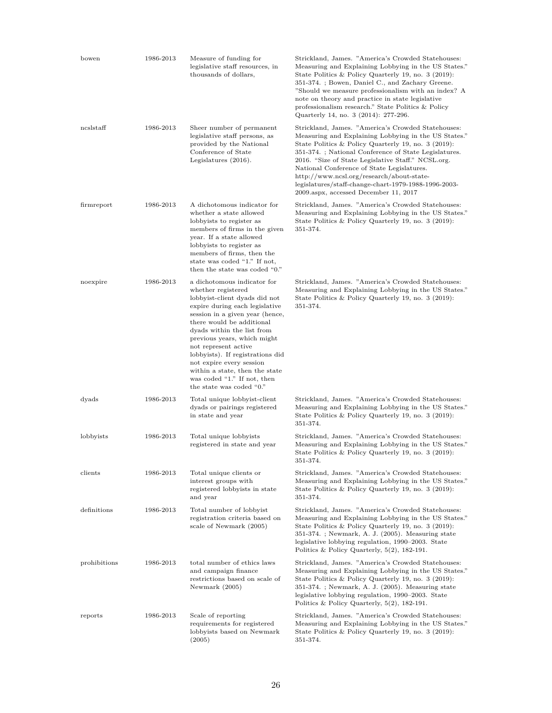| bowen        | 1986-2013 | Measure of funding for<br>legislative staff resources, in<br>thousands of dollars,                                                                                                                                                                                                                                                                                                                                                     | Strickland, James. "America's Crowded Statehouses:<br>Measuring and Explaining Lobbying in the US States."<br>State Politics & Policy Quarterly 19, no. 3 (2019):<br>351-374. ; Bowen, Daniel C., and Zachary Greene.<br>"Should we measure professionalism with an index? A<br>note on theory and practice in state legislative<br>professionalism research." State Politics & Policy<br>Quarterly 14, no. 3 (2014): 277-296.                                              |
|--------------|-----------|----------------------------------------------------------------------------------------------------------------------------------------------------------------------------------------------------------------------------------------------------------------------------------------------------------------------------------------------------------------------------------------------------------------------------------------|-----------------------------------------------------------------------------------------------------------------------------------------------------------------------------------------------------------------------------------------------------------------------------------------------------------------------------------------------------------------------------------------------------------------------------------------------------------------------------|
| ncslstaff    | 1986-2013 | Sheer number of permanent<br>legislative staff persons, as<br>provided by the National<br>Conference of State<br>Legislatures $(2016)$ .                                                                                                                                                                                                                                                                                               | Strickland, James. "America's Crowded Statehouses:<br>Measuring and Explaining Lobbying in the US States."<br>State Politics & Policy Quarterly 19, no. 3 (2019):<br>351-374.; National Conference of State Legislatures.<br>2016. "Size of State Legislative Staff." NCSL.org.<br>National Conference of State Legislatures.<br>http://www.ncsl.org/research/about-state-<br>legislatures/staff-change-chart-1979-1988-1996-2003-<br>2009.aspx, accessed December 11, 2017 |
| firmreport   | 1986-2013 | A dichotomous indicator for<br>whether a state allowed<br>lobbyists to register as<br>members of firms in the given<br>year. If a state allowed<br>lobbyists to register as<br>members of firms, then the<br>state was coded "1." If not,<br>then the state was coded "0."                                                                                                                                                             | Strickland, James. "America's Crowded Statehouses:<br>Measuring and Explaining Lobbying in the US States."<br>State Politics & Policy Quarterly 19, no. 3 (2019):<br>351-374.                                                                                                                                                                                                                                                                                               |
| noexpire     | 1986-2013 | a dichotomous indicator for<br>whether registered<br>lobbyist-client dyads did not<br>expire during each legislative<br>session in a given year (hence,<br>there would be additional<br>dyads within the list from<br>previous years, which might<br>not represent active<br>lobbyists). If registrations did<br>not expire every session<br>within a state, then the state<br>was coded "1." If not, then<br>the state was coded "0." | Strickland, James. "America's Crowded Statehouses:<br>Measuring and Explaining Lobbying in the US States."<br>State Politics & Policy Quarterly 19, no. 3 (2019):<br>351-374.                                                                                                                                                                                                                                                                                               |
| dyads        | 1986-2013 | Total unique lobbyist-client<br>dyads or pairings registered<br>in state and year                                                                                                                                                                                                                                                                                                                                                      | Strickland, James. "America's Crowded Statehouses:<br>Measuring and Explaining Lobbying in the US States."<br>State Politics & Policy Quarterly 19, no. 3 (2019):<br>351-374.                                                                                                                                                                                                                                                                                               |
| lobbyists    | 1986-2013 | Total unique lobbyists<br>registered in state and year                                                                                                                                                                                                                                                                                                                                                                                 | Strickland, James. "America's Crowded Statehouses:<br>Measuring and Explaining Lobbying in the US States."<br>State Politics & Policy Quarterly 19, no. 3 (2019):<br>351-374.                                                                                                                                                                                                                                                                                               |
| clients      | 1986-2013 | Total unique clients or<br>interest groups with<br>registered lobbyists in state<br>and year                                                                                                                                                                                                                                                                                                                                           | Strickland, James. "America's Crowded Statehouses:<br>Measuring and Explaining Lobbying in the US States."<br>State Politics & Policy Quarterly 19, no. 3 (2019):<br>351-374.                                                                                                                                                                                                                                                                                               |
| definitions  | 1986-2013 | Total number of lobbyist<br>registration criteria based on<br>scale of Newmark (2005)                                                                                                                                                                                                                                                                                                                                                  | Strickland, James. "America's Crowded Statehouses:<br>Measuring and Explaining Lobbying in the US States."<br>State Politics & Policy Quarterly 19, no. 3 (2019):<br>351-374. ; Newmark, A. J. (2005). Measuring state<br>legislative lobbying regulation, 1990–2003. State<br>Politics & Policy Quarterly, $5(2)$ , 182-191.                                                                                                                                               |
| prohibitions | 1986-2013 | total number of ethics laws<br>and campaign finance<br>restrictions based on scale of<br>Newmark (2005)                                                                                                                                                                                                                                                                                                                                | Strickland, James. "America's Crowded Statehouses:<br>Measuring and Explaining Lobbying in the US States."<br>State Politics & Policy Quarterly 19, no. 3 (2019):<br>351-374.; Newmark, A. J. (2005). Measuring state<br>legislative lobbying regulation, 1990–2003. State<br>Politics & Policy Quarterly, $5(2)$ , 182-191.                                                                                                                                                |
| reports      | 1986-2013 | Scale of reporting<br>requirements for registered<br>lobbyists based on Newmark<br>(2005)                                                                                                                                                                                                                                                                                                                                              | Strickland, James. "America's Crowded Statehouses:<br>Measuring and Explaining Lobbying in the US States."<br>State Politics & Policy Quarterly 19, no. 3 (2019):<br>351-374.                                                                                                                                                                                                                                                                                               |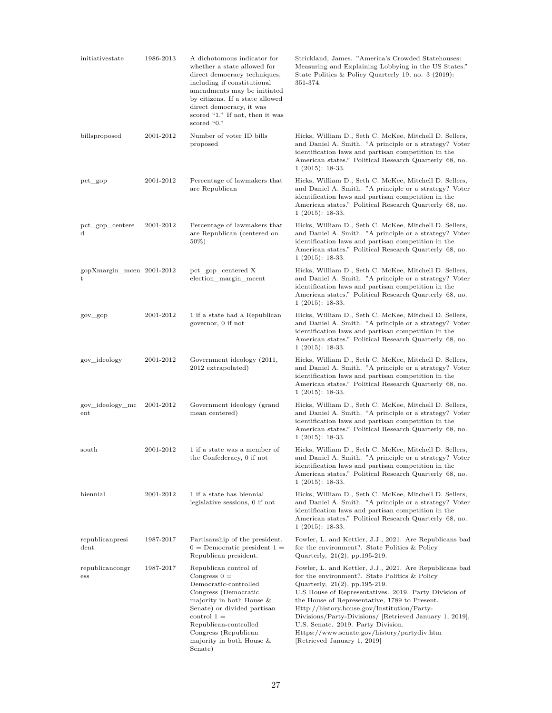| initiativestate                | 1986-2013 | A dichotomous indicator for<br>whether a state allowed for<br>direct democracy techniques,<br>including if constitutional<br>amendments may be initiated<br>by citizens. If a state allowed<br>direct democracy, it was<br>scored "1." If not, then it was<br>scored "0." | Strickland, James. "America's Crowded Statehouses:<br>Measuring and Explaining Lobbying in the US States."<br>State Politics & Policy Quarterly 19, no. 3 (2019):<br>351-374.                                                                                                                                                                                                                                                                                                         |
|--------------------------------|-----------|---------------------------------------------------------------------------------------------------------------------------------------------------------------------------------------------------------------------------------------------------------------------------|---------------------------------------------------------------------------------------------------------------------------------------------------------------------------------------------------------------------------------------------------------------------------------------------------------------------------------------------------------------------------------------------------------------------------------------------------------------------------------------|
| billsproposed                  | 2001-2012 | Number of voter ID bills<br>proposed                                                                                                                                                                                                                                      | Hicks, William D., Seth C. McKee, Mitchell D. Sellers,<br>and Daniel A. Smith. "A principle or a strategy? Voter<br>identification laws and partisan competition in the<br>American states." Political Research Quarterly 68, no.<br>$1(2015): 18-33.$                                                                                                                                                                                                                                |
| $pct\_gop$                     | 2001-2012 | Percentage of lawmakers that<br>are Republican                                                                                                                                                                                                                            | Hicks, William D., Seth C. McKee, Mitchell D. Sellers,<br>and Daniel A. Smith. "A principle or a strategy? Voter<br>identification laws and partisan competition in the<br>American states." Political Research Quarterly 68, no.<br>$1(2015): 18-33.$                                                                                                                                                                                                                                |
| pct_gop_centere<br>$\mathbf d$ | 2001-2012 | Percentage of lawmakers that<br>are Republican (centered on<br>50%)                                                                                                                                                                                                       | Hicks, William D., Seth C. McKee, Mitchell D. Sellers,<br>and Daniel A. Smith. "A principle or a strategy? Voter<br>identification laws and partisan competition in the<br>American states." Political Research Quarterly 68, no.<br>$1(2015): 18-33.$                                                                                                                                                                                                                                |
| gopXmargin mcen 2001-2012<br>t |           | pct gop centered X<br>election_margin_mcent                                                                                                                                                                                                                               | Hicks, William D., Seth C. McKee, Mitchell D. Sellers,<br>and Daniel A. Smith. "A principle or a strategy? Voter<br>identification laws and partisan competition in the<br>American states." Political Research Quarterly 68, no.<br>$1(2015): 18-33.$                                                                                                                                                                                                                                |
| gov_gop                        | 2001-2012 | 1 if a state had a Republican<br>governor, 0 if not                                                                                                                                                                                                                       | Hicks, William D., Seth C. McKee, Mitchell D. Sellers,<br>and Daniel A. Smith. "A principle or a strategy? Voter<br>identification laws and partisan competition in the<br>American states." Political Research Quarterly 68, no.<br>$1(2015): 18-33.$                                                                                                                                                                                                                                |
| gov_ideology                   | 2001-2012 | Government ideology (2011,<br>2012 extrapolated)                                                                                                                                                                                                                          | Hicks, William D., Seth C. McKee, Mitchell D. Sellers,<br>and Daniel A. Smith. "A principle or a strategy? Voter<br>identification laws and partisan competition in the<br>American states." Political Research Quarterly 68, no.<br>$1(2015): 18-33.$                                                                                                                                                                                                                                |
| gov_ideology_mc<br>ent         | 2001-2012 | Government ideology (grand<br>mean centered)                                                                                                                                                                                                                              | Hicks, William D., Seth C. McKee, Mitchell D. Sellers,<br>and Daniel A. Smith. "A principle or a strategy? Voter<br>identification laws and partisan competition in the<br>American states." Political Research Quarterly 68, no.<br>$1(2015): 18-33.$                                                                                                                                                                                                                                |
| south                          | 2001-2012 | 1 if a state was a member of<br>the Confederacy, 0 if not                                                                                                                                                                                                                 | Hicks, William D., Seth C. McKee, Mitchell D. Sellers,<br>and Daniel A. Smith. "A principle or a strategy? Voter<br>identification laws and partisan competition in the<br>American states." Political Research Quarterly 68, no.<br>$1(2015): 18-33.$                                                                                                                                                                                                                                |
| biennial                       | 2001-2012 | 1 if a state has biennial<br>legislative sessions, 0 if not                                                                                                                                                                                                               | Hicks, William D., Seth C. McKee, Mitchell D. Sellers,<br>and Daniel A. Smith. "A principle or a strategy? Voter<br>identification laws and partisan competition in the<br>American states." Political Research Quarterly 68, no.<br>$1(2015): 18-33.$                                                                                                                                                                                                                                |
| republicanpresi<br>dent        | 1987-2017 | Partisanship of the president.<br>$0 =$ Democratic president $1 =$<br>Republican president.                                                                                                                                                                               | Fowler, L. and Kettler, J.J., 2021. Are Republicans bad<br>for the environment?. State Politics & Policy<br>Quarterly, $21(2)$ , pp. 195-219.                                                                                                                                                                                                                                                                                                                                         |
| republicancongr<br>ess         | 1987-2017 | Republican control of<br>Congress $0 =$<br>Democratic-controlled<br>Congress (Democratic<br>majority in both House $\&$<br>Senate) or divided partisan<br>$control 1 =$<br>Republican-controlled<br>Congress (Republican<br>majority in both House $&$<br>Senate)         | Fowler, L. and Kettler, J.J., 2021. Are Republicans bad<br>for the environment?. State Politics & Policy<br>Quarterly, $21(2)$ , pp. 195-219.<br>U.S House of Representatives. 2019. Party Division of<br>the House of Representative, 1789 to Present.<br>Http://history.house.gov/Institution/Party-<br>Divisions/Party-Divisions/ [Retrieved January 1, 2019],<br>U.S. Senate. 2019. Party Division.<br>Https://www.senate.gov/history/partydiv.htm<br>[Retrieved January 1, 2019] |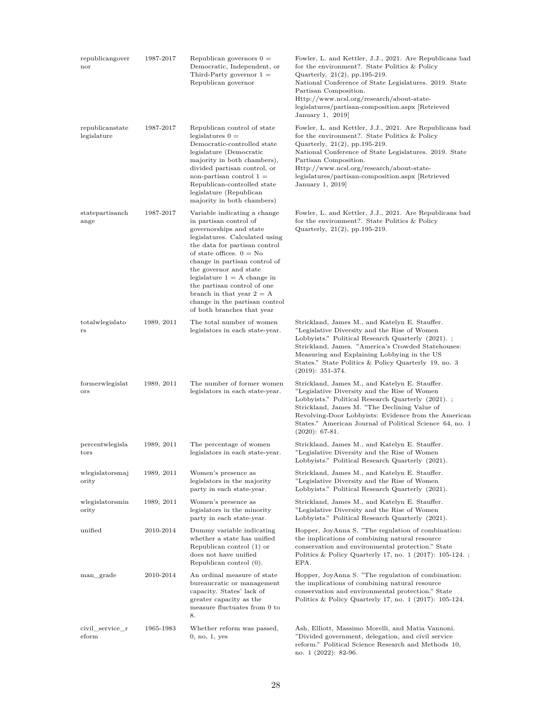| republicangover<br>nor         | 1987-2017  | Republican governors $0 =$<br>Democratic, Independent, or<br>Third-Party governor $1 =$<br>Republican governor                                                                                                                                                                                                                                                                                               | Fowler, L. and Kettler, J.J., 2021. Are Republicans bad<br>for the environment?. State Politics & Policy<br>Quarterly, 21(2), pp.195-219.<br>National Conference of State Legislatures. 2019. State<br>Partisan Composition.<br>Http://www.ncsl.org/research/about-state-<br>legislatures/partisan-composition.aspx [Retrieved]<br>January 1, 2019     |
|--------------------------------|------------|--------------------------------------------------------------------------------------------------------------------------------------------------------------------------------------------------------------------------------------------------------------------------------------------------------------------------------------------------------------------------------------------------------------|--------------------------------------------------------------------------------------------------------------------------------------------------------------------------------------------------------------------------------------------------------------------------------------------------------------------------------------------------------|
| republicanstate<br>legislature | 1987-2017  | Republican control of state<br>legislatures $0 =$<br>Democratic-controlled state<br>legislature (Democratic<br>majority in both chambers),<br>divided partisan control, or<br>non-partisan control $1 =$<br>Republican-controlled state<br>legislature (Republican<br>majority in both chambers)                                                                                                             | Fowler, L. and Kettler, J.J., 2021. Are Republicans bad<br>for the environment?. State Politics & Policy<br>Quarterly, $21(2)$ , pp. 195-219.<br>National Conference of State Legislatures. 2019. State<br>Partisan Composition.<br>Http://www.ncsl.org/research/about-state-<br>legislatures/partisan-composition.aspx [Retrieved]<br>January 1, 2019 |
| statepartisanch<br>ange        | 1987-2017  | Variable indicating a change<br>in partisan control of<br>governorships and state<br>legislatures. Calculated using<br>the data for partisan control<br>of state offices. $0 = No$<br>change in partisan control of<br>the governor and state<br>legislature $1 = A$ change in<br>the partisan control of one<br>branch in that year $2 = A$<br>change in the partisan control<br>of both branches that year | Fowler, L. and Kettler, J.J., 2021. Are Republicans bad<br>for the environment?. State Politics & Policy<br>Quarterly, 21(2), pp.195-219.                                                                                                                                                                                                              |
| totalwlegislato<br>rs          | 1989, 2011 | The total number of women<br>legislators in each state-year.                                                                                                                                                                                                                                                                                                                                                 | Strickland, James M., and Katelyn E. Stauffer.<br>"Legislative Diversity and the Rise of Women"<br>Lobbyists." Political Research Quarterly (2021).;<br>Strickland, James. "America's Crowded Statehouses:<br>Measuring and Explaining Lobbying in the US<br>States." State Politics & Policy Quarterly 19, no. 3<br>$(2019): 351-374.$                |
| formerwlegislat<br>ors         | 1989, 2011 | The number of former women<br>legislators in each state-year.                                                                                                                                                                                                                                                                                                                                                | Strickland, James M., and Katelyn E. Stauffer.<br>"Legislative Diversity and the Rise of Women"<br>Lobbyists." Political Research Quarterly (2021).;<br>Strickland, James M. "The Declining Value of<br>Revolving-Door Lobbyists: Evidence from the American<br>States." American Journal of Political Science 64, no. 1<br>$(2020): 67-81.$           |
| percentwlegisla<br>tors        | 1989, 2011 | The percentage of women<br>legislators in each state-year.                                                                                                                                                                                                                                                                                                                                                   | Strickland, James M., and Katelyn E. Stauffer.<br>"Legislative Diversity and the Rise of Women"<br>Lobbyists." Political Research Quarterly (2021).                                                                                                                                                                                                    |
| wlegislatorsmaj<br>ority       | 1989, 2011 | Women's presence as<br>legislators in the majority<br>party in each state-year.                                                                                                                                                                                                                                                                                                                              | Strickland, James M., and Katelyn E. Stauffer.<br>"Legislative Diversity and the Rise of Women"<br>Lobbyists." Political Research Quarterly (2021).                                                                                                                                                                                                    |
| wlegislatorsmin<br>ority       | 1989, 2011 | Women's presence as<br>legislators in the minority<br>party in each state-year.                                                                                                                                                                                                                                                                                                                              | Strickland, James M., and Katelyn E. Stauffer.<br>"Legislative Diversity and the Rise of Women"<br>Lobbyists." Political Research Quarterly (2021).                                                                                                                                                                                                    |
| unified                        | 2010-2014  | Dummy variable indicating<br>whether a state has unified<br>Republican control $(1)$ or<br>does not have unified<br>Republican control (0).                                                                                                                                                                                                                                                                  | Hopper, JoyAnna S. "The regulation of combination:<br>the implications of combining natural resource<br>conservation and environmental protection." State<br>Politics & Policy Quarterly 17, no. $1$ (2017): 105-124.;<br>EPA.                                                                                                                         |
| man grade                      | 2010-2014  | An ordinal measure of state<br>bureaucratic or management<br>capacity. States' lack of<br>greater capacity as the<br>measure fluctuates from 0 to<br>8.                                                                                                                                                                                                                                                      | Hopper, JoyAnna S. "The regulation of combination:<br>the implications of combining natural resource<br>conservation and environmental protection." State<br>Politics & Policy Quarterly 17, no. $1$ (2017): 105-124.                                                                                                                                  |
| civil service r<br>eform       | 1965-1983  | Whether reform was passed,<br>0, no, 1, yes                                                                                                                                                                                                                                                                                                                                                                  | Ash, Elliott, Massimo Morelli, and Matia Vannoni.<br>"Divided government, delegation, and civil service"<br>reform." Political Science Research and Methods 10,                                                                                                                                                                                        |

no. 1 (2022): 82-96.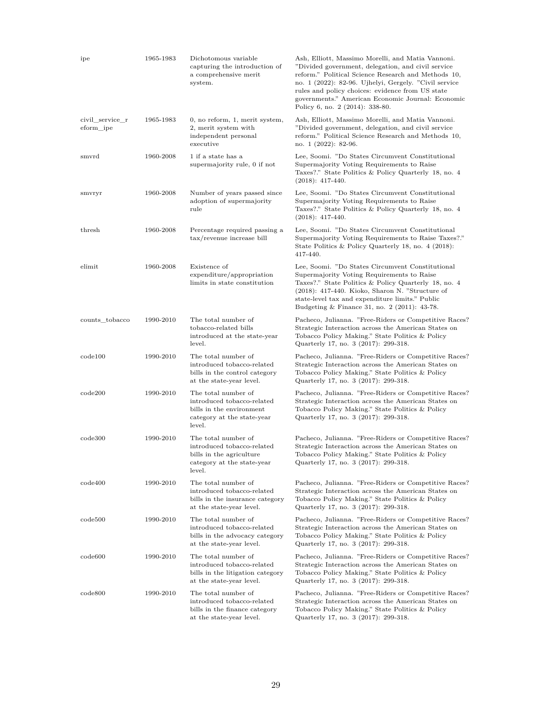| ipe                          | 1965-1983 | Dichotomous variable<br>capturing the introduction of<br>a comprehensive merit<br>system.                             | Ash, Elliott, Massimo Morelli, and Matia Vannoni.<br>"Divided government, delegation, and civil service"<br>reform." Political Science Research and Methods 10,<br>no. 1 (2022): 82-96. Ujhelyi, Gergely. "Civil service<br>rules and policy choices: evidence from US state<br>governments." American Economic Journal: Economic<br>Policy 6, no. 2 (2014): 338-80. |
|------------------------------|-----------|-----------------------------------------------------------------------------------------------------------------------|----------------------------------------------------------------------------------------------------------------------------------------------------------------------------------------------------------------------------------------------------------------------------------------------------------------------------------------------------------------------|
| civil service r<br>eform_ipe | 1965-1983 | 0, no reform, 1, merit system,<br>2, merit system with<br>independent personal<br>executive                           | Ash, Elliott, Massimo Morelli, and Matia Vannoni.<br>"Divided government, delegation, and civil service<br>reform." Political Science Research and Methods 10,<br>no. 1 (2022): 82-96.                                                                                                                                                                               |
| smvrd                        | 1960-2008 | 1 if a state has a<br>supermajority rule, 0 if not                                                                    | Lee, Soomi. "Do States Circumvent Constitutional<br>Supermajority Voting Requirements to Raise<br>Taxes?." State Politics & Policy Quarterly 18, no. 4<br>$(2018): 417-440.$                                                                                                                                                                                         |
| smvryr                       | 1960-2008 | Number of years passed since<br>adoption of supermajority<br>rule                                                     | Lee, Soomi. "Do States Circumvent Constitutional<br>Supermajority Voting Requirements to Raise<br>Taxes?." State Politics & Policy Quarterly 18, no. 4<br>$(2018): 417-440.$                                                                                                                                                                                         |
| thresh                       | 1960-2008 | Percentage required passing a<br>tax/revenue increase bill                                                            | Lee, Soomi. "Do States Circumvent Constitutional<br>Supermajority Voting Requirements to Raise Taxes?."<br>State Politics & Policy Quarterly 18, no. 4 (2018):<br>417-440.                                                                                                                                                                                           |
| elimit                       | 1960-2008 | Existence of<br>expenditure/appropriation<br>limits in state constitution                                             | Lee, Soomi. "Do States Circumvent Constitutional<br>Supermajority Voting Requirements to Raise<br>Taxes?." State Politics & Policy Quarterly 18, no. 4<br>$(2018)$ : 417-440. Kioko, Sharon N. "Structure of<br>state-level tax and expenditure limits." Public<br>Budgeting & Finance 31, no. 2 $(2011)$ : 43-78.                                                   |
| counts tobacco               | 1990-2010 | The total number of<br>tobacco-related bills<br>introduced at the state-year<br>level.                                | Pacheco, Julianna. "Free-Riders or Competitive Races?<br>Strategic Interaction across the American States on<br>Tobacco Policy Making." State Politics & Policy<br>Quarterly 17, no. 3 (2017): 299-318.                                                                                                                                                              |
| code100                      | 1990-2010 | The total number of<br>introduced tobacco-related<br>bills in the control category<br>at the state-year level.        | Pacheco, Julianna. "Free-Riders or Competitive Races?<br>Strategic Interaction across the American States on<br>Tobacco Policy Making." State Politics & Policy<br>Quarterly 17, no. 3 (2017): 299-318.                                                                                                                                                              |
| code200                      | 1990-2010 | The total number of<br>introduced tobacco-related<br>bills in the environment<br>category at the state-year<br>level. | Pacheco, Julianna. "Free-Riders or Competitive Races?<br>Strategic Interaction across the American States on<br>Tobacco Policy Making." State Politics & Policy<br>Quarterly 17, no. 3 (2017): 299-318.                                                                                                                                                              |
| code300                      | 1990-2010 | The total number of<br>introduced tobacco-related<br>bills in the agriculture<br>category at the state-year<br>level. | Pacheco, Julianna. "Free-Riders or Competitive Races?<br>Strategic Interaction across the American States on<br>Tobacco Policy Making." State Politics $\&$ Policy<br>Quarterly 17, no. 3 (2017): 299-318.                                                                                                                                                           |
| code400                      | 1990-2010 | The total number of<br>introduced tobacco-related<br>bills in the insurance category<br>at the state-year level.      | Pacheco, Julianna. "Free-Riders or Competitive Races?<br>Strategic Interaction across the American States on<br>Tobacco Policy Making." State Politics & Policy<br>Quarterly 17, no. 3 (2017): 299-318.                                                                                                                                                              |
| code500                      | 1990-2010 | The total number of<br>introduced tobacco-related<br>bills in the advocacy category<br>at the state-year level.       | Pacheco, Julianna. "Free-Riders or Competitive Races?<br>Strategic Interaction across the American States on<br>Tobacco Policy Making." State Politics & Policy<br>Quarterly 17, no. 3 (2017): 299-318.                                                                                                                                                              |
| code600                      | 1990-2010 | The total number of<br>introduced tobacco-related<br>bills in the litigation category<br>at the state-year level.     | Pacheco, Julianna. "Free-Riders or Competitive Races?<br>Strategic Interaction across the American States on<br>Tobacco Policy Making." State Politics & Policy<br>Quarterly 17, no. 3 (2017): 299-318.                                                                                                                                                              |
| code800                      | 1990-2010 | The total number of<br>introduced tobacco-related<br>bills in the finance category<br>at the state-year level.        | Pacheco, Julianna. "Free-Riders or Competitive Races?<br>Strategic Interaction across the American States on<br>Tobacco Policy Making." State Politics & Policy<br>Quarterly 17, no. 3 (2017): 299-318.                                                                                                                                                              |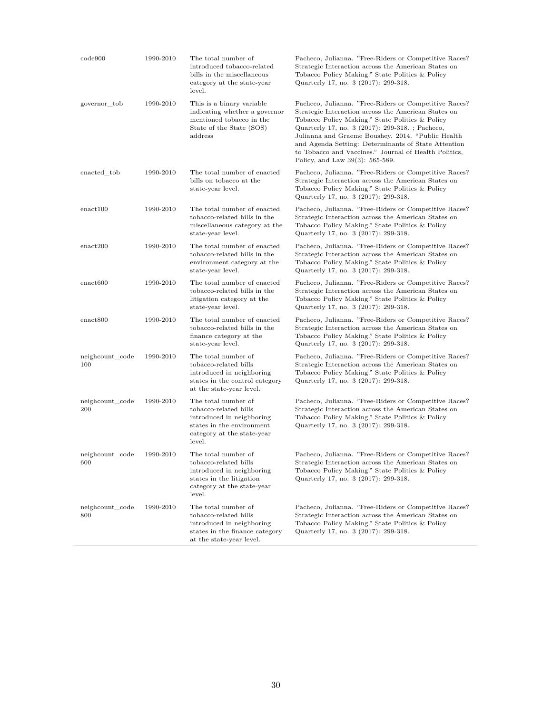| code900                | 1990-2010 | The total number of<br>introduced tobacco-related<br>bills in the miscellaneous<br>category at the state-year<br>level.                        | Pacheco, Julianna. "Free-Riders or Competitive Races?<br>Strategic Interaction across the American States on<br>Tobacco Policy Making." State Politics & Policy<br>Quarterly 17, no. 3 (2017): 299-318.                                                                                                                                                                                                                       |
|------------------------|-----------|------------------------------------------------------------------------------------------------------------------------------------------------|-------------------------------------------------------------------------------------------------------------------------------------------------------------------------------------------------------------------------------------------------------------------------------------------------------------------------------------------------------------------------------------------------------------------------------|
| governor_tob           | 1990-2010 | This is a binary variable<br>indicating whether a governor<br>mentioned tobacco in the<br>State of the State (SOS)<br>address                  | Pacheco, Julianna. "Free-Riders or Competitive Races?<br>Strategic Interaction across the American States on<br>Tobacco Policy Making." State Politics & Policy<br>Quarterly 17, no. 3 (2017): 299-318. ; Pacheco,<br>Julianna and Graeme Boushey. 2014. "Public Health<br>and Agenda Setting: Determinants of State Attention<br>to Tobacco and Vaccines." Journal of Health Politics,<br>Policy, and Law $39(3)$ : 565-589. |
| enacted tob            | 1990-2010 | The total number of enacted<br>bills on tobacco at the<br>state-year level.                                                                    | Pacheco, Julianna. "Free-Riders or Competitive Races?<br>Strategic Interaction across the American States on<br>Tobacco Policy Making." State Politics & Policy<br>Quarterly 17, no. 3 (2017): 299-318.                                                                                                                                                                                                                       |
| enact100               | 1990-2010 | The total number of enacted<br>tobacco-related bills in the<br>miscellaneous category at the<br>state-year level.                              | Pacheco, Julianna. "Free-Riders or Competitive Races?<br>Strategic Interaction across the American States on<br>Tobacco Policy Making." State Politics & Policy<br>Quarterly 17, no. 3 (2017): 299-318.                                                                                                                                                                                                                       |
| enact200               | 1990-2010 | The total number of enacted<br>tobacco-related bills in the<br>environment category at the<br>state-year level.                                | Pacheco, Julianna. "Free-Riders or Competitive Races?<br>Strategic Interaction across the American States on<br>Tobacco Policy Making." State Politics & Policy<br>Quarterly 17, no. 3 (2017): 299-318.                                                                                                                                                                                                                       |
| enact600               | 1990-2010 | The total number of enacted<br>tobacco-related bills in the<br>litigation category at the<br>state-year level.                                 | Pacheco, Julianna. "Free-Riders or Competitive Races?<br>Strategic Interaction across the American States on<br>Tobacco Policy Making." State Politics & Policy<br>Quarterly 17, no. 3 (2017): 299-318.                                                                                                                                                                                                                       |
| enact800               | 1990-2010 | The total number of enacted<br>tobacco-related bills in the<br>finance category at the<br>state-year level.                                    | Pacheco, Julianna. "Free-Riders or Competitive Races?<br>Strategic Interaction across the American States on<br>Tobacco Policy Making." State Politics & Policy<br>Quarterly 17, no. 3 (2017): 299-318.                                                                                                                                                                                                                       |
| neighcount code<br>100 | 1990-2010 | The total number of<br>tobacco-related bills<br>introduced in neighboring<br>states in the control category<br>at the state-year level.        | Pacheco, Julianna. "Free-Riders or Competitive Races?<br>Strategic Interaction across the American States on<br>Tobacco Policy Making." State Politics & Policy<br>Quarterly 17, no. 3 (2017): 299-318.                                                                                                                                                                                                                       |
| neighcount_code<br>200 | 1990-2010 | The total number of<br>tobacco-related bills<br>introduced in neighboring<br>states in the environment<br>category at the state-year<br>level. | Pacheco, Julianna. "Free-Riders or Competitive Races?<br>Strategic Interaction across the American States on<br>Tobacco Policy Making." State Politics & Policy<br>Quarterly 17, no. 3 (2017): 299-318.                                                                                                                                                                                                                       |
| neighcount_code<br>600 | 1990-2010 | The total number of<br>tobacco-related bills<br>introduced in neighboring<br>states in the litigation<br>category at the state-year<br>level.  | Pacheco, Julianna. "Free-Riders or Competitive Races?<br>Strategic Interaction across the American States on<br>Tobacco Policy Making." State Politics & Policy<br>Quarterly 17, no. 3 (2017): 299-318.                                                                                                                                                                                                                       |
| neighcount_code<br>800 | 1990-2010 | The total number of<br>tobacco-related bills<br>introduced in neighboring<br>states in the finance category<br>at the state-year level.        | Pacheco, Julianna. "Free-Riders or Competitive Races?<br>Strategic Interaction across the American States on<br>Tobacco Policy Making." State Politics & Policy<br>Quarterly 17, no. 3 (2017): 299-318.                                                                                                                                                                                                                       |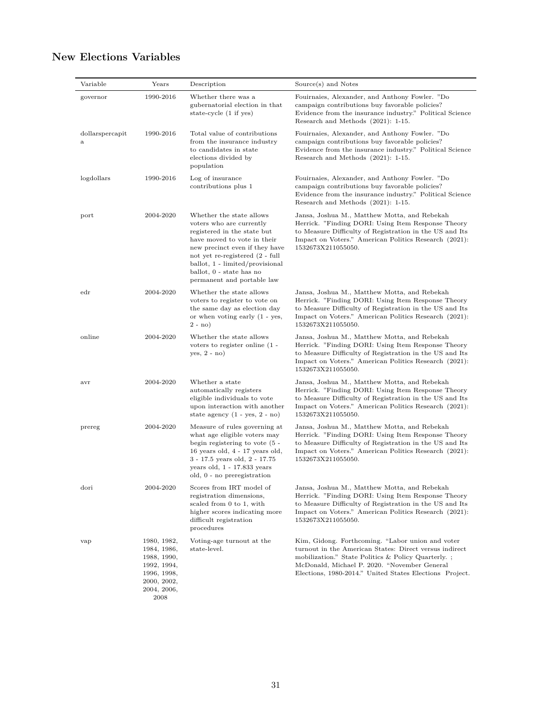#### Variable Years Description Source(s) and Notes governor 1990-2016 Whether there was a gubernatorial election in that state-cycle (1 if yes) Fouirnaies, Alexander, and Anthony Fowler. "Do campaign contributions buy favorable policies? Evidence from the insurance industry." Political Science Research and Methods (2021): 1-15. dollarspercapit a 1990-2016 Total value of contributions from the insurance industry to candidates in state elections divided by population Fouirnaies, Alexander, and Anthony Fowler. "Do campaign contributions buy favorable policies? Evidence from the insurance industry." Political Science Research and Methods (2021): 1-15. logdollars 1990-2016 Log of insurance contributions plus 1 Fouirnaies, Alexander, and Anthony Fowler. "Do campaign contributions buy favorable policies? Evidence from the insurance industry." Political Science Research and Methods (2021): 1-15. port 2004-2020 Whether the state allows voters who are currently registered in the state but have moved to vote in their new precinct even if they have not yet re-registered (2 - full ballot, 1 - limited/provisional ballot, 0 - state has no permanent and portable law Jansa, Joshua M., Matthew Motta, and Rebekah Herrick. "Finding DORI: Using Item Response Theory to Measure Difficulty of Registration in the US and Its Impact on Voters." American Politics Research (2021): 1532673X211055050. edr 2004-2020 Whether the state allows voters to register to vote on the same day as election day or when voting early (1 - yes, 2 - no) Jansa, Joshua M., Matthew Motta, and Rebekah Herrick. "Finding DORI: Using Item Response Theory to Measure Difficulty of Registration in the US and Its Impact on Voters." American Politics Research (2021): 1532673X211055050. online 2004-2020 Whether the state allows voters to register online (1 yes, 2 - no) Jansa, Joshua M., Matthew Motta, and Rebekah Herrick. "Finding DORI: Using Item Response Theory to Measure Difficulty of Registration in the US and Its Impact on Voters." American Politics Research (2021): 1532673X211055050. avr 2004-2020 Whether a state automatically registers eligible individuals to vote upon interaction with another state agency  $(1 - yes, 2 - no)$ Jansa, Joshua M., Matthew Motta, and Rebekah Herrick. "Finding DORI: Using Item Response Theory to Measure Difficulty of Registration in the US and Its Impact on Voters." American Politics Research (2021): 1532673X211055050. prereg 2004-2020 Measure of rules governing at what age eligible voters may begin registering to vote (5 - 16 years old, 4 - 17 years old, 3 - 17.5 years old, 2 - 17.75 years old, 1 - 17.833 years old, 0 - no preregistration Jansa, Joshua M., Matthew Motta, and Rebekah Herrick. "Finding DORI: Using Item Response Theory to Measure Difficulty of Registration in the US and Its Impact on Voters." American Politics Research (2021): 1532673X211055050. dori 2004-2020 Scores from IRT model of registration dimensions, scaled from 0 to 1, with higher scores indicating more difficult registration procedures Jansa, Joshua M., Matthew Motta, and Rebekah Herrick. "Finding DORI: Using Item Response Theory to Measure Difficulty of Registration in the US and Its Impact on Voters." American Politics Research (2021): 1532673X211055050. vap 1980, 1982, 1984, 1986, 1988, 1990, 1992, 1994, 1996, 1998, 2000, 2002, 2004, 2006, 2008 Voting-age turnout at the state-level. Kim, Gidong. Forthcoming. "Labor union and voter turnout in the American States: Direct versus indirect mobilization." State Politics & Policy Quarterly. ; McDonald, Michael P. 2020. "November General Elections, 1980-2014." United States Elections Project.

#### **New Elections Variables**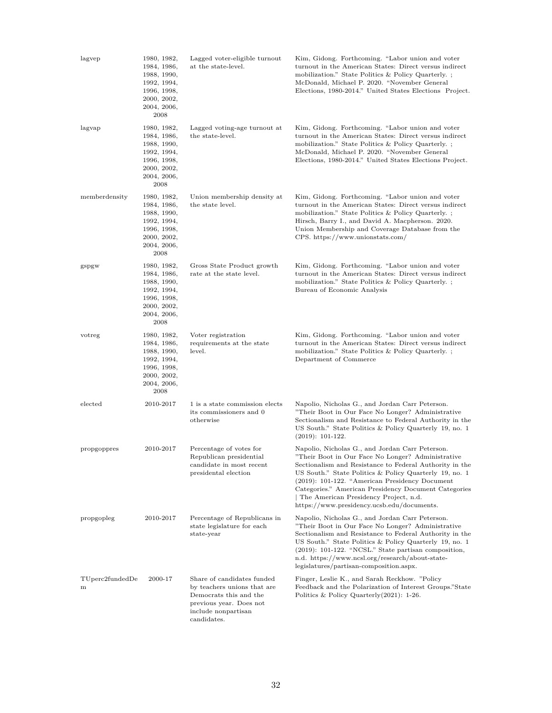| lagvep               | 1980, 1982,<br>1984, 1986,<br>1988, 1990,<br>1992, 1994,<br>1996, 1998,<br>2000, 2002,<br>2004, 2006,<br>2008 | Lagged voter-eligible turnout<br>at the state-level.                                                                                                 | Kim, Gidong. Forthcoming. "Labor union and voter<br>turnout in the American States: Direct versus indirect<br>mobilization." State Politics & Policy Quarterly.;<br>McDonald, Michael P. 2020. "November General<br>Elections, 1980-2014." United States Elections Project.                                                                                                                                                |
|----------------------|---------------------------------------------------------------------------------------------------------------|------------------------------------------------------------------------------------------------------------------------------------------------------|----------------------------------------------------------------------------------------------------------------------------------------------------------------------------------------------------------------------------------------------------------------------------------------------------------------------------------------------------------------------------------------------------------------------------|
| lagvap               | 1980, 1982,<br>1984, 1986,<br>1988, 1990,<br>1992, 1994,<br>1996, 1998,<br>2000, 2002,<br>2004, 2006,<br>2008 | Lagged voting-age turnout at<br>the state-level.                                                                                                     | Kim, Gidong. Forthcoming. "Labor union and voter<br>turnout in the American States: Direct versus indirect<br>mobilization." State Politics & Policy Quarterly.;<br>McDonald, Michael P. 2020. "November General<br>Elections, 1980-2014." United States Elections Project.                                                                                                                                                |
| memberdensity        | 1980, 1982,<br>1984, 1986,<br>1988, 1990,<br>1992, 1994,<br>1996, 1998,<br>2000, 2002,<br>2004, 2006,<br>2008 | Union membership density at<br>the state level.                                                                                                      | Kim, Gidong. Forthcoming. "Labor union and voter<br>turnout in the American States: Direct versus indirect<br>mobilization." State Politics & Policy Quarterly.;<br>Hirsch, Barry I., and David A. Macpherson. 2020.<br>Union Membership and Coverage Database from the<br>$CPS.$ https://www.unionstats.com/                                                                                                              |
| gspgw                | 1980, 1982,<br>1984, 1986,<br>1988, 1990,<br>1992, 1994,<br>1996, 1998,<br>2000, 2002,<br>2004, 2006,<br>2008 | Gross State Product growth<br>rate at the state level.                                                                                               | Kim, Gidong. Forthcoming. "Labor union and voter<br>turnout in the American States: Direct versus indirect<br>mobilization." State Politics & Policy Quarterly.;<br>Bureau of Economic Analysis                                                                                                                                                                                                                            |
| votreg               | 1980, 1982,<br>1984, 1986,<br>1988, 1990,<br>1992, 1994,<br>1996, 1998,<br>2000, 2002,<br>2004, 2006,<br>2008 | Voter registration<br>requirements at the state<br>level.                                                                                            | Kim, Gidong. Forthcoming. "Labor union and voter<br>turnout in the American States: Direct versus indirect<br>mobilization." State Politics & Policy Quarterly.;<br>Department of Commerce                                                                                                                                                                                                                                 |
| elected              | 2010-2017                                                                                                     | 1 is a state commission elects<br>its commissioners and 0<br>otherwise                                                                               | Napolio, Nicholas G., and Jordan Carr Peterson.<br>"Their Boot in Our Face No Longer? Administrative<br>Sectionalism and Resistance to Federal Authority in the<br>US South." State Politics & Policy Quarterly 19, no. 1<br>$(2019): 101-122.$                                                                                                                                                                            |
| propgoppres          | 2010-2017                                                                                                     | Percentage of votes for<br>Republican presidential<br>candidate in most recent<br>presidental election                                               | Napolio, Nicholas G., and Jordan Carr Peterson.<br>"Their Boot in Our Face No Longer? Administrative<br>Sectionalism and Resistance to Federal Authority in the<br>US South." State Politics & Policy Quarterly 19, no. 1<br>(2019): 101-122. "American Presidency Document<br>Categories." American Presidency Document Categories<br>The American Presidency Project, n.d.<br>https://www.presidency.ucsb.edu/documents. |
| propgopleg           | 2010-2017                                                                                                     | Percentage of Republicans in<br>state legislature for each<br>state-year                                                                             | Napolio, Nicholas G., and Jordan Carr Peterson.<br>"Their Boot in Our Face No Longer? Administrative<br>Sectionalism and Resistance to Federal Authority in the<br>US South." State Politics & Policy Quarterly 19, no. 1<br>$(2019): 101-122.$ "NCSL." State partisan composition,<br>n.d. https://www.ncsl.org/research/about-state-<br>legislatures/partisan-composition.aspx.                                          |
| TUperc2fundedDe<br>m | 2000-17                                                                                                       | Share of candidates funded<br>by teachers unions that are<br>Democrats this and the<br>previous year. Does not<br>include nonpartisan<br>candidates. | Finger, Leslie K., and Sarah Reckhow. "Policy<br>Feedback and the Polarization of Interest Groups."State<br>Politics & Policy Quarterly $(2021)$ : 1-26.                                                                                                                                                                                                                                                                   |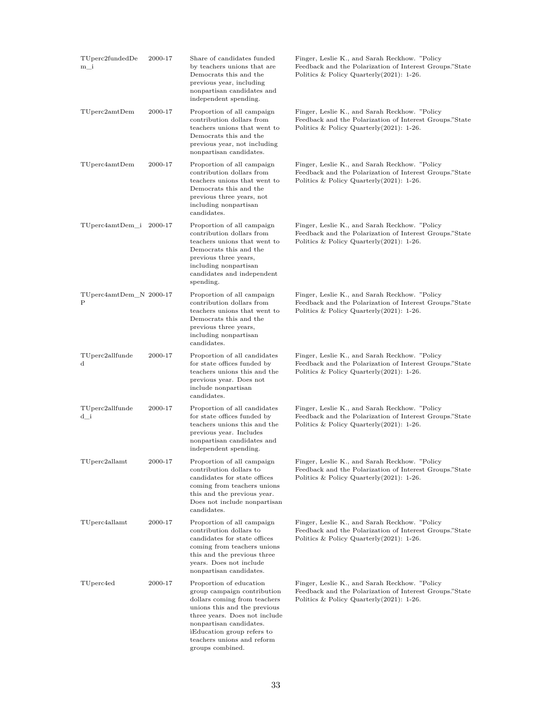| $TU$ perc $2$ fundedDe<br>m i | 2000-17 | Share of candidates funded<br>by teachers unions that are<br>Democrats this and the<br>previous year, including<br>nonpartisan candidates and<br>independent spending.                                                                                             | Finger, Leslie K., and Sarah Reckhow. "Policy<br>Feedback and the Polarization of Interest Groups."State<br>Politics & Policy Quarterly $(2021)$ : 1-26. |
|-------------------------------|---------|--------------------------------------------------------------------------------------------------------------------------------------------------------------------------------------------------------------------------------------------------------------------|----------------------------------------------------------------------------------------------------------------------------------------------------------|
| TUpper2amtDem                 | 2000-17 | Proportion of all campaign<br>contribution dollars from<br>teachers unions that went to<br>Democrats this and the<br>previous year, not including<br>nonpartisan candidates.                                                                                       | Finger, Leslie K., and Sarah Reckhow. "Policy<br>Feedback and the Polarization of Interest Groups."State<br>Politics & Policy Quarterly $(2021)$ : 1-26. |
| TUperc4amtDem                 | 2000-17 | Proportion of all campaign<br>contribution dollars from<br>teachers unions that went to<br>Democrats this and the<br>previous three years, not<br>including nonpartisan<br>candidates.                                                                             | Finger, Leslie K., and Sarah Reckhow. "Policy<br>Feedback and the Polarization of Interest Groups."State<br>Politics & Policy Quarterly $(2021)$ : 1-26. |
| TUperc4amtDem_i 2000-17       |         | Proportion of all campaign<br>contribution dollars from<br>teachers unions that went to<br>Democrats this and the<br>previous three years,<br>including nonpartisan<br>candidates and independent<br>spending.                                                     | Finger, Leslie K., and Sarah Reckhow. "Policy<br>Feedback and the Polarization of Interest Groups."State<br>Politics & Policy Quarterly $(2021)$ : 1-26. |
| TUperc4amtDem_N 2000-17<br>Ρ  |         | Proportion of all campaign<br>contribution dollars from<br>teachers unions that went to<br>Democrats this and the<br>previous three years,<br>including nonpartisan<br>candidates.                                                                                 | Finger, Leslie K., and Sarah Reckhow. "Policy<br>Feedback and the Polarization of Interest Groups."State<br>Politics & Policy Quarterly $(2021)$ : 1-26. |
| TUperc2allfunde<br>d          | 2000-17 | Proportion of all candidates<br>for state offices funded by<br>teachers unions this and the<br>previous year. Does not<br>include nonpartisan<br>candidates.                                                                                                       | Finger, Leslie K., and Sarah Reckhow. "Policy<br>Feedback and the Polarization of Interest Groups."State<br>Politics & Policy Quarterly $(2021)$ : 1-26. |
| TUperc2allfunde<br>d_i        | 2000-17 | Proportion of all candidates<br>for state offices funded by<br>teachers unions this and the<br>previous year. Includes<br>nonpartisan candidates and<br>independent spending.                                                                                      | Finger, Leslie K., and Sarah Reckhow. "Policy<br>Feedback and the Polarization of Interest Groups."State<br>Politics & Policy Quarterly $(2021)$ : 1-26. |
| TUperc2allamt                 | 2000-17 | Proportion of all campaign<br>contribution dollars to<br>candidates for state offices<br>coming from teachers unions<br>this and the previous year.<br>Does not include nonpartisan<br>candidates.                                                                 | Finger, Leslie K., and Sarah Reckhow. "Policy<br>Feedback and the Polarization of Interest Groups."State<br>Politics & Policy Quarterly $(2021)$ : 1-26. |
| TUperc4allamt                 | 2000-17 | Proportion of all campaign<br>contribution dollars to<br>candidates for state offices<br>coming from teachers unions<br>this and the previous three<br>years. Does not include<br>nonpartisan candidates.                                                          | Finger, Leslie K., and Sarah Reckhow. "Policy<br>Feedback and the Polarization of Interest Groups."State<br>Politics & Policy Quarterly $(2021)$ : 1-26. |
| TUperc4ed                     | 2000-17 | Proportion of education<br>group campaign contribution<br>dollars coming from teachers<br>unions this and the previous<br>three years. Does not include<br>nonpartisan candidates.<br>iEducation group refers to<br>teachers unions and reform<br>groups combined. | Finger, Leslie K., and Sarah Reckhow. "Policy<br>Feedback and the Polarization of Interest Groups."State<br>Politics & Policy Quarterly $(2021)$ : 1-26. |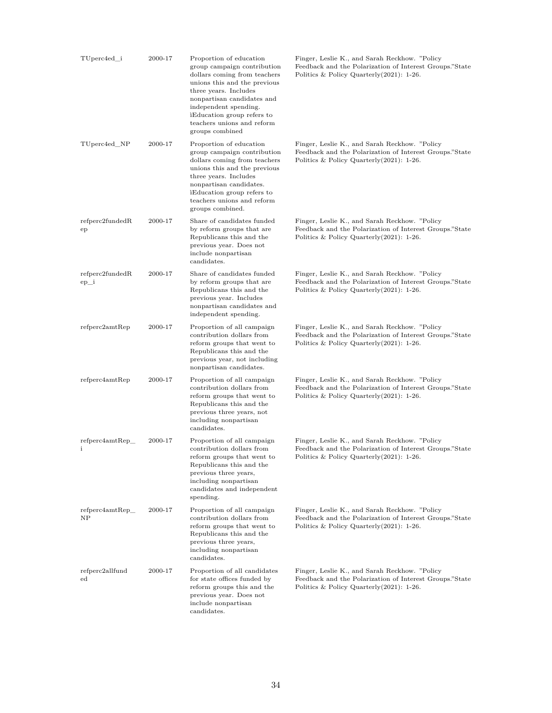| TUperc4ed_i                    | 2000-17 | Proportion of education<br>group campaign contribution<br>dollars coming from teachers<br>unions this and the previous<br>three years. Includes<br>nonpartisan candidates and<br>independent spending.<br>Education group refers to<br>teachers unions and reform<br>groups combined | Finger, Leslie K., and Sarah Reckhow. "Policy<br>Feedback and the Polarization of Interest Groups."State<br>Politics & Policy Quarterly $(2021)$ : 1-26. |
|--------------------------------|---------|--------------------------------------------------------------------------------------------------------------------------------------------------------------------------------------------------------------------------------------------------------------------------------------|----------------------------------------------------------------------------------------------------------------------------------------------------------|
| TUperc4ed_NP                   | 2000-17 | Proportion of education<br>group campaign contribution<br>dollars coming from teachers<br>unions this and the previous<br>three years. Includes<br>nonpartisan candidates.<br>Education group refers to<br>teachers unions and reform<br>groups combined.                            | Finger, Leslie K., and Sarah Reckhow. "Policy<br>Feedback and the Polarization of Interest Groups."State<br>Politics & Policy Quarterly $(2021)$ : 1-26. |
| refperc2fundedR<br>ep          | 2000-17 | Share of candidates funded<br>by reform groups that are<br>Republicans this and the<br>previous year. Does not<br>include nonpartisan<br>candidates.                                                                                                                                 | Finger, Leslie K., and Sarah Reckhow. "Policy<br>Feedback and the Polarization of Interest Groups."State<br>Politics & Policy Quarterly $(2021)$ : 1-26. |
| refperc2fundedR<br>$ep_i$      | 2000-17 | Share of candidates funded<br>by reform groups that are<br>Republicans this and the<br>previous year. Includes<br>nonpartisan candidates and<br>independent spending.                                                                                                                | Finger, Leslie K., and Sarah Reckhow. "Policy<br>Feedback and the Polarization of Interest Groups."State<br>Politics & Policy Quarterly $(2021)$ : 1-26. |
| refperc2amtRep                 | 2000-17 | Proportion of all campaign<br>contribution dollars from<br>reform groups that went to<br>Republicans this and the<br>previous year, not including<br>nonpartisan candidates.                                                                                                         | Finger, Leslie K., and Sarah Reckhow. "Policy<br>Feedback and the Polarization of Interest Groups."State<br>Politics & Policy Quarterly $(2021)$ : 1-26. |
| refperc4amtRep                 | 2000-17 | Proportion of all campaign<br>contribution dollars from<br>reform groups that went to<br>Republicans this and the<br>previous three years, not<br>including nonpartisan<br>candidates.                                                                                               | Finger, Leslie K., and Sarah Reckhow. "Policy<br>Feedback and the Polarization of Interest Groups."State<br>Politics & Policy Quarterly $(2021)$ : 1-26. |
| refperc4amtRep<br>i            | 2000-17 | Proportion of all campaign<br>contribution dollars from<br>reform groups that went to<br>Republicans this and the<br>previous three years,<br>including nonpartisan<br>candidates and independent<br>spending.                                                                       | Finger, Leslie K., and Sarah Reckhow. "Policy<br>Feedback and the Polarization of Interest Groups."State<br>Politics & Policy Quarterly (2021): 1-26.    |
| refperc4amtRep<br>NP           | 2000-17 | Proportion of all campaign<br>contribution dollars from<br>reform groups that went to<br>Republicans this and the<br>previous three years,<br>including nonpartisan<br>candidates.                                                                                                   | Finger, Leslie K., and Sarah Reckhow. "Policy<br>Feedback and the Polarization of Interest Groups."State<br>Politics & Policy Quarterly $(2021)$ : 1-26. |
| refperc2allfund<br>$_{\rm ed}$ | 2000-17 | Proportion of all candidates<br>for state offices funded by<br>reform groups this and the<br>previous year. Does not<br>include nonpartisan<br>candidates.                                                                                                                           | Finger, Leslie K., and Sarah Reckhow. "Policy<br>Feedback and the Polarization of Interest Groups."State<br>Politics & Policy Quarterly $(2021)$ : 1-26. |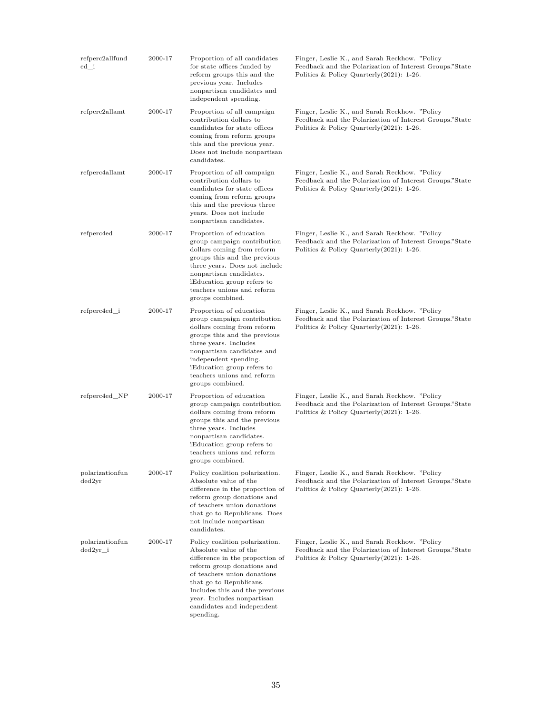| refperc2allfund<br>ed_i     | 2000-17 | Proportion of all candidates<br>for state offices funded by<br>reform groups this and the<br>previous year. Includes<br>nonpartisan candidates and<br>independent spending.                                                                                                                   | Finger, Leslie K., and Sarah Reckhow. "Policy<br>Feedback and the Polarization of Interest Groups."State<br>Politics & Policy Quarterly $(2021)$ : 1-26. |
|-----------------------------|---------|-----------------------------------------------------------------------------------------------------------------------------------------------------------------------------------------------------------------------------------------------------------------------------------------------|----------------------------------------------------------------------------------------------------------------------------------------------------------|
| refperc2allamt              | 2000-17 | Proportion of all campaign<br>contribution dollars to<br>candidates for state offices<br>coming from reform groups<br>this and the previous year.<br>Does not include nonpartisan<br>candidates.                                                                                              | Finger, Leslie K., and Sarah Reckhow. "Policy<br>Feedback and the Polarization of Interest Groups."State<br>Politics & Policy Quarterly $(2021)$ : 1-26. |
| refperc4allamt              | 2000-17 | Proportion of all campaign<br>contribution dollars to<br>candidates for state offices<br>coming from reform groups<br>this and the previous three<br>years. Does not include<br>nonpartisan candidates.                                                                                       | Finger, Leslie K., and Sarah Reckhow. "Policy<br>Feedback and the Polarization of Interest Groups."State<br>Politics & Policy Quarterly $(2021)$ : 1-26. |
| refperc4ed                  | 2000-17 | Proportion of education<br>group campaign contribution<br>dollars coming from reform<br>groups this and the previous<br>three years. Does not include<br>nonpartisan candidates.<br>Education group refers to<br>teachers unions and reform<br>groups combined.                               | Finger, Leslie K., and Sarah Reckhow. "Policy<br>Feedback and the Polarization of Interest Groups."State<br>Politics & Policy Quarterly $(2021)$ : 1-26. |
| refperc4ed_i                | 2000-17 | Proportion of education<br>group campaign contribution<br>dollars coming from reform<br>groups this and the previous<br>three years. Includes<br>nonpartisan candidates and<br>independent spending.<br>Education group refers to<br>teachers unions and reform<br>groups combined.           | Finger, Leslie K., and Sarah Reckhow. "Policy<br>Feedback and the Polarization of Interest Groups."State<br>Politics & Policy Quarterly $(2021)$ : 1-26. |
| refperc4ed_NP               | 2000-17 | Proportion of education<br>group campaign contribution<br>dollars coming from reform<br>groups this and the previous<br>three years. Includes<br>nonpartisan candidates.<br>Education group refers to<br>teachers unions and reform<br>groups combined.                                       | Finger, Leslie K., and Sarah Reckhow. "Policy<br>Feedback and the Polarization of Interest Groups."State<br>Politics & Policy Quarterly $(2021)$ : 1-26. |
| polarizationfun<br>ded2vr   | 2000-17 | Policy coalition polarization.<br>Absolute value of the<br>difference in the proportion of<br>reform group donations and<br>of teachers union donations<br>that go to Republicans. Does<br>not include nonpartisan<br>candidates.                                                             | Finger, Leslie K., and Sarah Reckhow. "Policy<br>Feedback and the Polarization of Interest Groups."State<br>Politics & Policy Quarterly $(2021)$ : 1-26. |
| polarizationfun<br>ded2yr i | 2000-17 | Policy coalition polarization.<br>Absolute value of the<br>difference in the proportion of<br>reform group donations and<br>of teachers union donations<br>that go to Republicans.<br>Includes this and the previous<br>year. Includes nonpartisan<br>candidates and independent<br>spending. | Finger, Leslie K., and Sarah Reckhow. "Policy<br>Feedback and the Polarization of Interest Groups."State<br>Politics & Policy Quarterly $(2021)$ : 1-26. |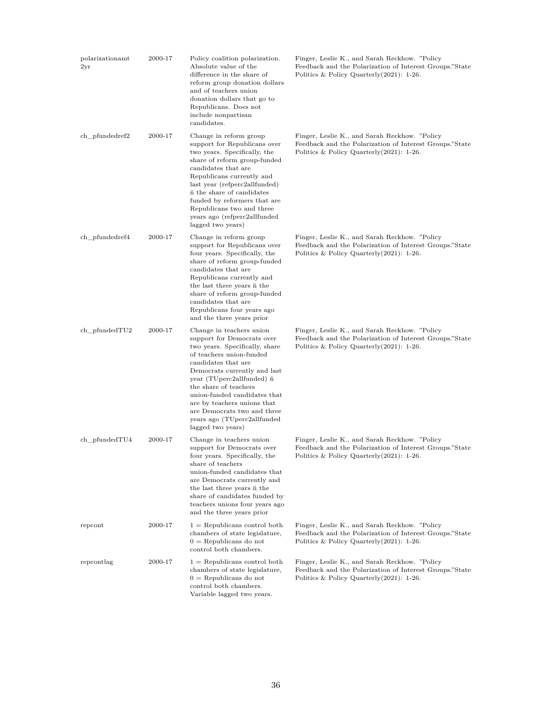| polarizationamt<br>2yr | 2000-17 | Policy coalition polarization.<br>Absolute value of the<br>difference in the share of<br>reform group donation dollars<br>and of teachers union<br>donation dollars that go to<br>Republicans. Does not<br>include nonpartisan<br>candidates.                                                                                                                                       | Finger, Leslie K., and Sarah Reckhow. "Policy<br>Feedback and the Polarization of Interest Groups."State<br>Politics & Policy Quarterly $(2021)$ : 1-26. |
|------------------------|---------|-------------------------------------------------------------------------------------------------------------------------------------------------------------------------------------------------------------------------------------------------------------------------------------------------------------------------------------------------------------------------------------|----------------------------------------------------------------------------------------------------------------------------------------------------------|
| ch_pfundedref2         | 2000-17 | Change in reform group<br>support for Republicans over<br>two years. Specifically, the<br>share of reform group-funded<br>candidates that are<br>Republicans currently and<br>last year (refperc2allfunded)<br>ñ the share of candidates<br>funded by reformers that are<br>Republicans two and three<br>years ago (refperc2allfunded<br>lagged two years)                          | Finger, Leslie K., and Sarah Reckhow. "Policy<br>Feedback and the Polarization of Interest Groups."State<br>Politics & Policy Quarterly $(2021)$ : 1-26. |
| ch_pfundedref4         | 2000-17 | Change in reform group<br>support for Republicans over<br>four years. Specifically, the<br>share of reform group-funded<br>candidates that are<br>Republicans currently and<br>the last three years $\tilde{n}$ the<br>share of reform group-funded<br>candidates that are<br>Republicans four years ago<br>and the three years prior                                               | Finger, Leslie K., and Sarah Reckhow. "Policy<br>Feedback and the Polarization of Interest Groups."State<br>Politics & Policy Quarterly $(2021)$ : 1-26. |
| $ch\_pfandedTU2$       | 2000-17 | Change in teachers union<br>support for Democrats over<br>two years. Specifically, share<br>of teachers union-funded<br>candidates that are<br>Democrats currently and last<br>year (TUperc2allfunded) ñ<br>the share of teachers<br>union-funded candidates that<br>are by teachers unions that<br>are Democrats two and three<br>years ago (TUperc2allfunded<br>lagged two years) | Finger, Leslie K., and Sarah Reckhow. "Policy<br>Feedback and the Polarization of Interest Groups."State<br>Politics & Policy Quarterly $(2021)$ : 1-26. |
| $ch\_pfandedTU4$       | 2000-17 | Change in teachers union<br>support for Democrats over<br>four years. Specifically, the<br>share of teachers<br>union-funded candidates that<br>are Democrats currently and<br>the last three years $\tilde{n}$ the<br>share of candidates funded by<br>teachers unions four years ago<br>and the three years prior                                                                 | Finger, Leslie K., and Sarah Reckhow. "Policy<br>Feedback and the Polarization of Interest Groups."State<br>Politics & Policy Quarterly(2021): 1-26.     |
| repcont                | 2000-17 | $1 =$ Republicans control both<br>chambers of state legislature,<br>$0 =$ Republicans do not<br>control both chambers.                                                                                                                                                                                                                                                              | Finger, Leslie K., and Sarah Reckhow. "Policy<br>Feedback and the Polarization of Interest Groups."State<br>Politics & Policy Quarterly $(2021)$ : 1-26. |
| repcontlag             | 2000-17 | $1 =$ Republicans control both<br>chambers of state legislature,<br>$0 =$ Republicans do not<br>control both chambers.<br>Variable lagged two years.                                                                                                                                                                                                                                | Finger, Leslie K., and Sarah Reckhow. "Policy<br>Feedback and the Polarization of Interest Groups."State<br>Politics & Policy Quarterly $(2021)$ : 1-26. |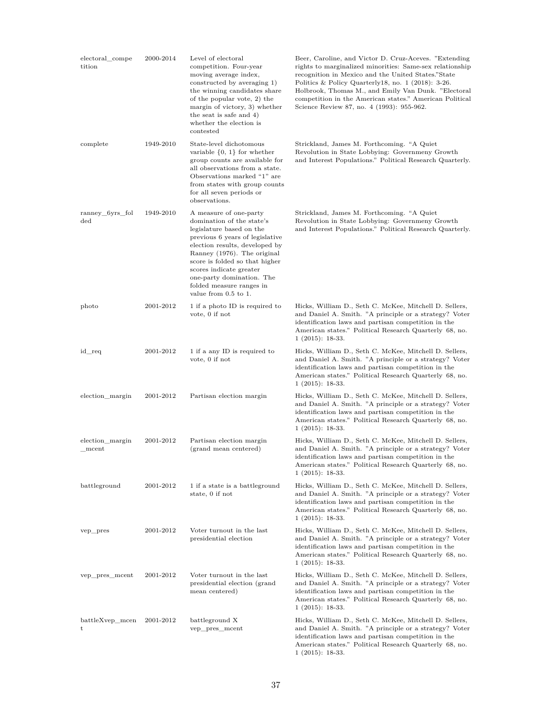| electoral_compe<br>tition        | 2000-2014 | Level of electoral<br>competition. Four-year<br>moving average index,<br>constructed by averaging 1)<br>the winning candidates share<br>of the popular vote, 2) the<br>margin of victory, 3) whether<br>the seat is safe and 4)<br>whether the election is<br>contested                                                             | Beer, Caroline, and Victor D. Cruz-Aceves. "Extending"<br>rights to marginalized minorities: Same-sex relationship<br>recognition in Mexico and the United States."State<br>Politics & Policy Quarterly 18, no. 1 (2018): 3-26.<br>Holbrook, Thomas M., and Emily Van Dunk. "Electoral<br>competition in the American states." American Political<br>Science Review 87, no. 4 (1993): 955-962. |
|----------------------------------|-----------|-------------------------------------------------------------------------------------------------------------------------------------------------------------------------------------------------------------------------------------------------------------------------------------------------------------------------------------|------------------------------------------------------------------------------------------------------------------------------------------------------------------------------------------------------------------------------------------------------------------------------------------------------------------------------------------------------------------------------------------------|
| complete                         | 1949-2010 | State-level dichotomous<br>variable $\{0, 1\}$ for whether<br>group counts are available for<br>all observations from a state.<br>Observations marked "1" are<br>from states with group counts<br>for all seven periods or<br>observations.                                                                                         | Strickland, James M. Forthcoming. "A Quiet<br>Revolution in State Lobbying: Governmeny Growth<br>and Interest Populations." Political Research Quarterly.                                                                                                                                                                                                                                      |
| ranney_6yrs_fol<br>$_{\rm{ded}}$ | 1949-2010 | A measure of one-party<br>domination of the state's<br>legislature based on the<br>previous 6 years of legislative<br>election results, developed by<br>Ranney (1976). The original<br>score is folded so that higher<br>scores indicate greater<br>one-party domination. The<br>folded measure ranges in<br>value from $0.5$ to 1. | Strickland, James M. Forthcoming. "A Quiet<br>Revolution in State Lobbying: Governmeny Growth<br>and Interest Populations." Political Research Quarterly.                                                                                                                                                                                                                                      |
| photo                            | 2001-2012 | 1 if a photo ID is required to<br>vote, 0 if not                                                                                                                                                                                                                                                                                    | Hicks, William D., Seth C. McKee, Mitchell D. Sellers,<br>and Daniel A. Smith. "A principle or a strategy? Voter<br>identification laws and partisan competition in the<br>American states." Political Research Quarterly 68, no.<br>$1(2015): 18-33.$                                                                                                                                         |
| id_req                           | 2001-2012 | 1 if a any ID is required to<br>vote, 0 if not                                                                                                                                                                                                                                                                                      | Hicks, William D., Seth C. McKee, Mitchell D. Sellers,<br>and Daniel A. Smith. "A principle or a strategy? Voter<br>identification laws and partisan competition in the<br>American states." Political Research Quarterly 68, no.<br>$1(2015): 18-33.$                                                                                                                                         |
| election_margin                  | 2001-2012 | Partisan election margin                                                                                                                                                                                                                                                                                                            | Hicks, William D., Seth C. McKee, Mitchell D. Sellers,<br>and Daniel A. Smith. "A principle or a strategy? Voter<br>identification laws and partisan competition in the<br>American states." Political Research Quarterly 68, no.<br>$1(2015): 18-33.$                                                                                                                                         |
| election_margin<br>mcent         | 2001-2012 | Partisan election margin<br>(grand mean centered)                                                                                                                                                                                                                                                                                   | Hicks, William D., Seth C. McKee, Mitchell D. Sellers,<br>and Daniel A. Smith. "A principle or a strategy? Voter<br>identification laws and partisan competition in the<br>American states." Political Research Quarterly 68, no.<br>$1(2015): 18-33.$                                                                                                                                         |
| battleground                     | 2001-2012 | 1 if a state is a battleground<br>state, 0 if not                                                                                                                                                                                                                                                                                   | Hicks, William D., Seth C. McKee, Mitchell D. Sellers,<br>and Daniel A. Smith. "A principle or a strategy? Voter<br>identification laws and partisan competition in the<br>American states." Political Research Quarterly 68, no.<br>$1(2015): 18-33.$                                                                                                                                         |
| vep_pres                         | 2001-2012 | Voter turnout in the last<br>presidential election                                                                                                                                                                                                                                                                                  | Hicks, William D., Seth C. McKee, Mitchell D. Sellers,<br>and Daniel A. Smith. "A principle or a strategy? Voter<br>identification laws and partisan competition in the<br>American states." Political Research Quarterly 68, no.<br>$1(2015): 18-33.$                                                                                                                                         |
| vep_pres_mcent                   | 2001-2012 | Voter turnout in the last<br>presidential election (grand<br>mean centered)                                                                                                                                                                                                                                                         | Hicks, William D., Seth C. McKee, Mitchell D. Sellers,<br>and Daniel A. Smith. "A principle or a strategy? Voter<br>identification laws and partisan competition in the<br>American states." Political Research Quarterly 68, no.<br>$1(2015): 18-33.$                                                                                                                                         |
| battleXvep_mcen<br>t             | 2001-2012 | battleground X<br>vep_pres_mcent                                                                                                                                                                                                                                                                                                    | Hicks, William D., Seth C. McKee, Mitchell D. Sellers,<br>and Daniel A. Smith. "A principle or a strategy? Voter<br>identification laws and partisan competition in the<br>American states." Political Research Quarterly 68, no.<br>$1(2015): 18-33.$                                                                                                                                         |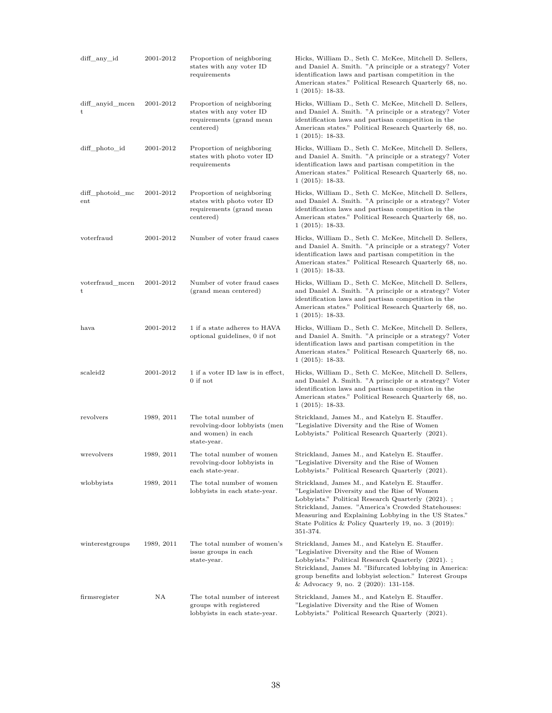| diff_any_id                     | 2001-2012  | Proportion of neighboring<br>states with any voter ID<br>requirements                            | Hicks, William D., Seth C. McKee, Mitchell D. Sellers,<br>and Daniel A. Smith. "A principle or a strategy? Voter<br>identification laws and partisan competition in the<br>American states." Political Research Quarterly 68, no.<br>$1(2015): 18-33.$                                                                                |
|---------------------------------|------------|--------------------------------------------------------------------------------------------------|---------------------------------------------------------------------------------------------------------------------------------------------------------------------------------------------------------------------------------------------------------------------------------------------------------------------------------------|
| diff_anyid_mcen<br>t            | 2001-2012  | Proportion of neighboring<br>states with any voter ID<br>requirements (grand mean<br>centered)   | Hicks, William D., Seth C. McKee, Mitchell D. Sellers,<br>and Daniel A. Smith. "A principle or a strategy? Voter<br>identification laws and partisan competition in the<br>American states." Political Research Quarterly 68, no.<br>$1(2015): 18-33.$                                                                                |
| diff_photo_id                   | 2001-2012  | Proportion of neighboring<br>states with photo voter ID<br>requirements                          | Hicks, William D., Seth C. McKee, Mitchell D. Sellers,<br>and Daniel A. Smith. "A principle or a strategy? Voter<br>identification laws and partisan competition in the<br>American states." Political Research Quarterly 68, no.<br>$1(2015): 18-33.$                                                                                |
| diff_photoid_mc<br>$_{\rm ent}$ | 2001-2012  | Proportion of neighboring<br>states with photo voter ID<br>requirements (grand mean<br>centered) | Hicks, William D., Seth C. McKee, Mitchell D. Sellers,<br>and Daniel A. Smith. "A principle or a strategy? Voter<br>identification laws and partisan competition in the<br>American states." Political Research Quarterly 68, no.<br>$1(2015): 18-33.$                                                                                |
| voterfraud                      | 2001-2012  | Number of voter fraud cases                                                                      | Hicks, William D., Seth C. McKee, Mitchell D. Sellers,<br>and Daniel A. Smith. "A principle or a strategy? Voter<br>identification laws and partisan competition in the<br>American states." Political Research Quarterly 68, no.<br>$1(2015): 18-33.$                                                                                |
| voterfraud mcen<br>t            | 2001-2012  | Number of voter fraud cases<br>(grand mean centered)                                             | Hicks, William D., Seth C. McKee, Mitchell D. Sellers,<br>and Daniel A. Smith. "A principle or a strategy? Voter<br>identification laws and partisan competition in the<br>American states." Political Research Quarterly 68, no.<br>$1(2015): 18-33.$                                                                                |
| hava                            | 2001-2012  | 1 if a state adheres to HAVA<br>optional guidelines, 0 if not                                    | Hicks, William D., Seth C. McKee, Mitchell D. Sellers,<br>and Daniel A. Smith. "A principle or a strategy? Voter<br>identification laws and partisan competition in the<br>American states." Political Research Quarterly 68, no.<br>$1(2015): 18-33.$                                                                                |
| scaleid2                        | 2001-2012  | 1 if a voter ID law is in effect,<br>0 if not                                                    | Hicks, William D., Seth C. McKee, Mitchell D. Sellers,<br>and Daniel A. Smith. "A principle or a strategy? Voter<br>identification laws and partisan competition in the<br>American states." Political Research Quarterly 68, no.<br>$1(2015): 18-33.$                                                                                |
| revolvers                       | 1989, 2011 | The total number of<br>revolving-door lobbyists (men<br>and women) in each<br>state-year.        | Strickland, James M., and Katelyn E. Stauffer.<br>"Legislative Diversity and the Rise of Women"<br>Lobbyists." Political Research Quarterly (2021).                                                                                                                                                                                   |
| wrevolvers                      | 1989, 2011 | The total number of women<br>revolving-door lobbyists in<br>each state-year.                     | Strickland, James M., and Katelyn E. Stauffer.<br>"Legislative Diversity and the Rise of Women"<br>Lobbyists." Political Research Quarterly (2021).                                                                                                                                                                                   |
| wlobbyists                      | 1989, 2011 | The total number of women<br>lobbyists in each state-year.                                       | Strickland, James M., and Katelyn E. Stauffer.<br>"Legislative Diversity and the Rise of Women"<br>Lobbyists." Political Research Quarterly (2021).;<br>Strickland, James. "America's Crowded Statehouses:<br>Measuring and Explaining Lobbying in the US States."<br>State Politics & Policy Quarterly 19, no. 3 (2019):<br>351-374. |
| winterestgroups                 | 1989, 2011 | The total number of women's<br>issue groups in each<br>state-year.                               | Strickland, James M., and Katelyn E. Stauffer.<br>"Legislative Diversity and the Rise of Women"<br>Lobbyists." Political Research Quarterly (2021).;<br>Strickland, James M. "Bifurcated lobbying in America:<br>group benefits and lobbyist selection." Interest Groups<br>& Advocacy 9, no. 2 (2020): 131-158.                      |
| firmsregister                   | ΝA         | The total number of interest<br>groups with registered<br>lobbyists in each state-year.          | Strickland, James M., and Katelyn E. Stauffer.<br>"Legislative Diversity and the Rise of Women"<br>Lobbyists." Political Research Quarterly (2021).                                                                                                                                                                                   |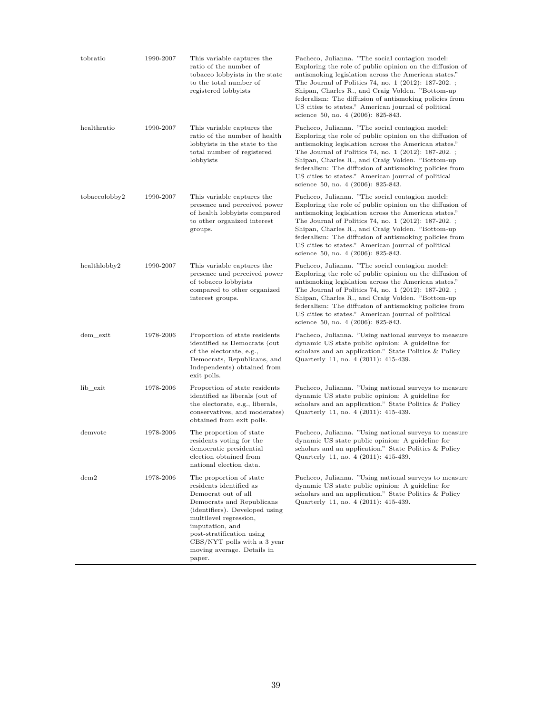| tobratio      | 1990-2007 | This variable captures the<br>ratio of the number of<br>tobacco lobbyists in the state<br>to the total number of<br>registered lobbyists                                                                                                                                                  | Pacheco, Julianna. "The social contagion model:<br>Exploring the role of public opinion on the diffusion of<br>antismoking legislation across the American states."<br>The Journal of Politics 74, no. 1 (2012): 187-202.;<br>Shipan, Charles R., and Craig Volden. "Bottom-up<br>federalism: The diffusion of antismoking policies from<br>US cities to states." American journal of political<br>science 50, no. 4 (2006): 825-843. |
|---------------|-----------|-------------------------------------------------------------------------------------------------------------------------------------------------------------------------------------------------------------------------------------------------------------------------------------------|---------------------------------------------------------------------------------------------------------------------------------------------------------------------------------------------------------------------------------------------------------------------------------------------------------------------------------------------------------------------------------------------------------------------------------------|
| healthratio   | 1990-2007 | This variable captures the<br>ratio of the number of health<br>lobbyists in the state to the<br>total number of registered<br>lobbyists                                                                                                                                                   | Pacheco, Julianna. "The social contagion model:<br>Exploring the role of public opinion on the diffusion of<br>antismoking legislation across the American states."<br>The Journal of Politics 74, no. 1 (2012): 187-202.;<br>Shipan, Charles R., and Craig Volden. "Bottom-up<br>federalism: The diffusion of antismoking policies from<br>US cities to states." American journal of political<br>science 50, no. 4 (2006): 825-843. |
| tobaccolobby2 | 1990-2007 | This variable captures the<br>presence and perceived power<br>of health lobbyists compared<br>to other organized interest<br>groups.                                                                                                                                                      | Pacheco, Julianna. "The social contagion model:<br>Exploring the role of public opinion on the diffusion of<br>antismoking legislation across the American states."<br>The Journal of Politics 74, no. 1 (2012): 187-202.;<br>Shipan, Charles R., and Craig Volden. "Bottom-up<br>federalism: The diffusion of antismoking policies from<br>US cities to states." American journal of political<br>science 50, no. 4 (2006): 825-843. |
| healthlobby2  | 1990-2007 | This variable captures the<br>presence and perceived power<br>of tobacco lobbyists<br>compared to other organized<br>interest groups.                                                                                                                                                     | Pacheco, Julianna. "The social contagion model:<br>Exploring the role of public opinion on the diffusion of<br>antismoking legislation across the American states."<br>The Journal of Politics 74, no. 1 (2012): 187-202.;<br>Shipan, Charles R., and Craig Volden. "Bottom-up<br>federalism: The diffusion of antismoking policies from<br>US cities to states." American journal of political<br>science 50, no. 4 (2006): 825-843. |
| dem exit      | 1978-2006 | Proportion of state residents<br>identified as Democrats (out<br>of the electorate, e.g.,<br>Democrats, Republicans, and<br>Independents) obtained from<br>exit polls.                                                                                                                    | Pacheco, Julianna. "Using national surveys to measure<br>dynamic US state public opinion: A guideline for<br>scholars and an application." State Politics & Policy<br>Quarterly 11, no. 4 (2011): 415-439.                                                                                                                                                                                                                            |
| lib_exit      | 1978-2006 | Proportion of state residents<br>identified as liberals (out of<br>the electorate, e.g., liberals,<br>conservatives, and moderates)<br>obtained from exit polls.                                                                                                                          | Pacheco, Julianna. "Using national surveys to measure<br>dynamic US state public opinion: A guideline for<br>scholars and an application." State Politics & Policy<br>Quarterly 11, no. 4 (2011): 415-439.                                                                                                                                                                                                                            |
| demvote       | 1978-2006 | The proportion of state<br>residents voting for the<br>democratic presidential<br>election obtained from<br>national election data.                                                                                                                                                       | Pacheco, Julianna. "Using national surveys to measure<br>dynamic US state public opinion: A guideline for<br>scholars and an application." State Politics & Policy<br>Quarterly 11, no. 4 (2011): 415-439.                                                                                                                                                                                                                            |
| dem2          | 1978-2006 | The proportion of state<br>residents identified as<br>Democrat out of all<br>Democrats and Republicans<br>(identifiers). Developed using<br>multilevel regression,<br>imputation, and<br>post-stratification using<br>CBS/NYT polls with a 3 year<br>moving average. Details in<br>paper. | Pacheco, Julianna. "Using national surveys to measure<br>dynamic US state public opinion: A guideline for<br>scholars and an application." State Politics & Policy<br>Quarterly 11, no. 4 (2011): 415-439.                                                                                                                                                                                                                            |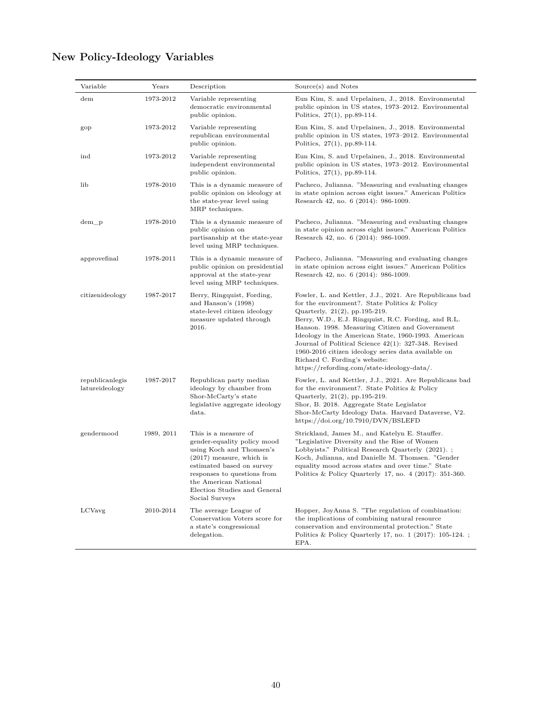#### Variable Years Description Source(s) and Notes dem 1973-2012 Variable representing democratic environmental public opinion. Eun Kim, S. and Urpelainen, J., 2018. Environmental public opinion in US states, 1973–2012. Environmental Politics, 27(1), pp.89-114. gop 1973-2012 Variable representing republican environmental public opinion. Eun Kim, S. and Urpelainen, J., 2018. Environmental public opinion in US states, 1973–2012. Environmental Politics, 27(1), pp.89-114. ind 1973-2012 Variable representing independent environmental public opinion. Eun Kim, S. and Urpelainen, J., 2018. Environmental public opinion in US states, 1973–2012. Environmental Politics, 27(1), pp.89-114. lib 1978-2010 This is a dynamic measure of public opinion on ideology at the state-year level using MRP techniques. Pacheco, Julianna. "Measuring and evaluating changes in state opinion across eight issues." American Politics Research 42, no. 6 (2014): 986-1009. dem\_p 1978-2010 This is a dynamic measure of public opinion on partisanship at the state-year level using MRP techniques. Pacheco, Julianna. "Measuring and evaluating changes in state opinion across eight issues." American Politics Research 42, no. 6 (2014): 986-1009. approvefinal 1978-2011 This is a dynamic measure of public opinion on presidential approval at the state-year level using MRP techniques. Pacheco, Julianna. "Measuring and evaluating changes in state opinion across eight issues." American Politics Research 42, no. 6 (2014): 986-1009. citizenideology 1987-2017 Berry, Ringquist, Fording, and Hanson's (1998) state-level citizen ideology measure updated through 2016. Fowler, L. and Kettler, J.J., 2021. Are Republicans bad for the environment?. State Politics & Policy Quarterly, 21(2), pp.195-219. Berry, W.D., E.J. Ringquist, R.C. Fording, and R.L. Hanson. 1998. Measuring Citizen and Government Ideology in the American State, 1960-1993. American Journal of Political Science 42(1): 327-348. Revised 1960-2016 citizen ideology series data available on Richard C. Fording's website: https://refording.com/state-ideology-data/. republicanlegis latureideology 1987-2017 Republican party median ideology by chamber from Shor-McCarty's state legislative aggregate ideology data. Fowler, L. and Kettler, J.J., 2021. Are Republicans bad for the environment?. State Politics & Policy Quarterly, 21(2), pp.195-219. Shor, B. 2018. Aggregate State Legislator Shor-McCarty Ideology Data. Harvard Dataverse, V2. https://doi.org/10.7910/DVN/BSLEFD gendermood 1989, 2011 This is a measure of gender-equality policy mood using Koch and Thomsen's (2017) measure, which is estimated based on survey responses to questions from the American National Election Studies and General Social Surveys Strickland, James M., and Katelyn E. Stauffer. "Legislative Diversity and the Rise of Women Lobbyists." Political Research Quarterly (2021). ; Koch, Julianna, and Danielle M. Thomsen. "Gender equality mood across states and over time." State Politics & Policy Quarterly 17, no. 4 (2017): 351-360. LCVavg 2010-2014 The average League of Conservation Voters score for a state's congressional delegation. Hopper, JoyAnna S. "The regulation of combination: the implications of combining natural resource conservation and environmental protection." State Politics & Policy Quarterly 17, no. 1 (2017): 105-124. ;

## **New Policy-Ideology Variables**

EPA.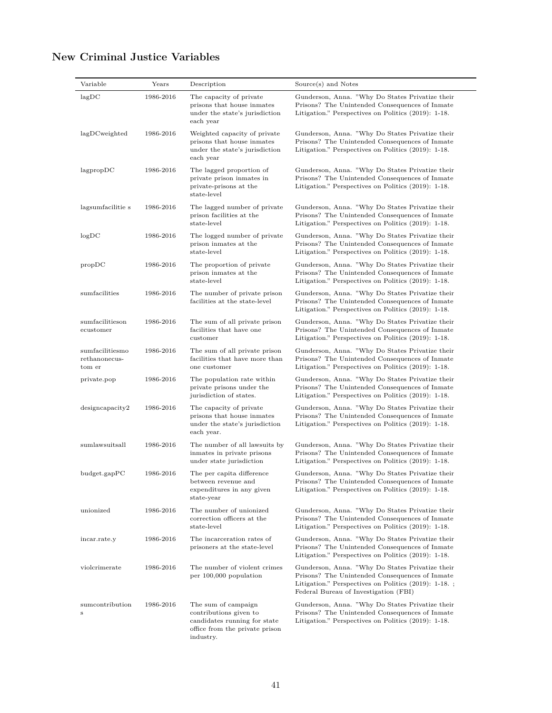# **New Criminal Justice Variables**

| Variable                                   | Years     | Description                                                                                                                  | Source(s) and Notes                                                                                                                                                                                |
|--------------------------------------------|-----------|------------------------------------------------------------------------------------------------------------------------------|----------------------------------------------------------------------------------------------------------------------------------------------------------------------------------------------------|
| lagDC                                      | 1986-2016 | The capacity of private<br>prisons that house inmates<br>under the state's jurisdiction<br>each year                         | Gunderson, Anna. "Why Do States Privatize their<br>Prisons? The Unintended Consequences of Inmate<br>Litigation." Perspectives on Politics (2019): 1-18.                                           |
| lagDCweighted                              | 1986-2016 | Weighted capacity of private<br>prisons that house inmates<br>under the state's jurisdiction<br>each year                    | Gunderson, Anna. "Why Do States Privatize their<br>Prisons? The Unintended Consequences of Inmate<br>Litigation." Perspectives on Politics (2019): 1-18.                                           |
| lagpropDC                                  | 1986-2016 | The lagged proportion of<br>private prison inmates in<br>private-prisons at the<br>state-level                               | Gunderson, Anna. "Why Do States Privatize their<br>Prisons? The Unintended Consequences of Inmate<br>Litigation." Perspectives on Politics (2019): 1-18.                                           |
| lagsumfacilitie s                          | 1986-2016 | The lagged number of private<br>prison facilities at the<br>state-level                                                      | Gunderson, Anna. "Why Do States Privatize their<br>Prisons? The Unintended Consequences of Inmate<br>Litigation." Perspectives on Politics (2019): 1-18.                                           |
| logDC                                      | 1986-2016 | The logged number of private<br>prison inmates at the<br>state-level                                                         | Gunderson, Anna. "Why Do States Privatize their<br>Prisons? The Unintended Consequences of Inmate<br>Litigation." Perspectives on Politics (2019): 1-18.                                           |
| propDC                                     | 1986-2016 | The proportion of private<br>prison inmates at the<br>state-level                                                            | Gunderson, Anna. "Why Do States Privatize their<br>Prisons? The Unintended Consequences of Inmate<br>Litigation." Perspectives on Politics (2019): 1-18.                                           |
| sumfacilities                              | 1986-2016 | The number of private prison<br>facilities at the state-level                                                                | Gunderson, Anna. "Why Do States Privatize their<br>Prisons? The Unintended Consequences of Inmate<br>Litigation." Perspectives on Politics (2019): 1-18.                                           |
| sumfacilitieson<br>ecustomer               | 1986-2016 | The sum of all private prison<br>facilities that have one<br>customer                                                        | Gunderson, Anna. "Why Do States Privatize their<br>Prisons? The Unintended Consequences of Inmate<br>Litigation." Perspectives on Politics (2019): 1-18.                                           |
| sumfacilitiesmo<br>rethanonecus-<br>tom er | 1986-2016 | The sum of all private prison<br>facilities that have more than<br>one customer                                              | Gunderson, Anna. "Why Do States Privatize their<br>Prisons? The Unintended Consequences of Inmate<br>Litigation." Perspectives on Politics (2019): 1-18.                                           |
| private.pop                                | 1986-2016 | The population rate within<br>private prisons under the<br>jurisdiction of states.                                           | Gunderson, Anna. "Why Do States Privatize their<br>Prisons? The Unintended Consequences of Inmate<br>Litigation." Perspectives on Politics (2019): 1-18.                                           |
| design capacity2                           | 1986-2016 | The capacity of private<br>prisons that house inmates<br>under the state's jurisdiction<br>each year.                        | Gunderson, Anna. "Why Do States Privatize their<br>Prisons? The Unintended Consequences of Inmate<br>Litigation." Perspectives on Politics (2019): 1-18.                                           |
| sumlawsuitsall                             | 1986-2016 | The number of all lawsuits by<br>inmates in private prisons<br>under state jurisdiction                                      | Gunderson, Anna. "Why Do States Privatize their<br>Prisons? The Unintended Consequences of Inmate<br>Litigation." Perspectives on Politics (2019): 1-18.                                           |
| budget.gapPC                               | 1986-2016 | The per capita difference<br>between revenue and<br>expenditures in any given<br>state-year                                  | Gunderson, Anna. "Why Do States Privatize their<br>Prisons? The Unintended Consequences of Inmate<br>Litigation." Perspectives on Politics (2019): 1-18.                                           |
| unionized                                  | 1986-2016 | The number of unionized<br>correction officers at the<br>state-level                                                         | Gunderson, Anna. "Why Do States Privatize their<br>Prisons? The Unintended Consequences of Inmate<br>Litigation." Perspectives on Politics (2019): 1-18.                                           |
| incar.rate.y                               | 1986-2016 | The incarceration rates of<br>prisoners at the state-level                                                                   | Gunderson, Anna. "Why Do States Privatize their<br>Prisons? The Unintended Consequences of Inmate<br>Litigation." Perspectives on Politics (2019): 1-18.                                           |
| violcrimerate                              | 1986-2016 | The number of violent crimes<br>per 100,000 population                                                                       | Gunderson, Anna. "Why Do States Privatize their<br>Prisons? The Unintended Consequences of Inmate<br>Litigation." Perspectives on Politics (2019): 1-18.;<br>Federal Bureau of Investigation (FBI) |
| sumcontribution<br>s                       | 1986-2016 | The sum of campaign<br>contributions given to<br>candidates running for state<br>office from the private prison<br>industry. | Gunderson, Anna. "Why Do States Privatize their<br>Prisons? The Unintended Consequences of Inmate<br>Litigation." Perspectives on Politics (2019): 1-18.                                           |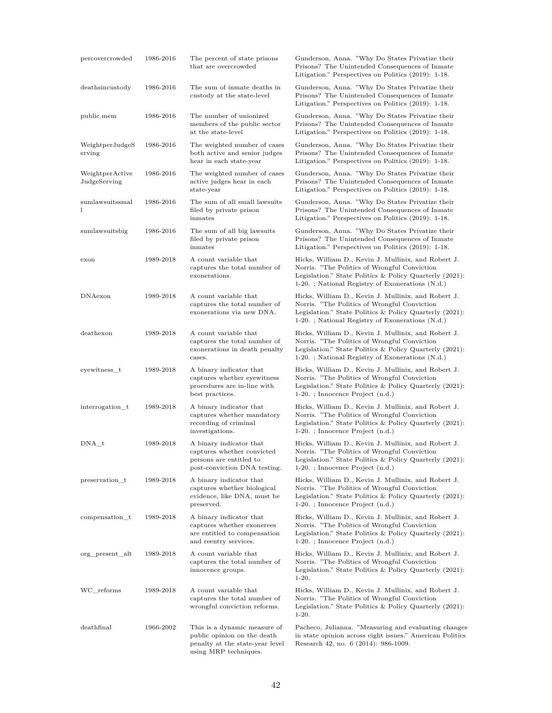| percovercrowded                 | 1986-2016 | The percent of state prisons<br>that are overcrowded                                                                    | Gunderson, Anna. "Why Do States Privatize their<br>Prisons? The Unintended Consequences of Inmate<br>Litigation." Perspectives on Politics (2019): 1-18.                                                              |
|---------------------------------|-----------|-------------------------------------------------------------------------------------------------------------------------|-----------------------------------------------------------------------------------------------------------------------------------------------------------------------------------------------------------------------|
| deathsincustody                 | 1986-2016 | The sum of inmate deaths in<br>custody at the state-level                                                               | Gunderson, Anna. "Why Do States Privatize their<br>Prisons? The Unintended Consequences of Inmate<br>Litigation." Perspectives on Politics (2019): 1-18.                                                              |
| public.mem                      | 1986-2016 | The number of unionized<br>members of the public sector<br>at the state-level                                           | Gunderson, Anna. "Why Do States Privatize their<br>Prisons? The Unintended Consequences of Inmate<br>Litigation." Perspectives on Politics (2019): 1-18.                                                              |
| WeightperJudgeS<br>erving       | 1986-2016 | The weighted number of cases<br>both active and senior judges<br>hear in each state-year                                | Gunderson, Anna. "Why Do States Privatize their<br>Prisons? The Unintended Consequences of Inmate<br>Litigation." Perspectives on Politics (2019): 1-18.                                                              |
| WeightperActive<br>JudgeServing | 1986-2016 | The weighted number of cases<br>active judges hear in each<br>state-year                                                | Gunderson, Anna. "Why Do States Privatize their<br>Prisons? The Unintended Consequences of Inmate<br>Litigation." Perspectives on Politics (2019): 1-18.                                                              |
| sumlawsuitssmal<br>1            | 1986-2016 | The sum of all small lawsuits<br>filed by private prison<br>inmates                                                     | Gunderson, Anna. "Why Do States Privatize their<br>Prisons? The Unintended Consequences of Inmate<br>Litigation." Perspectives on Politics (2019): 1-18.                                                              |
| sumlawsuitsbig                  | 1986-2016 | The sum of all big lawsuits<br>filed by private prison<br>inmates                                                       | Gunderson, Anna. "Why Do States Privatize their<br>Prisons? The Unintended Consequences of Inmate<br>Litigation." Perspectives on Politics (2019): 1-18.                                                              |
| exon                            | 1989-2018 | A count variable that<br>captures the total number of<br>exonerations.                                                  | Hicks, William D., Kevin J. Mullinix, and Robert J.<br>Norris. "The Politics of Wrongful Conviction<br>Legislation." State Politics & Policy Quarterly $(2021)$ :<br>1-20.; National Registry of Exonerations (N.d.)  |
| DNAexon                         | 1989-2018 | A count variable that<br>captures the total number of<br>exonerations via new DNA.                                      | Hicks, William D., Kevin J. Mullinix, and Robert J.<br>Norris. "The Politics of Wrongful Conviction<br>Legislation." State Politics & Policy Quarterly (2021):<br>1-20.; National Registry of Exonerations (N.d.)     |
| deathexon                       | 1989-2018 | A count variable that<br>captures the total number of<br>exonerations in death penalty<br>cases.                        | Hicks, William D., Kevin J. Mullinix, and Robert J.<br>Norris. "The Politics of Wrongful Conviction<br>Legislation." State Politics & Policy Quarterly $(2021)$ :<br>1-20. ; National Registry of Exonerations (N.d.) |
| eyewitness_t                    | 1989-2018 | A binary indicator that<br>captures whether eyewitness<br>procedures are in-line with<br>best practices.                | Hicks, William D., Kevin J. Mullinix, and Robert J.<br>Norris. "The Politics of Wrongful Conviction"<br>Legislation." State Politics & Policy Quarterly $(2021)$ :<br>$1-20.$ ; Innocence Project $(n.d.)$            |
| interrogation_t                 | 1989-2018 | A binary indicator that<br>captures whether mandatory<br>recording of criminal<br>investigations.                       | Hicks, William D., Kevin J. Mullinix, and Robert J.<br>Norris. "The Politics of Wrongful Conviction<br>Legislation." State Politics & Policy Quarterly $(2021)$ :<br>1-20. ; Innocence Project (n.d.)                 |
| DNA t                           | 1989-2018 | A binary indicator that<br>captures whether convicted<br>persons are entitled to<br>post-conviction DNA testing.        | Hicks, William D., Kevin J. Mullinix, and Robert J.<br>Norris. "The Politics of Wrongful Conviction<br>Legislation." State Politics & Policy Quarterly $(2021)$ :<br>$1-20.$ ; Innocence Project $(n.d.)$             |
| preservation t                  | 1989-2018 | A binary indicator that<br>captures whether biological<br>evidence, like DNA, must be<br>preserved.                     | Hicks, William D., Kevin J. Mullinix, and Robert J.<br>Norris. "The Politics of Wrongful Conviction"<br>Legislation." State Politics & Policy Quarterly $(2021)$ :<br>$1-20.$ ; Innocence Project $(n.d.)$            |
| compensation t                  | 1989-2018 | A binary indicator that<br>captures whether exonerees<br>are entitled to compensation<br>and reentry services.          | Hicks, William D., Kevin J. Mullinix, and Robert J.<br>Norris. "The Politics of Wrongful Conviction<br>Legislation." State Politics & Policy Quarterly $(2021)$ :<br>1-20. ; Innocence Project (n.d.)                 |
| org present alt                 | 1989-2018 | A count variable that<br>captures the total number of<br>innocence groups.                                              | Hicks, William D., Kevin J. Mullinix, and Robert J.<br>Norris. "The Politics of Wrongful Conviction"<br>Legislation." State Politics & Policy Quarterly (2021):<br>$1-20.$                                            |
| WC reforms                      | 1989-2018 | A count variable that<br>captures the total number of<br>wrongful conviction reforms.                                   | Hicks, William D., Kevin J. Mullinix, and Robert J.<br>Norris. "The Politics of Wrongful Conviction"<br>Legislation." State Politics & Policy Quarterly $(2021)$ :<br>$1-20.$                                         |
| deathfinal                      | 1966-2002 | This is a dynamic measure of<br>public opinion on the death<br>penalty at the state-year level<br>using MRP techniques. | Pacheco, Julianna. "Measuring and evaluating changes<br>in state opinion across eight issues." American Politics<br>Research 42, no. 6 (2014): 986-1009.                                                              |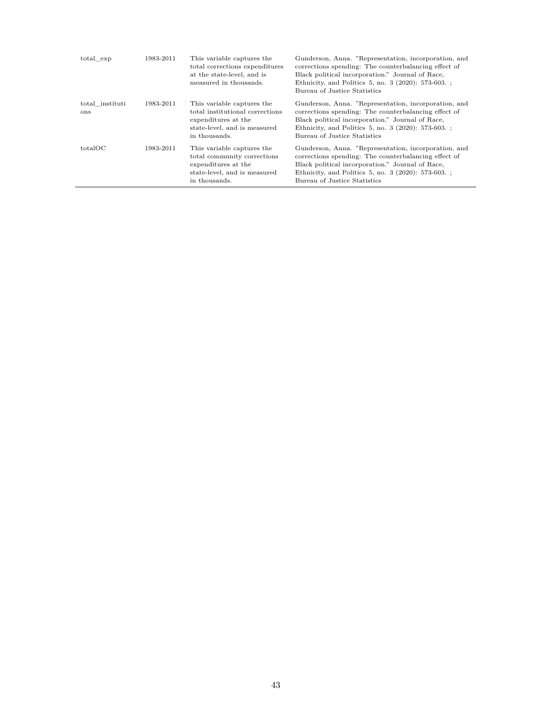| total exp              | 1983-2011 | This variable captures the<br>total corrections expenditures<br>at the state-level, and is<br>measured in thousands.                  | Gunderson, Anna. "Representation, incorporation, and<br>corrections spending: The counterbalancing effect of<br>Black political incorporation." Journal of Race,<br>Ethnicity, and Politics 5, no. 3 (2020): 573-603.;<br>Bureau of Justice Statistics  |
|------------------------|-----------|---------------------------------------------------------------------------------------------------------------------------------------|---------------------------------------------------------------------------------------------------------------------------------------------------------------------------------------------------------------------------------------------------------|
| total instituti<br>ons | 1983-2011 | This variable captures the<br>total institutional corrections<br>expenditures at the<br>state-level, and is measured<br>in thousands. | Gunderson, Anna. "Representation, incorporation, and<br>corrections spending: The counterbalancing effect of<br>Black political incorporation." Journal of Race,<br>Ethnicity, and Politics 5, no. 3 (2020): 573-603. ;<br>Bureau of Justice Statistics |
| totalOC                | 1983-2011 | This variable captures the<br>total community corrections<br>expenditures at the<br>state-level, and is measured<br>in thousands.     | Gunderson, Anna. "Representation, incorporation, and<br>corrections spending: The counterbalancing effect of<br>Black political incorporation." Journal of Race,<br>Ethnicity, and Politics 5, no. 3 (2020): 573-603. ;<br>Bureau of Justice Statistics |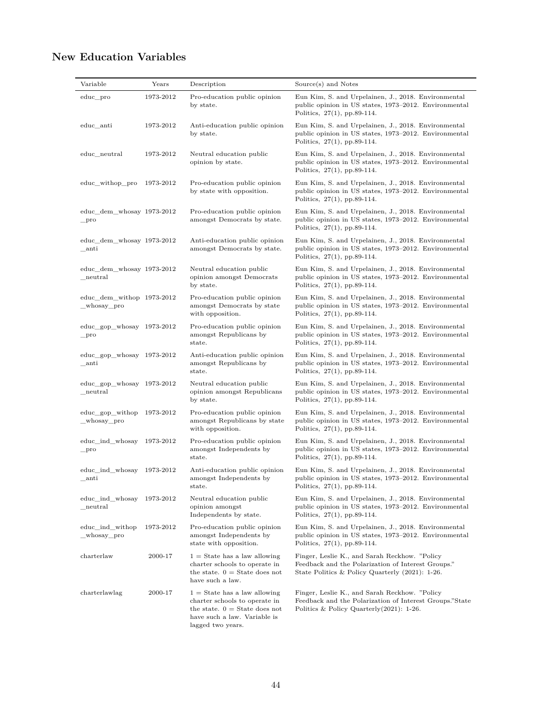# **New Education Variables**

| Variable                                          | Years     | Description                                                                                                                                             | Source(s) and Notes                                                                                                                                       |
|---------------------------------------------------|-----------|---------------------------------------------------------------------------------------------------------------------------------------------------------|-----------------------------------------------------------------------------------------------------------------------------------------------------------|
| educ_pro                                          | 1973-2012 | Pro-education public opinion<br>by state.                                                                                                               | Eun Kim, S. and Urpelainen, J., 2018. Environmental<br>public opinion in US states, 1973-2012. Environmental<br>Politics, 27(1), pp.89-114.               |
| educ_anti                                         | 1973-2012 | Anti-education public opinion<br>by state.                                                                                                              | Eun Kim, S. and Urpelainen, J., 2018. Environmental<br>public opinion in US states, 1973–2012. Environmental<br>Politics, 27(1), pp.89-114.               |
| educ_neutral                                      | 1973-2012 | Neutral education public<br>opinion by state.                                                                                                           | Eun Kim, S. and Urpelainen, J., 2018. Environmental<br>public opinion in US states, 1973–2012. Environmental<br>Politics, 27(1), pp.89-114.               |
| educ_withop_pro                                   | 1973-2012 | Pro-education public opinion<br>by state with opposition.                                                                                               | Eun Kim, S. and Urpelainen, J., 2018. Environmental<br>public opinion in US states, 1973-2012. Environmental<br>Politics, $27(1)$ , pp.89-114.            |
| educ_dem_whosay 1973-2012<br>$\_$ pro             |           | Pro-education public opinion<br>amongst Democrats by state.                                                                                             | Eun Kim, S. and Urpelainen, J., 2018. Environmental<br>public opinion in US states, 1973–2012. Environmental<br>Politics, $27(1)$ , pp.89-114.            |
| educ_dem_whosay 1973-2012<br>$\_$ anti            |           | Anti-education public opinion<br>amongst Democrats by state.                                                                                            | Eun Kim, S. and Urpelainen, J., 2018. Environmental<br>public opinion in US states, 1973–2012. Environmental<br>Politics, 27(1), pp.89-114.               |
| educ_dem_whosay 1973-2012<br>neutral              |           | Neutral education public<br>opinion amongst Democrats<br>by state.                                                                                      | Eun Kim, S. and Urpelainen, J., 2018. Environmental<br>public opinion in US states, 1973–2012. Environmental<br>Politics, $27(1)$ , pp.89-114.            |
| educ dem withop 1973-2012<br>_whosay_pro          |           | Pro-education public opinion<br>amongst Democrats by state<br>with opposition.                                                                          | Eun Kim, S. and Urpelainen, J., 2018. Environmental<br>public opinion in US states, 1973–2012. Environmental<br>Politics, $27(1)$ , pp.89-114.            |
| $educ\_gop_whosay$ 1973-2012<br>$_{\rm\_pro}$     |           | Pro-education public opinion<br>amongst Republicans by<br>state.                                                                                        | Eun Kim, S. and Urpelainen, J., 2018. Environmental<br>public opinion in US states, 1973–2012. Environmental<br>Politics, $27(1)$ , pp.89-114.            |
| $educ\_gop_whosay$ 1973-2012<br>$\_$ anti         |           | Anti-education public opinion<br>amongst Republicans by<br>state.                                                                                       | Eun Kim, S. and Urpelainen, J., 2018. Environmental<br>public opinion in US states, 1973–2012. Environmental<br>Politics, 27(1), pp.89-114.               |
| $educ\_gop_whosay$ 1973-2012<br>${\tt_{neutral}}$ |           | Neutral education public<br>opinion amongst Republicans<br>by state.                                                                                    | Eun Kim, S. and Urpelainen, J., 2018. Environmental<br>public opinion in US states, 1973–2012. Environmental<br>Politics, $27(1)$ , pp.89-114.            |
| educ_gop_withop<br>_whosay_pro                    | 1973-2012 | Pro-education public opinion<br>amongst Republicans by state<br>with opposition.                                                                        | Eun Kim, S. and Urpelainen, J., 2018. Environmental<br>public opinion in US states, 1973–2012. Environmental<br>Politics, $27(1)$ , pp.89-114.            |
| educ_ind_whosay<br>$_{\rm\_pro}$                  | 1973-2012 | Pro-education public opinion<br>amongst Independents by<br>state.                                                                                       | Eun Kim, S. and Urpelainen, J., 2018. Environmental<br>public opinion in US states, 1973–2012. Environmental<br>Politics, $27(1)$ , pp.89-114.            |
| educ_ind_whosay 1973-2012<br>_antı                |           | Anti-education public opinion<br>amongst Independents by<br>state.                                                                                      | Eun Kim, S. and Urpelainen, J., 2018. Environmental<br>public opinion in US states, 1973-2012. Environmental<br>Politics, $27(1)$ , pp.89-114.            |
| educ_ind_whosay<br>${\tt_{neutral}}$              | 1973-2012 | Neutral education public<br>opinion amongst<br>Independents by state.                                                                                   | Eun Kim, S. and Urpelainen, J., 2018. Environmental<br>public opinion in US states, 1973-2012. Environmental<br>Politics, $27(1)$ , pp.89-114.            |
| educ_ind_withop<br>_whosay_pro                    | 1973-2012 | Pro-education public opinion<br>amongst Independents by<br>state with opposition.                                                                       | Eun Kim, S. and Urpelainen, J., 2018. Environmental<br>public opinion in US states, 1973–2012. Environmental<br>Politics, $27(1)$ , pp.89-114.            |
| charterlaw                                        | 2000-17   | $1 =$ State has a law allowing<br>charter schools to operate in<br>the state. $0 =$ State does not<br>have such a law.                                  | Finger, Leslie K., and Sarah Reckhow. "Policy<br>Feedback and the Polarization of Interest Groups."<br>State Politics & Policy Quarterly $(2021)$ : 1-26. |
| charterlawlag                                     | 2000-17   | $1 =$ State has a law allowing<br>charter schools to operate in<br>the state. $0 =$ State does not<br>have such a law. Variable is<br>lagged two years. | Finger, Leslie K., and Sarah Reckhow. "Policy<br>Feedback and the Polarization of Interest Groups."State<br>Politics & Policy Quarterly $(2021)$ : 1-26.  |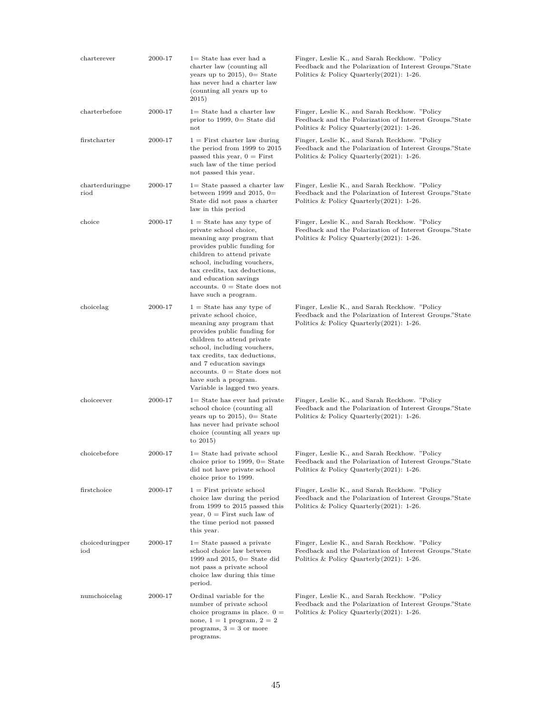| charterever             | 2000-17 | $1=$ State has ever had a<br>charter law (counting all<br>years up to $2015$ , $0=$ State<br>has never had a charter law<br>(counting all years up to<br>2015)                                                                                                                                                                      | Finger, Leslie K., and Sarah Reckhow. "Policy<br>Feedback and the Polarization of Interest Groups."State<br>Politics & Policy Quarterly $(2021)$ : 1-26. |
|-------------------------|---------|-------------------------------------------------------------------------------------------------------------------------------------------------------------------------------------------------------------------------------------------------------------------------------------------------------------------------------------|----------------------------------------------------------------------------------------------------------------------------------------------------------|
| charterbefore           | 2000-17 | $1 =$ State had a charter law<br>prior to 1999, $0=$ State did<br>not                                                                                                                                                                                                                                                               | Finger, Leslie K., and Sarah Reckhow. "Policy<br>Feedback and the Polarization of Interest Groups."State<br>Politics & Policy Quarterly (2021): 1-26.    |
| firstcharter            | 2000-17 | $1 =$ First charter law during<br>the period from 1999 to 2015<br>passed this year, $0 =$ First<br>such law of the time period<br>not passed this year.                                                                                                                                                                             | Finger, Leslie K., and Sarah Reckhow. "Policy<br>Feedback and the Polarization of Interest Groups."State<br>Politics & Policy Quarterly $(2021)$ : 1-26. |
| charterduringpe<br>riod | 2000-17 | $1 =$ State passed a charter law<br>between 1999 and 2015, $0=$<br>State did not pass a charter<br>law in this period                                                                                                                                                                                                               | Finger, Leslie K., and Sarah Reckhow. "Policy<br>Feedback and the Polarization of Interest Groups."State<br>Politics & Policy Quarterly $(2021)$ : 1-26. |
| choice                  | 2000-17 | $1 =$ State has any type of<br>private school choice,<br>meaning any program that<br>provides public funding for<br>children to attend private<br>school, including vouchers,<br>tax credits, tax deductions,<br>and education savings<br>$accounts. 0 = State does not$<br>have such a program.                                    | Finger, Leslie K., and Sarah Reckhow. "Policy<br>Feedback and the Polarization of Interest Groups."State<br>Politics & Policy Quarterly $(2021)$ : 1-26. |
| choicelag               | 2000-17 | $1 =$ State has any type of<br>private school choice,<br>meaning any program that<br>provides public funding for<br>children to attend private<br>school, including vouchers,<br>tax credits, tax deductions,<br>and 7 education savings<br>$accounts. 0 = State does not$<br>have such a program.<br>Variable is lagged two years. | Finger, Leslie K., and Sarah Reckhow. "Policy<br>Feedback and the Polarization of Interest Groups."State<br>Politics & Policy Quarterly $(2021)$ : 1-26. |
| choiceever              | 2000-17 | $1 =$ State has ever had private<br>school choice (counting all<br>years up to $2015$ , $0=$ State<br>has never had private school<br>choice (counting all years up<br>to $2015$                                                                                                                                                    | Finger, Leslie K., and Sarah Reckhow. "Policy<br>Feedback and the Polarization of Interest Groups."State<br>Politics & Policy Quarterly $(2021)$ : 1-26. |
| choicebefore            | 2000-17 | $l =$ State had private school<br>choice prior to 1999, $0 =$ State<br>did not have private school<br>choice prior to 1999.                                                                                                                                                                                                         | Finger, Leslie K., and Sarah Reckhow. "Policy<br>Feedback and the Polarization of Interest Groups."State<br>Politics & Policy Quarterly $(2021)$ : 1-26. |
| firstchoice             | 2000-17 | $1 =$ First private school<br>choice law during the period<br>from 1999 to 2015 passed this<br>year, $0 =$ First such law of<br>the time period not passed<br>this year.                                                                                                                                                            | Finger, Leslie K., and Sarah Reckhow. "Policy<br>Feedback and the Polarization of Interest Groups."State<br>Politics & Policy Quarterly $(2021)$ : 1-26. |
| choiceduringper<br>iod  | 2000-17 | $1 =$ State passed a private<br>school choice law between<br>1999 and 2015, $0 =$ State did<br>not pass a private school<br>choice law during this time<br>period.                                                                                                                                                                  | Finger, Leslie K., and Sarah Reckhow. "Policy<br>Feedback and the Polarization of Interest Groups."State<br>Politics & Policy Quarterly $(2021)$ : 1-26. |
| numchoicelag            | 2000-17 | Ordinal variable for the<br>number of private school<br>choice programs in place. $0 =$<br>none, $1 = 1$ program, $2 = 2$<br>programs, $3 = 3$ or more<br>programs.                                                                                                                                                                 | Finger, Leslie K., and Sarah Reckhow. "Policy<br>Feedback and the Polarization of Interest Groups."State<br>Politics & Policy Quarterly $(2021)$ : 1-26. |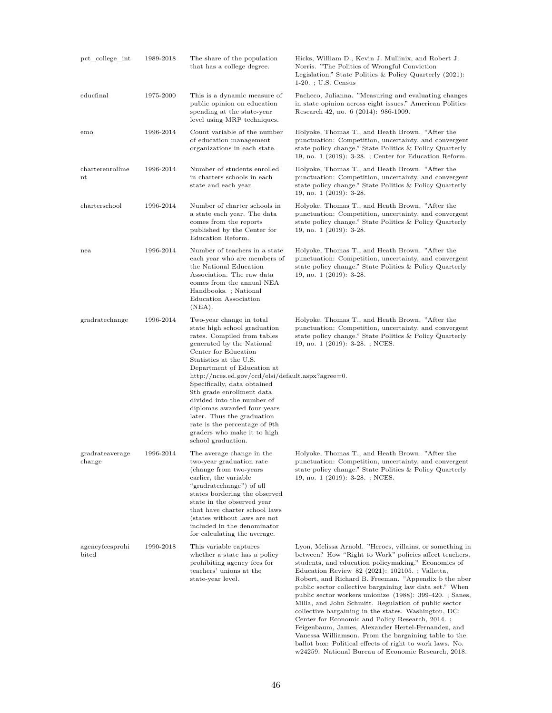| pct college int                    | 1989-2018 | The share of the population<br>that has a college degree.                                                                                                                                                                                                                                                                                                                                                                                                                                              | Hicks, William D., Kevin J. Mullinix, and Robert J.<br>Norris. "The Politics of Wrongful Conviction<br>Legislation." State Politics & Policy Quarterly (2021):<br>$1-20.$ ; U.S. Census                                                                                                                                                                                                                                                                                                                                                                                                                                                                                                                                                                  |
|------------------------------------|-----------|--------------------------------------------------------------------------------------------------------------------------------------------------------------------------------------------------------------------------------------------------------------------------------------------------------------------------------------------------------------------------------------------------------------------------------------------------------------------------------------------------------|----------------------------------------------------------------------------------------------------------------------------------------------------------------------------------------------------------------------------------------------------------------------------------------------------------------------------------------------------------------------------------------------------------------------------------------------------------------------------------------------------------------------------------------------------------------------------------------------------------------------------------------------------------------------------------------------------------------------------------------------------------|
| educfinal                          | 1975-2000 | This is a dynamic measure of<br>public opinion on education<br>spending at the state-year<br>level using MRP techniques.                                                                                                                                                                                                                                                                                                                                                                               | Pacheco, Julianna. "Measuring and evaluating changes<br>in state opinion across eight issues." American Politics<br>Research 42, no. 6 (2014): 986-1009.                                                                                                                                                                                                                                                                                                                                                                                                                                                                                                                                                                                                 |
| emo                                | 1996-2014 | Count variable of the number<br>of education management<br>organizations in each state.                                                                                                                                                                                                                                                                                                                                                                                                                | Holyoke, Thomas T., and Heath Brown. "After the<br>punctuation: Competition, uncertainty, and convergent<br>state policy change." State Politics & Policy Quarterly<br>19, no. $1$ (2019): 3-28.; Center for Education Reform.                                                                                                                                                                                                                                                                                                                                                                                                                                                                                                                           |
| charterenrollme<br>nt              | 1996-2014 | Number of students enrolled<br>in charters schools in each<br>state and each year.                                                                                                                                                                                                                                                                                                                                                                                                                     | Holyoke, Thomas T., and Heath Brown. "After the<br>punctuation: Competition, uncertainty, and convergent<br>state policy change." State Politics & Policy Quarterly<br>19, no. 1 (2019): 3-28.                                                                                                                                                                                                                                                                                                                                                                                                                                                                                                                                                           |
| charterschool                      | 1996-2014 | Number of charter schools in<br>a state each year. The data<br>comes from the reports<br>published by the Center for<br>Education Reform.                                                                                                                                                                                                                                                                                                                                                              | Holyoke, Thomas T., and Heath Brown. "After the<br>punctuation: Competition, uncertainty, and convergent<br>state policy change." State Politics & Policy Quarterly<br>19, no. 1 (2019): 3-28.                                                                                                                                                                                                                                                                                                                                                                                                                                                                                                                                                           |
| nea                                | 1996-2014 | Number of teachers in a state<br>each year who are members of<br>the National Education<br>Association. The raw data<br>comes from the annual NEA<br>Handbooks.; National<br>Education Association<br>$(NEA)$ .                                                                                                                                                                                                                                                                                        | Holyoke, Thomas T., and Heath Brown. "After the<br>punctuation: Competition, uncertainty, and convergent<br>state policy change." State Politics & Policy Quarterly<br>19, no. 1 (2019): 3-28.                                                                                                                                                                                                                                                                                                                                                                                                                                                                                                                                                           |
| gradratechange                     | 1996-2014 | Two-year change in total<br>state high school graduation<br>rates. Compiled from tables<br>generated by the National<br>Center for Education<br>Statistics at the U.S.<br>Department of Education at<br>http://nces.ed.gov/ccd/elsi/default.aspx?agree=0.<br>Specifically, data obtained<br>9th grade enrollment data<br>divided into the number of<br>diplomas awarded four years<br>later. Thus the graduation<br>rate is the percentage of 9th<br>graders who make it to high<br>school graduation. | Holyoke, Thomas T., and Heath Brown. "After the<br>punctuation: Competition, uncertainty, and convergent<br>state policy change." State Politics & Policy Quarterly<br>19, no. 1 (2019): 3-28. ; NCES.                                                                                                                                                                                                                                                                                                                                                                                                                                                                                                                                                   |
| gradrateaverage<br>change          | 1996-2014 | The average change in the<br>two-year graduation rate<br>(change from two-years)<br>earlier, the variable<br>"gradratechange") of all<br>states bordering the observed<br>state in the observed year<br>that have charter school laws<br>(states without laws are not<br>included in the denominator<br>for calculating the average.                                                                                                                                                                   | Holyoke, Thomas T., and Heath Brown. "After the<br>punctuation: Competition, uncertainty, and convergent<br>state policy change." State Politics & Policy Quarterly<br>19, no. 1 (2019): 3-28. ; NCES.                                                                                                                                                                                                                                                                                                                                                                                                                                                                                                                                                   |
| agencyfeesprohi<br>$_{\rm{bited}}$ | 1990-2018 | This variable captures<br>whether a state has a policy<br>prohibiting agency fees for<br>teachers' unions at the<br>state-year level.                                                                                                                                                                                                                                                                                                                                                                  | Lyon, Melissa Arnold. "Heroes, villains, or something in<br>between? How "Right to Work" policies affect teachers,<br>students, and education policymaking." Economics of<br>Education Review 82 (2021): 102105. ; Valletta,<br>Robert, and Richard B. Freeman. "Appendix b the nber<br>public sector collective bargaining law data set." When<br>public sector workers unionize (1988): 399-420. ; Sanes,<br>Milla, and John Schmitt. Regulation of public sector<br>collective bargaining in the states. Washington, DC:<br>Center for Economic and Policy Research, 2014.;<br>Feigenbaum, James, Alexander Hertel-Fernandez, and<br>Vanessa Williamson. From the bargaining table to the<br>ballot box: Political effects of right to work laws. No. |

w24259. National Bureau of Economic Research, 2018.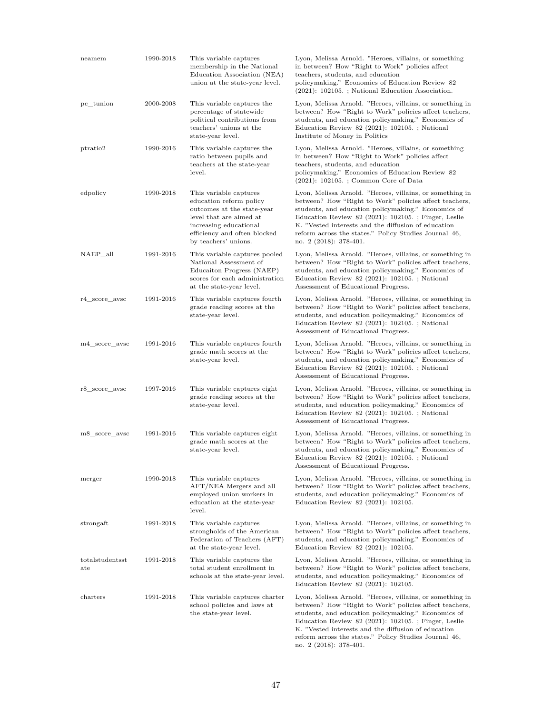| neamem                          | 1990-2018 | This variable captures<br>membership in the National<br>Education Association (NEA)<br>union at the state-year level.                                                                        | Lyon, Melissa Arnold. "Heroes, villains, or something<br>in between? How "Right to Work" policies affect<br>teachers, students, and education<br>policymaking." Economics of Education Review 82<br>$(2021)$ : 102105.; National Education Association.                                                                                                                     |
|---------------------------------|-----------|----------------------------------------------------------------------------------------------------------------------------------------------------------------------------------------------|-----------------------------------------------------------------------------------------------------------------------------------------------------------------------------------------------------------------------------------------------------------------------------------------------------------------------------------------------------------------------------|
| pc_tunion                       | 2000-2008 | This variable captures the<br>percentage of statewide<br>political contributions from<br>teachers' unions at the<br>state-year level.                                                        | Lyon, Melissa Arnold. "Heroes, villains, or something in<br>between? How "Right to Work" policies affect teachers,<br>students, and education policymaking." Economics of<br>Education Review 82 (2021): 102105.; National<br>Institute of Money in Politics                                                                                                                |
| ptratio2                        | 1990-2016 | This variable captures the<br>ratio between pupils and<br>teachers at the state-year<br>level.                                                                                               | Lyon, Melissa Arnold. "Heroes, villains, or something<br>in between? How "Right to Work" policies affect<br>teachers, students, and education<br>policymaking." Economics of Education Review 82<br>$(2021): 102105.$ ; Common Core of Data                                                                                                                                 |
| edpolicy                        | 1990-2018 | This variable captures<br>education reform policy<br>outcomes at the state-year<br>level that are aimed at<br>increasing educational<br>efficiency and often blocked<br>by teachers' unions. | Lyon, Melissa Arnold. "Heroes, villains, or something in<br>between? How "Right to Work" policies affect teachers,<br>students, and education policymaking." Economics of<br>Education Review 82 (2021): 102105.; Finger, Leslie<br>K. "Vested interests and the diffusion of education<br>reform across the states." Policy Studies Journal 46,<br>no. 2 (2018): 378-401.  |
| NAEP_all                        | 1991-2016 | This variable captures pooled<br>National Assessment of<br>Educaiton Progress (NAEP)<br>scores for each administration<br>at the state-year level.                                           | Lyon, Melissa Arnold. "Heroes, villains, or something in<br>between? How "Right to Work" policies affect teachers,<br>students, and education policymaking." Economics of<br>Education Review 82 (2021): 102105.; National<br>Assessment of Educational Progress.                                                                                                           |
| r4 score avsc                   | 1991-2016 | This variable captures fourth<br>grade reading scores at the<br>state-year level.                                                                                                            | Lyon, Melissa Arnold. "Heroes, villains, or something in<br>between? How "Right to Work" policies affect teachers,<br>students, and education policymaking." Economics of<br>Education Review 82 $(2021)$ : 102105.; National<br>Assessment of Educational Progress.                                                                                                        |
| m4 score avsc                   | 1991-2016 | This variable captures fourth<br>grade math scores at the<br>state-year level.                                                                                                               | Lyon, Melissa Arnold. "Heroes, villains, or something in<br>between? How "Right to Work" policies affect teachers,<br>students, and education policymaking." Economics of<br>Education Review 82 (2021): 102105. ; National<br>Assessment of Educational Progress.                                                                                                          |
| r8 score avsc                   | 1997-2016 | This variable captures eight<br>grade reading scores at the<br>state-year level.                                                                                                             | Lyon, Melissa Arnold. "Heroes, villains, or something in<br>between? How "Right to Work" policies affect teachers,<br>students, and education policymaking." Economics of<br>Education Review 82 $(2021)$ : 102105.; National<br>Assessment of Educational Progress.                                                                                                        |
| m8_score_avsc                   | 1991-2016 | This variable captures eight<br>grade math scores at the<br>state-year level.                                                                                                                | Lyon, Melissa Arnold. "Heroes, villains, or something in<br>between? How "Right to Work" policies affect teachers,<br>students, and education policymaking." Economics of<br>Education Review 82 (2021): 102105.; National<br>Assessment of Educational Progress.                                                                                                           |
| merger                          | 1990-2018 | This variable captures<br>AFT/NEA Mergers and all<br>employed union workers in<br>education at the state-year<br>level.                                                                      | Lyon, Melissa Arnold. "Heroes, villains, or something in<br>between? How "Right to Work" policies affect teachers,<br>students, and education policymaking." Economics of<br>Education Review 82 (2021): 102105.                                                                                                                                                            |
| strongaft                       | 1991-2018 | This variable captures<br>strongholds of the American<br>Federation of Teachers (AFT)<br>at the state-year level.                                                                            | Lyon, Melissa Arnold. "Heroes, villains, or something in<br>between? How "Right to Work" policies affect teachers,<br>students, and education policymaking." Economics of<br>Education Review 82 (2021): 102105.                                                                                                                                                            |
| totalstudentsst<br>$_{\rm ate}$ | 1991-2018 | This variable captures the<br>total student enrollment in<br>schools at the state-year level.                                                                                                | Lyon, Melissa Arnold. "Heroes, villains, or something in<br>between? How "Right to Work" policies affect teachers,<br>students, and education policymaking." Economics of<br>Education Review 82 (2021): 102105.                                                                                                                                                            |
| ${\rm characters}$              | 1991-2018 | This variable captures charter<br>school policies and laws at<br>the state-year level.                                                                                                       | Lyon, Melissa Arnold. "Heroes, villains, or something in<br>between? How "Right to Work" policies affect teachers,<br>students, and education policymaking." Economics of<br>Education Review 82 (2021): 102105. ; Finger, Leslie<br>K. "Vested interests and the diffusion of education<br>reform across the states." Policy Studies Journal 46,<br>no. 2 (2018): 378-401. |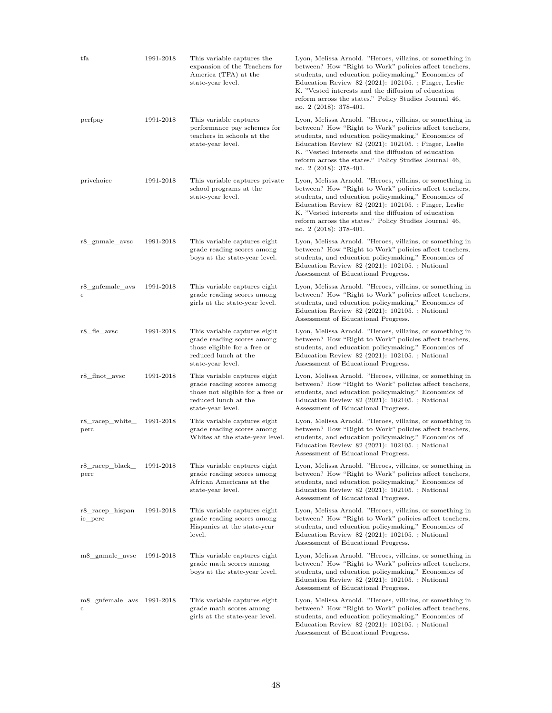| tfa                            | 1991-2018 | This variable captures the<br>expansion of the Teachers for<br>America (TFA) at the<br>state-year level.                                    | Lyon, Melissa Arnold. "Heroes, villains, or something in<br>between? How "Right to Work" policies affect teachers,<br>students, and education policymaking." Economics of<br>Education Review 82 (2021): 102105. ; Finger, Leslie<br>K. "Vested interests and the diffusion of education<br>reform across the states." Policy Studies Journal 46,<br>no. 2 (2018): 378-401. |
|--------------------------------|-----------|---------------------------------------------------------------------------------------------------------------------------------------------|-----------------------------------------------------------------------------------------------------------------------------------------------------------------------------------------------------------------------------------------------------------------------------------------------------------------------------------------------------------------------------|
| perfpay                        | 1991-2018 | This variable captures<br>performance pay schemes for<br>teachers in schools at the<br>state-year level.                                    | Lyon, Melissa Arnold. "Heroes, villains, or something in<br>between? How "Right to Work" policies affect teachers,<br>students, and education policymaking." Economics of<br>Education Review 82 (2021): 102105. ; Finger, Leslie<br>K. "Vested interests and the diffusion of education<br>reform across the states." Policy Studies Journal 46,<br>no. 2 (2018): 378-401. |
| privchoice                     | 1991-2018 | This variable captures private<br>school programs at the<br>state-year level.                                                               | Lyon, Melissa Arnold. "Heroes, villains, or something in<br>between? How "Right to Work" policies affect teachers,<br>students, and education policymaking." Economics of<br>Education Review 82 (2021): 102105. ; Finger, Leslie<br>K. "Vested interests and the diffusion of education<br>reform across the states." Policy Studies Journal 46,<br>no. 2 (2018): 378-401. |
| r8_gnmale_avsc                 | 1991-2018 | This variable captures eight<br>grade reading scores among<br>boys at the state-year level.                                                 | Lyon, Melissa Arnold. "Heroes, villains, or something in<br>between? How "Right to Work" policies affect teachers,<br>students, and education policymaking." Economics of<br>Education Review 82 (2021): $102105.$ ; National<br>Assessment of Educational Progress.                                                                                                        |
| r8 gnfemale avs<br>с           | 1991-2018 | This variable captures eight<br>grade reading scores among<br>girls at the state-year level.                                                | Lyon, Melissa Arnold. "Heroes, villains, or something in<br>between? How "Right to Work" policies affect teachers,<br>students, and education policymaking." Economics of<br>Education Review 82 (2021): 102105. ; National<br>Assessment of Educational Progress.                                                                                                          |
| r8 fle avsc                    | 1991-2018 | This variable captures eight<br>grade reading scores among<br>those eligible for a free or<br>reduced lunch at the<br>state-year level.     | Lyon, Melissa Arnold. "Heroes, villains, or something in<br>between? How "Right to Work" policies affect teachers,<br>students, and education policymaking." Economics of<br>Education Review 82 $(2021)$ : 102105.; National<br>Assessment of Educational Progress.                                                                                                        |
| r8 flnot avsc                  | 1991-2018 | This variable captures eight<br>grade reading scores among<br>those not eligible for a free or<br>reduced lunch at the<br>state-year level. | Lyon, Melissa Arnold. "Heroes, villains, or something in<br>between? How "Right to Work" policies affect teachers,<br>students, and education policymaking." Economics of<br>Education Review 82 $(2021)$ : 102105.; National<br>Assessment of Educational Progress.                                                                                                        |
| r8_racep_white_<br>perc        | 1991-2018 | This variable captures eight<br>grade reading scores among<br>Whites at the state-year level.                                               | Lyon, Melissa Arnold. "Heroes, villains, or something in<br>between? How "Right to Work" policies affect teachers,<br>students, and education policymaking." Economics of<br>Education Review 82 (2021): $102105.$ ; National<br>Assessment of Educational Progress.                                                                                                        |
| r8_racep_black_<br>perc        | 1991-2018 | This variable captures eight<br>grade reading scores among<br>African Americans at the<br>state-year level.                                 | Lyon, Melissa Arnold. "Heroes, villains, or something in<br>between? How "Right to Work" policies affect teachers,<br>students, and education policymaking." Economics of<br>Education Review 82 (2021): 102105. ; National<br>Assessment of Educational Progress.                                                                                                          |
| r8_racep_hispan<br>ic_perc     | 1991-2018 | This variable captures eight<br>grade reading scores among<br>Hispanics at the state-year<br>level.                                         | Lyon, Melissa Arnold. "Heroes, villains, or something in<br>between? How "Right to Work" policies affect teachers,<br>students, and education policymaking." Economics of<br>Education Review 82 $(2021)$ : 102105.; National<br>Assessment of Educational Progress.                                                                                                        |
| m8_gnmale_avsc                 | 1991-2018 | This variable captures eight<br>grade math scores among<br>boys at the state-year level.                                                    | Lyon, Melissa Arnold. "Heroes, villains, or something in<br>between? How "Right to Work" policies affect teachers,<br>students, and education policymaking." Economics of<br>Education Review 82 $(2021)$ : 102105.; National<br>Assessment of Educational Progress.                                                                                                        |
| m8_gnfemale_avs 1991-2018<br>с |           | This variable captures eight<br>grade math scores among<br>girls at the state-year level.                                                   | Lyon, Melissa Arnold. "Heroes, villains, or something in<br>between? How "Right to Work" policies affect teachers,<br>students, and education policymaking." Economics of<br>Education Review 82 (2021): $102105.$ ; National<br>Assessment of Educational Progress.                                                                                                        |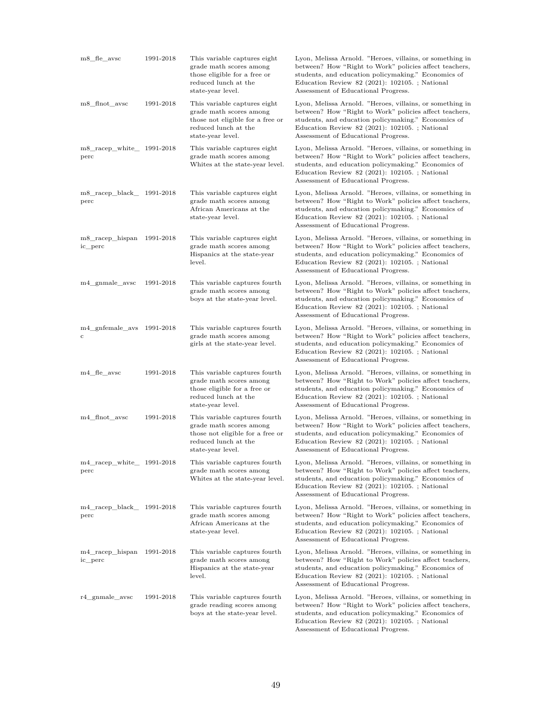| m8_fle_avsc                                               | 1991-2018 | This variable captures eight<br>grade math scores among<br>those eligible for a free or<br>reduced lunch at the<br>state-year level.      | Lyon, Melissa Arnold. "Heroes, villains, or something in<br>between? How "Right to Work" policies affect teachers,<br>students, and education policymaking." Economics of<br>Education Review 82 (2021): 102105. ; National<br>Assessment of Educational Progress.   |
|-----------------------------------------------------------|-----------|-------------------------------------------------------------------------------------------------------------------------------------------|----------------------------------------------------------------------------------------------------------------------------------------------------------------------------------------------------------------------------------------------------------------------|
| m8_flnot_avsc                                             | 1991-2018 | This variable captures eight<br>grade math scores among<br>those not eligible for a free or<br>reduced lunch at the<br>state-year level.  | Lyon, Melissa Arnold. "Heroes, villains, or something in<br>between? How "Right to Work" policies affect teachers,<br>students, and education policymaking." Economics of<br>Education Review 82 (2021): 102105. ; National<br>Assessment of Educational Progress.   |
| m8_racep_white_ 1991-2018<br>perc                         |           | This variable captures eight<br>grade math scores among<br>Whites at the state-year level.                                                | Lyon, Melissa Arnold. "Heroes, villains, or something in<br>between? How "Right to Work" policies affect teachers,<br>students, and education policymaking." Economics of<br>Education Review 82 (2021): $102105.$ ; National<br>Assessment of Educational Progress. |
| m8_racep_black_ 1991-2018<br>perc                         |           | This variable captures eight<br>grade math scores among<br>African Americans at the<br>state-year level.                                  | Lyon, Melissa Arnold. "Heroes, villains, or something in<br>between? How "Right to Work" policies affect teachers,<br>students, and education policymaking." Economics of<br>Education Review 82 (2021): 102105.; National<br>Assessment of Educational Progress.    |
| m8_racep_hispan<br>ic perc                                | 1991-2018 | This variable captures eight<br>grade math scores among<br>Hispanics at the state-year<br>level.                                          | Lyon, Melissa Arnold. "Heroes, villains, or something in<br>between? How "Right to Work" policies affect teachers,<br>students, and education policymaking." Economics of<br>Education Review 82 (2021): 102105. ; National<br>Assessment of Educational Progress.   |
| m4 gnmale avsc                                            | 1991-2018 | This variable captures fourth<br>grade math scores among<br>boys at the state-year level.                                                 | Lyon, Melissa Arnold. "Heroes, villains, or something in<br>between? How "Right to Work" policies affect teachers,<br>students, and education policymaking." Economics of<br>Education Review $82$ (2021): 102105.; National<br>Assessment of Educational Progress.  |
| $m4$ _gnfemale_avs $1991-2018$<br>с                       |           | This variable captures fourth<br>grade math scores among<br>girls at the state-year level.                                                | Lyon, Melissa Arnold. "Heroes, villains, or something in<br>between? How "Right to Work" policies affect teachers,<br>students, and education policymaking." Economics of<br>Education Review $82$ (2021): 102105.; National<br>Assessment of Educational Progress.  |
| m4_fle_avsc                                               | 1991-2018 | This variable captures fourth<br>grade math scores among<br>those eligible for a free or<br>reduced lunch at the<br>state-year level.     | Lyon, Melissa Arnold. "Heroes, villains, or something in<br>between? How "Right to Work" policies affect teachers,<br>students, and education policymaking." Economics of<br>Education Review 82 (2021): $102105.$ ; National<br>Assessment of Educational Progress. |
| m4 flnot avsc                                             | 1991-2018 | This variable captures fourth<br>grade math scores among<br>those not eligible for a free or<br>reduced lunch at the<br>state-year level. | Lyon, Melissa Arnold. "Heroes, villains, or something in<br>between? How "Right to Work" policies affect teachers,<br>students, and education policymaking." Economics of<br>Education Review $82$ (2021): 102105.; National<br>Assessment of Educational Progress.  |
| $m4$ <sub>racep_white<sub>1</sub> 1991-2018</sub><br>perc |           | This variable captures fourth<br>grade math scores among<br>Whites at the state-year level.                                               | Lyon, Melissa Arnold. "Heroes, villains, or something in<br>between? How "Right to Work" policies affect teachers,<br>students, and education policymaking." Economics of<br>Education Review $82$ (2021): 102105.; National<br>Assessment of Educational Progress.  |
| m4_racep_black_ 1991-2018<br>perc                         |           | This variable captures fourth<br>grade math scores among<br>African Americans at the<br>state-year level.                                 | Lyon, Melissa Arnold. "Heroes, villains, or something in<br>between? How "Right to Work" policies affect teachers,<br>students, and education policymaking." Economics of<br>Education Review $82$ (2021): 102105.; National<br>Assessment of Educational Progress.  |
| m4_racep_hispan 1991-2018<br>ic_perc                      |           | This variable captures fourth<br>grade math scores among<br>Hispanics at the state-year<br>level.                                         | Lyon, Melissa Arnold. "Heroes, villains, or something in<br>between? How "Right to Work" policies affect teachers,<br>students, and education policymaking." Economics of<br>Education Review $82$ (2021): 102105.; National<br>Assessment of Educational Progress.  |
| r4_gnmale_avsc                                            | 1991-2018 | This variable captures fourth<br>grade reading scores among<br>boys at the state-year level.                                              | Lyon, Melissa Arnold. "Heroes, villains, or something in<br>between? How "Right to Work" policies affect teachers,<br>students, and education policymaking." Economics of<br>Education Review 82 (2021): $102105.$ ; National<br>Assessment of Educational Progress. |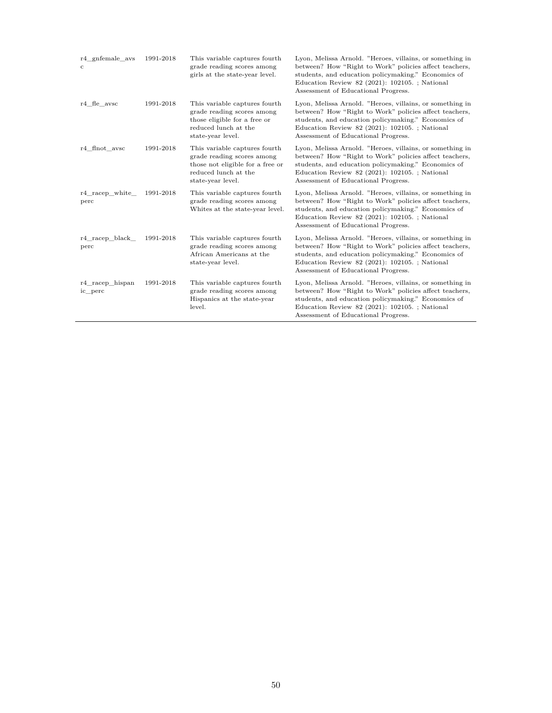| r4 gnfemale avs<br>с       | 1991-2018 | This variable captures fourth<br>grade reading scores among<br>girls at the state-year level.                                                | Lyon, Melissa Arnold. "Heroes, villains, or something in<br>between? How "Right to Work" policies affect teachers,<br>students, and education policymaking." Economics of<br>Education Review 82 (2021): $102105.$ ; National<br>Assessment of Educational Progress. |
|----------------------------|-----------|----------------------------------------------------------------------------------------------------------------------------------------------|----------------------------------------------------------------------------------------------------------------------------------------------------------------------------------------------------------------------------------------------------------------------|
| r4 fle avsc                | 1991-2018 | This variable captures fourth<br>grade reading scores among<br>those eligible for a free or<br>reduced lunch at the<br>state-year level.     | Lyon, Melissa Arnold. "Heroes, villains, or something in<br>between? How "Right to Work" policies affect teachers,<br>students, and education policymaking." Economics of<br>Education Review 82 (2021): $102105.$ ; National<br>Assessment of Educational Progress. |
| r4 flnot avsc              | 1991-2018 | This variable captures fourth<br>grade reading scores among<br>those not eligible for a free or<br>reduced lunch at the<br>state-year level. | Lyon, Melissa Arnold. "Heroes, villains, or something in<br>between? How "Right to Work" policies affect teachers,<br>students, and education policymaking." Economics of<br>Education Review 82 (2021): 102105. ; National<br>Assessment of Educational Progress.   |
| r4 racep white<br>perc     | 1991-2018 | This variable captures fourth<br>grade reading scores among<br>Whites at the state-year level.                                               | Lyon, Melissa Arnold. "Heroes, villains, or something in<br>between? How "Right to Work" policies affect teachers,<br>students, and education policymaking." Economics of<br>Education Review 82 (2021): $102105.$ ; National<br>Assessment of Educational Progress. |
| r4 racep black<br>perc     | 1991-2018 | This variable captures fourth<br>grade reading scores among<br>African Americans at the<br>state-year level.                                 | Lyon, Melissa Arnold. "Heroes, villains, or something in<br>between? How "Right to Work" policies affect teachers,<br>students, and education policymaking." Economics of<br>Education Review 82 (2021): $102105.$ ; National<br>Assessment of Educational Progress. |
| r4 racep hispan<br>ic perc | 1991-2018 | This variable captures fourth<br>grade reading scores among<br>Hispanics at the state-year<br>level.                                         | Lyon, Melissa Arnold. "Heroes, villains, or something in<br>between? How "Right to Work" policies affect teachers,<br>students, and education policymaking." Economics of<br>Education Review 82 (2021): $102105.$ ; National<br>Assessment of Educational Progress. |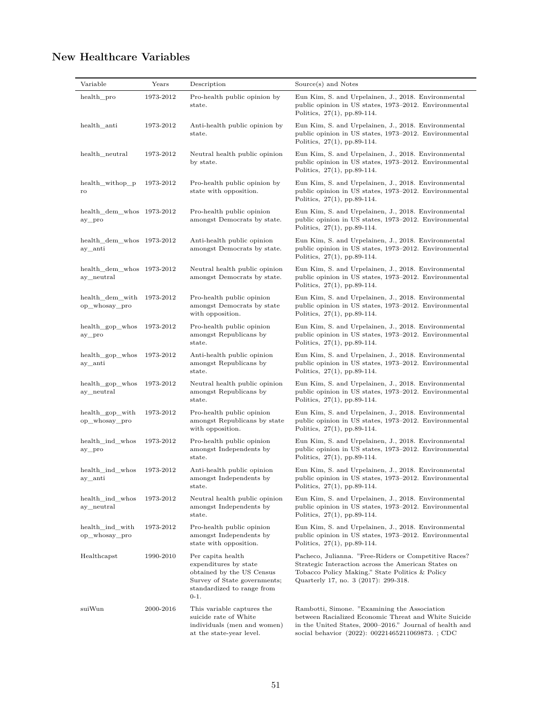# **New Healthcare Variables**

| Variable                                | Years     | Description                                                                                                                                     | Source(s) and Notes                                                                                                                                                                                                 |
|-----------------------------------------|-----------|-------------------------------------------------------------------------------------------------------------------------------------------------|---------------------------------------------------------------------------------------------------------------------------------------------------------------------------------------------------------------------|
| health_pro                              | 1973-2012 | Pro-health public opinion by<br>state.                                                                                                          | Eun Kim, S. and Urpelainen, J., 2018. Environmental<br>public opinion in US states, 1973-2012. Environmental<br>Politics, $27(1)$ , pp.89-114.                                                                      |
| health_anti                             | 1973-2012 | Anti-health public opinion by<br>state.                                                                                                         | Eun Kim, S. and Urpelainen, J., 2018. Environmental<br>public opinion in US states, 1973–2012. Environmental<br>Politics, $27(1)$ , pp.89-114.                                                                      |
| health_neutral                          | 1973-2012 | Neutral health public opinion<br>by state.                                                                                                      | Eun Kim, S. and Urpelainen, J., 2018. Environmental<br>public opinion in US states, 1973–2012. Environmental<br>Politics, 27(1), pp.89-114.                                                                         |
| health_withop_p<br>ro                   | 1973-2012 | Pro-health public opinion by<br>state with opposition.                                                                                          | Eun Kim, S. and Urpelainen, J., 2018. Environmental<br>public opinion in US states, 1973–2012. Environmental<br>Politics, $27(1)$ , pp.89-114.                                                                      |
| $health\_dem\_whos$ 1973-2012<br>ay_pro |           | Pro-health public opinion<br>amongst Democrats by state.                                                                                        | Eun Kim, S. and Urpelainen, J., 2018. Environmental<br>public opinion in US states, 1973–2012. Environmental<br>Politics, 27(1), pp.89-114.                                                                         |
| health_dem_whos 1973-2012<br>ay_anti    |           | Anti-health public opinion<br>amongst Democrats by state.                                                                                       | Eun Kim, S. and Urpelainen, J., 2018. Environmental<br>public opinion in US states, 1973-2012. Environmental<br>Politics, 27(1), pp.89-114.                                                                         |
| health_dem_whos 1973-2012<br>ay_neutral |           | Neutral health public opinion<br>amongst Democrats by state.                                                                                    | Eun Kim, S. and Urpelainen, J., 2018. Environmental<br>public opinion in US states, 1973–2012. Environmental<br>Politics, $27(1)$ , pp.89-114.                                                                      |
| health_dem_with<br>op_whosay_pro        | 1973-2012 | Pro-health public opinion<br>amongst Democrats by state<br>with opposition.                                                                     | Eun Kim, S. and Urpelainen, J., 2018. Environmental<br>public opinion in US states, 1973–2012. Environmental<br>Politics, $27(1)$ , pp.89-114.                                                                      |
| health_gop_whos<br>ay_pro               | 1973-2012 | Pro-health public opinion<br>amongst Republicans by<br>state.                                                                                   | Eun Kim, S. and Urpelainen, J., 2018. Environmental<br>public opinion in US states, 1973–2012. Environmental<br>Politics, $27(1)$ , pp.89-114.                                                                      |
| health_gop_whos<br>ay_anti              | 1973-2012 | Anti-health public opinion<br>amongst Republicans by<br>state.                                                                                  | Eun Kim, S. and Urpelainen, J., 2018. Environmental<br>public opinion in US states, 1973–2012. Environmental<br>Politics, $27(1)$ , pp.89-114.                                                                      |
| health_gop_whos<br>ay_neutral           | 1973-2012 | Neutral health public opinion<br>amongst Republicans by<br>state.                                                                               | Eun Kim, S. and Urpelainen, J., 2018. Environmental<br>public opinion in US states, 1973–2012. Environmental<br>Politics, $27(1)$ , pp.89-114.                                                                      |
| health_gop_with<br>op_whosay_pro        | 1973-2012 | Pro-health public opinion<br>amongst Republicans by state<br>with opposition.                                                                   | Eun Kim, S. and Urpelainen, J., 2018. Environmental<br>public opinion in US states, 1973–2012. Environmental<br>Politics, $27(1)$ , pp.89-114.                                                                      |
| health_ind_whos<br>ay_pro               | 1973-2012 | Pro-health public opinion<br>amongst Independents by<br>$_{\rm state.}$                                                                         | Eun Kim, S. and Urpelainen, J., 2018. Environmental<br>public opinion in US states, 1973–2012. Environmental<br>Politics, $27(1)$ , pp.89-114.                                                                      |
| health_ind_whos<br>$\mathit{ay\_anti}$  | 1973-2012 | Anti-health public opinion<br>amongst Independents by<br>state.                                                                                 | Eun Kim, S. and Urpelainen, J., 2018. Environmental<br>public opinion in US states, 1973-2012. Environmental<br>Politics, $27(1)$ , pp.89-114.                                                                      |
| health_ind_whos<br>ay_neutral           | 1973-2012 | Neutral health public opinion<br>amongst Independents by<br>state.                                                                              | Eun Kim, S. and Urpelainen, J., 2018. Environmental<br>public opinion in US states, 1973-2012. Environmental<br>Politics, $27(1)$ , pp.89-114.                                                                      |
| health_ind_with<br>op_whosay_pro        | 1973-2012 | Pro-health public opinion<br>amongst Independents by<br>state with opposition.                                                                  | Eun Kim, S. and Urpelainen, J., 2018. Environmental<br>public opinion in US states, 1973–2012. Environmental<br>Politics, $27(1)$ , pp.89-114.                                                                      |
| Healthcapst                             | 1990-2010 | Per capita health<br>expenditures by state<br>obtained by the US Census<br>Survey of State governments;<br>standardized to range from<br>$0-1.$ | Pacheco, Julianna. "Free-Riders or Competitive Races?<br>Strategic Interaction across the American States on<br>Tobacco Policy Making." State Politics & Policy<br>Quarterly 17, no. 3 (2017): 299-318.             |
| suiWun                                  | 2000-2016 | This variable captures the<br>suicide rate of White<br>individuals (men and women)<br>at the state-year level.                                  | Rambotti, Simone. "Examining the Association"<br>between Racialized Economic Threat and White Suicide<br>in the United States, 2000–2016." Journal of health and<br>social behavior (2022): 00221465211069873.; CDC |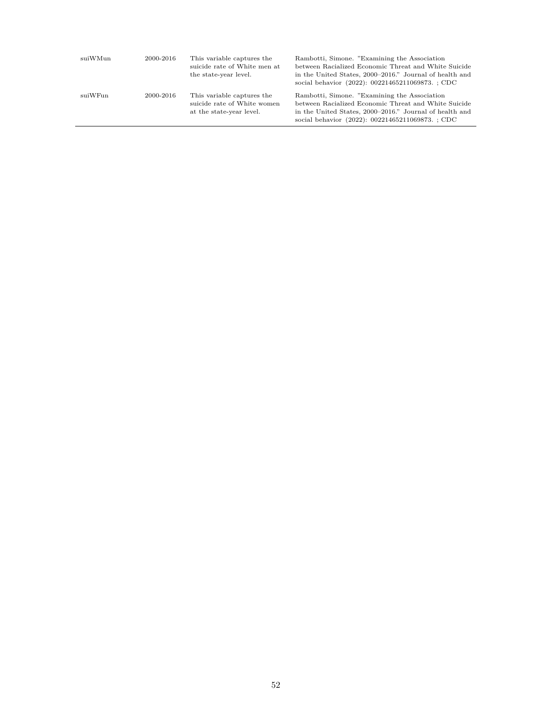| suiWMun | 2000-2016 | This variable captures the<br>suicide rate of White men at<br>the state-year level.   | Rambotti, Simone. "Examining the Association"<br>between Racialized Economic Threat and White Suicide<br>in the United States, 2000–2016." Journal of health and<br>social behavior (2022): 00221465211069873. ; CDC |
|---------|-----------|---------------------------------------------------------------------------------------|----------------------------------------------------------------------------------------------------------------------------------------------------------------------------------------------------------------------|
| suiWFun | 2000-2016 | This variable captures the<br>suicide rate of White women<br>at the state-year level. | Rambotti, Simone. "Examining the Association"<br>between Racialized Economic Threat and White Suicide<br>in the United States, 2000–2016." Journal of health and<br>social behavior (2022): 00221465211069873. ; CDC |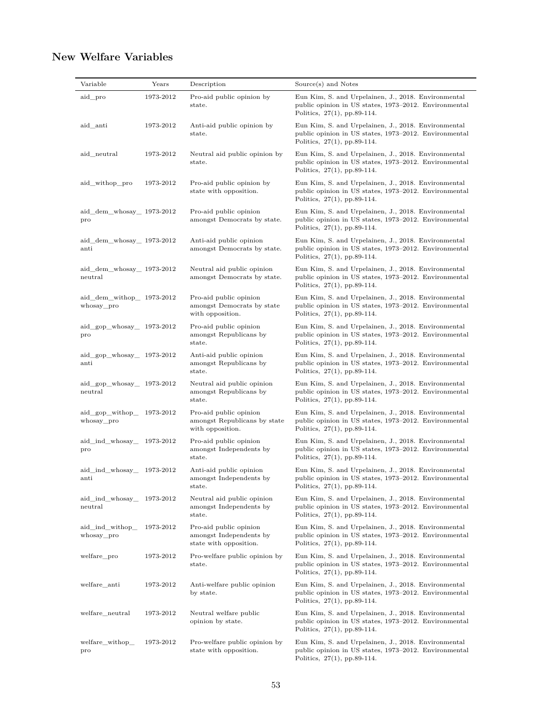# **New Welfare Variables**

| Variable                                           | Years     | Description                                                                 | Source(s) and Notes                                                                                                                            |
|----------------------------------------------------|-----------|-----------------------------------------------------------------------------|------------------------------------------------------------------------------------------------------------------------------------------------|
| aid_pro                                            | 1973-2012 | Pro-aid public opinion by<br>state.                                         | Eun Kim, S. and Urpelainen, J., 2018. Environmental<br>public opinion in US states, 1973-2012. Environmental<br>Politics, $27(1)$ , pp.89-114. |
| aid_anti                                           | 1973-2012 | Anti-aid public opinion by<br>state.                                        | Eun Kim, S. and Urpelainen, J., 2018. Environmental<br>public opinion in US states, 1973–2012. Environmental<br>Politics, $27(1)$ , pp.89-114. |
| aid neutral                                        | 1973-2012 | Neutral aid public opinion by<br>state.                                     | Eun Kim, S. and Urpelainen, J., 2018. Environmental<br>public opinion in US states, 1973-2012. Environmental<br>Politics, $27(1)$ , pp.89-114. |
| aid_withop_pro                                     | 1973-2012 | Pro-aid public opinion by<br>state with opposition.                         | Eun Kim, S. and Urpelainen, J., 2018. Environmental<br>public opinion in US states, 1973-2012. Environmental<br>Politics, 27(1), pp.89-114.    |
| aid_dem_whosay_ 1973-2012<br>pro                   |           | Pro-aid public opinion<br>amongst Democrats by state.                       | Eun Kim, S. and Urpelainen, J., 2018. Environmental<br>public opinion in US states, 1973–2012. Environmental<br>Politics, $27(1)$ , pp.89-114. |
| aid_dem_whosay_ 1973-2012<br>anti                  |           | Anti-aid public opinion<br>amongst Democrats by state.                      | Eun Kim, S. and Urpelainen, J., 2018. Environmental<br>public opinion in US states, 1973–2012. Environmental<br>Politics, $27(1)$ , pp.89-114. |
| aid_dem_whosay_ 1973-2012<br>neutral               |           | Neutral aid public opinion<br>amongst Democrats by state.                   | Eun Kim, S. and Urpelainen, J., 2018. Environmental<br>public opinion in US states, 1973–2012. Environmental<br>Politics, $27(1)$ , pp.89-114. |
| aid_dem_withop_ 1973-2012<br>whosay_pro            |           | Pro-aid public opinion<br>amongst Democrats by state<br>with opposition.    | Eun Kim, S. and Urpelainen, J., 2018. Environmental<br>public opinion in US states, 1973–2012. Environmental<br>Politics, $27(1)$ , pp.89-114. |
| aid gop whosay 1973-2012<br>pro                    |           | Pro-aid public opinion<br>amongst Republicans by<br>state.                  | Eun Kim, S. and Urpelainen, J., 2018. Environmental<br>public opinion in US states, 1973–2012. Environmental<br>Politics, $27(1)$ , pp.89-114. |
| aid_gop_whosay_ 1973-2012<br>$\operatorname{anti}$ |           | Anti-aid public opinion<br>amongst Republicans by<br>state.                 | Eun Kim, S. and Urpelainen, J., 2018. Environmental<br>public opinion in US states, 1973–2012. Environmental<br>Politics, $27(1)$ , pp.89-114. |
| aid_gop_whosay_ 1973-2012<br>neutral               |           | Neutral aid public opinion<br>amongst Republicans by<br>state.              | Eun Kim, S. and Urpelainen, J., 2018. Environmental<br>public opinion in US states, 1973–2012. Environmental<br>Politics, $27(1)$ , pp.89-114. |
| aid_gop_withop_ 1973-2012<br>whosay_pro            |           | Pro-aid public opinion<br>amongst Republicans by state<br>with opposition.  | Eun Kim, S. and Urpelainen, J., 2018. Environmental<br>public opinion in US states, 1973-2012. Environmental<br>Politics, $27(1)$ , pp.89-114. |
| aid_ind_whosay_<br>pro                             | 1973-2012 | Pro-aid public opinion<br>amongst Independents by<br>state.                 | Eun Kim, S. and Urpelainen, J., 2018. Environmental<br>public opinion in US states, 1973-2012. Environmental<br>Politics, 27(1), pp.89-114.    |
| aid ind whosay 1973-2012<br>$_{\rm anti}$          |           | Anti-aid public opinion<br>amongst Independents by<br>state.                | Eun Kim, S. and Urpelainen, J., 2018. Environmental<br>public opinion in US states, 1973–2012. Environmental<br>Politics, $27(1)$ , pp.89-114. |
| aid ind whosay<br>neutral                          | 1973-2012 | Neutral aid public opinion<br>amongst Independents by<br>state.             | Eun Kim, S. and Urpelainen, J., 2018. Environmental<br>public opinion in US states, 1973-2012. Environmental<br>Politics, $27(1)$ , pp.89-114. |
| aid ind withop<br>whosay_pro                       | 1973-2012 | Pro-aid public opinion<br>amongst Independents by<br>state with opposition. | Eun Kim, S. and Urpelainen, J., 2018. Environmental<br>public opinion in US states, 1973-2012. Environmental<br>Politics, $27(1)$ , pp.89-114. |
| welfare_pro                                        | 1973-2012 | Pro-welfare public opinion by<br>state.                                     | Eun Kim, S. and Urpelainen, J., 2018. Environmental<br>public opinion in US states, 1973-2012. Environmental<br>Politics, $27(1)$ , pp.89-114. |
| welfare_anti                                       | 1973-2012 | Anti-welfare public opinion<br>by state.                                    | Eun Kim, S. and Urpelainen, J., 2018. Environmental<br>public opinion in US states, 1973–2012. Environmental<br>Politics, $27(1)$ , pp.89-114. |
| welfare_neutral                                    | 1973-2012 | Neutral welfare public<br>opinion by state.                                 | Eun Kim, S. and Urpelainen, J., 2018. Environmental<br>public opinion in US states, 1973–2012. Environmental<br>Politics, $27(1)$ , pp.89-114. |
| welfare_withop_<br>pro                             | 1973-2012 | Pro-welfare public opinion by<br>state with opposition.                     | Eun Kim, S. and Urpelainen, J., 2018. Environmental<br>public opinion in US states, 1973-2012. Environmental<br>Politics, $27(1)$ , pp.89-114. |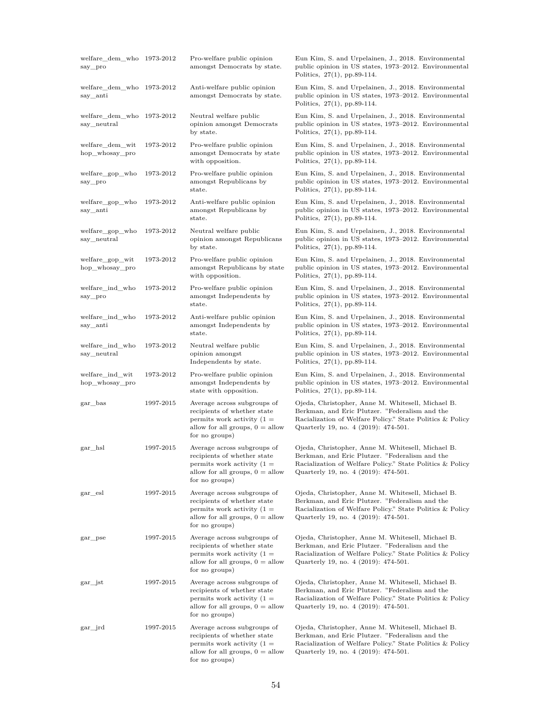| welfare dem who 1973-2012<br>say_pro     |           | Pro-welfare public opinion<br>amongst Democrats by state.                                                                                         | Eun Kim, S. and Urpelainen, J., 2018. Environmental<br>public opinion in US states, 1973–2012. Environmental<br>Politics, $27(1)$ , pp.89-114.                                                           |
|------------------------------------------|-----------|---------------------------------------------------------------------------------------------------------------------------------------------------|----------------------------------------------------------------------------------------------------------------------------------------------------------------------------------------------------------|
| welfare dem who 1973-2012<br>say_anti    |           | Anti-welfare public opinion<br>amongst Democrats by state.                                                                                        | Eun Kim, S. and Urpelainen, J., 2018. Environmental<br>public opinion in US states, 1973–2012. Environmental<br>Politics, $27(1)$ , pp.89-114.                                                           |
| welfare_dem_who 1973-2012<br>say_neutral |           | Neutral welfare public<br>opinion amongst Democrats<br>by state.                                                                                  | Eun Kim, S. and Urpelainen, J., 2018. Environmental<br>public opinion in US states, 1973–2012. Environmental<br>Politics, $27(1)$ , pp.89-114.                                                           |
| welfare dem wit<br>hop_whosay_pro        | 1973-2012 | Pro-welfare public opinion<br>amongst Democrats by state<br>with opposition.                                                                      | Eun Kim, S. and Urpelainen, J., 2018. Environmental<br>public opinion in US states, 1973–2012. Environmental<br>Politics, $27(1)$ , pp.89-114.                                                           |
| welfare gop who<br>say_pro               | 1973-2012 | Pro-welfare public opinion<br>amongst Republicans by<br>state.                                                                                    | Eun Kim, S. and Urpelainen, J., 2018. Environmental<br>public opinion in US states, 1973–2012. Environmental<br>Politics, $27(1)$ , pp.89-114.                                                           |
| welfare_gop_who<br>say_anti              | 1973-2012 | Anti-welfare public opinion<br>amongst Republicans by<br>state.                                                                                   | Eun Kim, S. and Urpelainen, J., 2018. Environmental<br>public opinion in US states, 1973–2012. Environmental<br>Politics, $27(1)$ , pp.89-114.                                                           |
| welfare gop who<br>say_neutral           | 1973-2012 | Neutral welfare public<br>opinion amongst Republicans<br>by state.                                                                                | Eun Kim, S. and Urpelainen, J., 2018. Environmental<br>public opinion in US states, 1973–2012. Environmental<br>Politics, $27(1)$ , pp.89-114.                                                           |
| welfare gop wit<br>hop whosay pro        | 1973-2012 | Pro-welfare public opinion<br>amongst Republicans by state<br>with opposition.                                                                    | Eun Kim, S. and Urpelainen, J., 2018. Environmental<br>public opinion in US states, 1973–2012. Environmental<br>Politics, $27(1)$ , pp.89-114.                                                           |
| welfare_ind_who<br>say_pro               | 1973-2012 | Pro-welfare public opinion<br>amongst Independents by<br>state.                                                                                   | Eun Kim, S. and Urpelainen, J., 2018. Environmental<br>public opinion in US states, 1973-2012. Environmental<br>Politics, $27(1)$ , pp.89-114.                                                           |
| welfare_ind_who<br>say_anti              | 1973-2012 | Anti-welfare public opinion<br>amongst Independents by<br>state.                                                                                  | Eun Kim, S. and Urpelainen, J., 2018. Environmental<br>public opinion in US states, 1973-2012. Environmental<br>Politics, $27(1)$ , pp.89-114.                                                           |
| welfare_ind_who<br>say_neutral           | 1973-2012 | Neutral welfare public<br>opinion amongst<br>Independents by state.                                                                               | Eun Kim, S. and Urpelainen, J., 2018. Environmental<br>public opinion in US states, 1973–2012. Environmental<br>Politics, $27(1)$ , pp.89-114.                                                           |
| welfare_ind_wit<br>hop_whosay_pro        | 1973-2012 | Pro-welfare public opinion<br>amongst Independents by<br>state with opposition.                                                                   | Eun Kim, S. and Urpelainen, J., 2018. Environmental<br>public opinion in US states, 1973–2012. Environmental<br>Politics, $27(1)$ , pp.89-114.                                                           |
| gar_bas                                  | 1997-2015 | Average across subgroups of<br>recipients of whether state<br>permits work activity $(1 =$<br>allow for all groups, $0 =$ allow<br>for no groups) | Ojeda, Christopher, Anne M. Whitesell, Michael B.<br>Berkman, and Eric Plutzer. "Federalism and the<br>Racialization of Welfare Policy." State Politics & Policy<br>Quarterly 19, no. 4 (2019): 474-501. |
| gar_hsl                                  | 1997-2015 | Average across subgroups of<br>recipients of whether state<br>permits work activity $(1 =$<br>allow for all groups, $0 =$ allow<br>for no groups) | Ojeda, Christopher, Anne M. Whitesell, Michael B.<br>Berkman, and Eric Plutzer. "Federalism and the<br>Racialization of Welfare Policy." State Politics & Policy<br>Quarterly 19, no. 4 (2019): 474-501. |
| gar_esl                                  | 1997-2015 | Average across subgroups of<br>recipients of whether state<br>permits work activity $(1 =$<br>allow for all groups, $0 =$ allow<br>for no groups) | Ojeda, Christopher, Anne M. Whitesell, Michael B.<br>Berkman, and Eric Plutzer. "Federalism and the<br>Racialization of Welfare Policy." State Politics & Policy<br>Quarterly 19, no. 4 (2019): 474-501. |
| gar_pse                                  | 1997-2015 | Average across subgroups of<br>recipients of whether state<br>permits work activity $(1 =$<br>allow for all groups, $0 =$ allow<br>for no groups) | Ojeda, Christopher, Anne M. Whitesell, Michael B.<br>Berkman, and Eric Plutzer. "Federalism and the<br>Racialization of Welfare Policy." State Politics & Policy<br>Quarterly 19, no. 4 (2019): 474-501. |
| gar_jst                                  | 1997-2015 | Average across subgroups of<br>recipients of whether state<br>permits work activity $(1 =$<br>allow for all groups, $0 =$ allow<br>for no groups) | Ojeda, Christopher, Anne M. Whitesell, Michael B.<br>Berkman, and Eric Plutzer. "Federalism and the<br>Racialization of Welfare Policy." State Politics & Policy<br>Quarterly 19, no. 4 (2019): 474-501. |
| gar_jrd                                  | 1997-2015 | Average across subgroups of<br>recipients of whether state<br>permits work activity $(1 =$<br>allow for all groups, $0 =$ allow<br>for no groups) | Ojeda, Christopher, Anne M. Whitesell, Michael B.<br>Berkman, and Eric Plutzer. "Federalism and the<br>Racialization of Welfare Policy." State Politics & Policy<br>Quarterly 19, no. 4 (2019): 474-501. |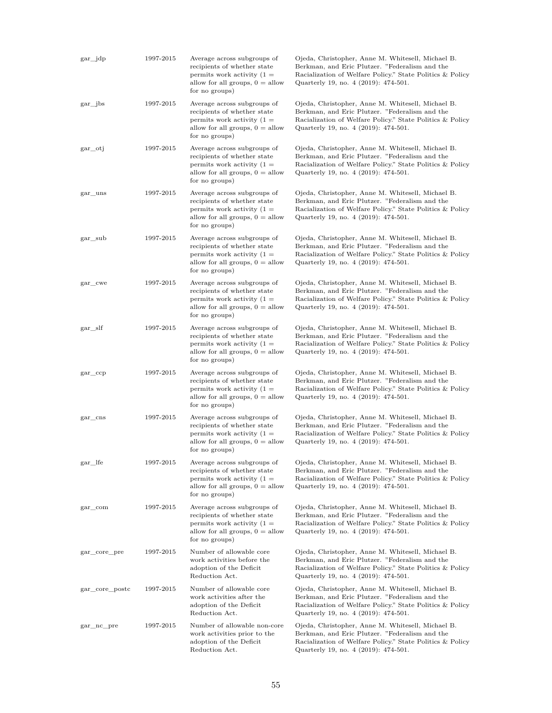| $\gamma$ gar $\gamma$ jdp | 1997-2015 | Average across subgroups of<br>recipients of whether state<br>permits work activity $(1 =$<br>allow for all groups, $0 =$ allow<br>for no groups) | Ojeda, Christopher, Anne M. Whitesell, Michael B.<br>Berkman, and Eric Plutzer. "Federalism and the<br>Racialization of Welfare Policy." State Politics & Policy<br>Quarterly 19, no. 4 (2019): 474-501. |
|---------------------------|-----------|---------------------------------------------------------------------------------------------------------------------------------------------------|----------------------------------------------------------------------------------------------------------------------------------------------------------------------------------------------------------|
| gar _jbs                  | 1997-2015 | Average across subgroups of<br>recipients of whether state<br>permits work activity $(1 =$<br>allow for all groups, $0 =$ allow<br>for no groups) | Ojeda, Christopher, Anne M. Whitesell, Michael B.<br>Berkman, and Eric Plutzer. "Federalism and the<br>Racialization of Welfare Policy." State Politics & Policy<br>Quarterly 19, no. 4 (2019): 474-501. |
| gar otj                   | 1997-2015 | Average across subgroups of<br>recipients of whether state<br>permits work activity $(1 =$<br>allow for all groups, $0 =$ allow<br>for no groups) | Ojeda, Christopher, Anne M. Whitesell, Michael B.<br>Berkman, and Eric Plutzer. "Federalism and the<br>Racialization of Welfare Policy." State Politics & Policy<br>Quarterly 19, no. 4 (2019): 474-501. |
| gar_uns                   | 1997-2015 | Average across subgroups of<br>recipients of whether state<br>permits work activity $(1 =$<br>allow for all groups, $0 =$ allow<br>for no groups) | Ojeda, Christopher, Anne M. Whitesell, Michael B.<br>Berkman, and Eric Plutzer. "Federalism and the<br>Racialization of Welfare Policy." State Politics & Policy<br>Quarterly 19, no. 4 (2019): 474-501. |
| $gar\_sub$                | 1997-2015 | Average across subgroups of<br>recipients of whether state<br>permits work activity $(1 =$<br>allow for all groups, $0 =$ allow<br>for no groups) | Ojeda, Christopher, Anne M. Whitesell, Michael B.<br>Berkman, and Eric Plutzer. "Federalism and the<br>Racialization of Welfare Policy." State Politics & Policy<br>Quarterly 19, no. 4 (2019): 474-501. |
| gar_cwe                   | 1997-2015 | Average across subgroups of<br>recipients of whether state<br>permits work activity $(1 =$<br>allow for all groups, $0 =$ allow<br>for no groups) | Ojeda, Christopher, Anne M. Whitesell, Michael B.<br>Berkman, and Eric Plutzer. "Federalism and the<br>Racialization of Welfare Policy." State Politics & Policy<br>Quarterly 19, no. 4 (2019): 474-501. |
| $gar\_slf$                | 1997-2015 | Average across subgroups of<br>recipients of whether state<br>permits work activity $(1 =$<br>allow for all groups, $0 =$ allow<br>for no groups) | Ojeda, Christopher, Anne M. Whitesell, Michael B.<br>Berkman, and Eric Plutzer. "Federalism and the<br>Racialization of Welfare Policy." State Politics & Policy<br>Quarterly 19, no. 4 (2019): 474-501. |
| $gar_{ccp}$               | 1997-2015 | Average across subgroups of<br>recipients of whether state<br>permits work activity $(1 =$<br>allow for all groups, $0 =$ allow<br>for no groups) | Ojeda, Christopher, Anne M. Whitesell, Michael B.<br>Berkman, and Eric Plutzer. "Federalism and the<br>Racialization of Welfare Policy." State Politics & Policy<br>Quarterly 19, no. 4 (2019): 474-501. |
| $gar\_cns$                | 1997-2015 | Average across subgroups of<br>recipients of whether state<br>permits work activity $(1 =$<br>allow for all groups, $0 =$ allow<br>for no groups) | Ojeda, Christopher, Anne M. Whitesell, Michael B.<br>Berkman, and Eric Plutzer. "Federalism and the<br>Racialization of Welfare Policy." State Politics & Policy<br>Quarterly 19, no. 4 (2019): 474-501. |
| gar_lfe                   | 1997-2015 | Average across subgroups of<br>recipients of whether state<br>permits work activity $(1 =$<br>allow for all groups, $0 =$ allow<br>for no groups) | Ojeda, Christopher, Anne M. Whitesell, Michael B.<br>Berkman, and Eric Plutzer. "Federalism and the<br>Racialization of Welfare Policy." State Politics & Policy<br>Quarterly 19, no. 4 (2019): 474-501. |
| $gar\_com$                | 1997-2015 | Average across subgroups of<br>recipients of whether state<br>permits work activity $(1 =$<br>allow for all groups, $0 =$ allow<br>for no groups) | Ojeda, Christopher, Anne M. Whitesell, Michael B.<br>Berkman, and Eric Plutzer. "Federalism and the<br>Racialization of Welfare Policy." State Politics & Policy<br>Quarterly 19, no. 4 (2019): 474-501. |
| gar_core_pre              | 1997-2015 | Number of allowable core<br>work activities before the<br>adoption of the Deficit<br>Reduction Act.                                               | Ojeda, Christopher, Anne M. Whitesell, Michael B.<br>Berkman, and Eric Plutzer. "Federalism and the<br>Racialization of Welfare Policy." State Politics & Policy<br>Quarterly 19, no. 4 (2019): 474-501. |
| gar_core_postc            | 1997-2015 | Number of allowable core<br>work activities after the<br>adoption of the Deficit<br>Reduction Act.                                                | Ojeda, Christopher, Anne M. Whitesell, Michael B.<br>Berkman, and Eric Plutzer. "Federalism and the<br>Racialization of Welfare Policy." State Politics & Policy<br>Quarterly 19, no. 4 (2019): 474-501. |
| gar_nc_pre                | 1997-2015 | Number of allowable non-core<br>work activities prior to the<br>adoption of the Deficit<br>Reduction Act.                                         | Ojeda, Christopher, Anne M. Whitesell, Michael B.<br>Berkman, and Eric Plutzer. "Federalism and the<br>Racialization of Welfare Policy." State Politics & Policy<br>Quarterly 19, no. 4 (2019): 474-501. |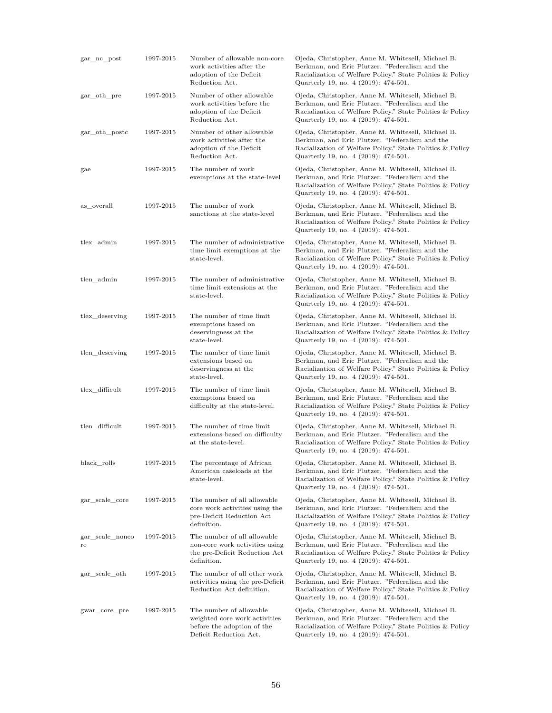| gar_nc_post           | 1997-2015 | Number of allowable non-core<br>work activities after the<br>adoption of the Deficit<br>Reduction Act.           | Ojeda, Christopher, Anne M. Whitesell, Michael B.<br>Berkman, and Eric Plutzer. "Federalism and the<br>Racialization of Welfare Policy." State Politics & Policy<br>Quarterly 19, no. 4 (2019): 474-501. |
|-----------------------|-----------|------------------------------------------------------------------------------------------------------------------|----------------------------------------------------------------------------------------------------------------------------------------------------------------------------------------------------------|
| gar_oth_pre           | 1997-2015 | Number of other allowable<br>work activities before the<br>adoption of the Deficit<br>Reduction Act.             | Ojeda, Christopher, Anne M. Whitesell, Michael B.<br>Berkman, and Eric Plutzer. "Federalism and the<br>Racialization of Welfare Policy." State Politics & Policy<br>Quarterly 19, no. 4 (2019): 474-501. |
| gar_oth_postc         | 1997-2015 | Number of other allowable<br>work activities after the<br>adoption of the Deficit<br>Reduction Act.              | Ojeda, Christopher, Anne M. Whitesell, Michael B.<br>Berkman, and Eric Plutzer. "Federalism and the<br>Racialization of Welfare Policy." State Politics & Policy<br>Quarterly 19, no. 4 (2019): 474-501. |
| gae                   | 1997-2015 | The number of work<br>exemptions at the state-level                                                              | Ojeda, Christopher, Anne M. Whitesell, Michael B.<br>Berkman, and Eric Plutzer. "Federalism and the<br>Racialization of Welfare Policy." State Politics & Policy<br>Quarterly 19, no. 4 (2019): 474-501. |
| as overall            | 1997-2015 | The number of work<br>sanctions at the state-level                                                               | Ojeda, Christopher, Anne M. Whitesell, Michael B.<br>Berkman, and Eric Plutzer. "Federalism and the<br>Racialization of Welfare Policy." State Politics & Policy<br>Quarterly 19, no. 4 (2019): 474-501. |
| tlex admin            | 1997-2015 | The number of administrative<br>time limit exemptions at the<br>state-level.                                     | Ojeda, Christopher, Anne M. Whitesell, Michael B.<br>Berkman, and Eric Plutzer. "Federalism and the<br>Racialization of Welfare Policy." State Politics & Policy<br>Quarterly 19, no. 4 (2019): 474-501. |
| tlen admin            | 1997-2015 | The number of administrative<br>time limit extensions at the<br>state-level.                                     | Ojeda, Christopher, Anne M. Whitesell, Michael B.<br>Berkman, and Eric Plutzer. "Federalism and the<br>Racialization of Welfare Policy." State Politics & Policy<br>Quarterly 19, no. 4 (2019): 474-501. |
| tlex deserving        | 1997-2015 | The number of time limit<br>exemptions based on<br>deservingness at the<br>state-level.                          | Ojeda, Christopher, Anne M. Whitesell, Michael B.<br>Berkman, and Eric Plutzer. "Federalism and the<br>Racialization of Welfare Policy." State Politics & Policy<br>Quarterly 19, no. 4 (2019): 474-501. |
| tlen_deserving        | 1997-2015 | The number of time limit<br>extensions based on<br>deservingness at the<br>state-level.                          | Ojeda, Christopher, Anne M. Whitesell, Michael B.<br>Berkman, and Eric Plutzer. "Federalism and the<br>Racialization of Welfare Policy." State Politics & Policy<br>Quarterly 19, no. 4 (2019): 474-501. |
| tlex difficult        | 1997-2015 | The number of time limit<br>exemptions based on<br>difficulty at the state-level.                                | Ojeda, Christopher, Anne M. Whitesell, Michael B.<br>Berkman, and Eric Plutzer. "Federalism and the<br>Racialization of Welfare Policy." State Politics & Policy<br>Quarterly 19, no. 4 (2019): 474-501. |
| tlen difficult        | 1997-2015 | The number of time limit<br>extensions based on difficulty<br>at the state-level.                                | Ojeda, Christopher, Anne M. Whitesell, Michael B.<br>Berkman, and Eric Plutzer. "Federalism and the<br>Racialization of Welfare Policy." State Politics & Policy<br>Quarterly 19, no. 4 (2019): 474-501. |
| black rolls           | 1997-2015 | The percentage of African<br>American caseloads at the<br>state-level.                                           | Ojeda, Christopher, Anne M. Whitesell, Michael B.<br>Berkman, and Eric Plutzer. "Federalism and the<br>Racialization of Welfare Policy." State Politics & Policy<br>Quarterly 19, no. 4 (2019): 474-501. |
| gar_scale_core        | 1997-2015 | The number of all allowable<br>core work activities using the<br>pre-Deficit Reduction Act<br>definition.        | Ojeda, Christopher, Anne M. Whitesell, Michael B.<br>Berkman, and Eric Plutzer. "Federalism and the<br>Racialization of Welfare Policy." State Politics & Policy<br>Quarterly 19, no. 4 (2019): 474-501. |
| gar_scale_nonco<br>re | 1997-2015 | The number of all allowable<br>non-core work activities using<br>the pre-Deficit Reduction Act<br>definition.    | Ojeda, Christopher, Anne M. Whitesell, Michael B.<br>Berkman, and Eric Plutzer. "Federalism and the<br>Racialization of Welfare Policy." State Politics & Policy<br>Quarterly 19, no. 4 (2019): 474-501. |
| gar_scale_oth         | 1997-2015 | The number of all other work<br>activities using the pre-Deficit<br>Reduction Act definition.                    | Ojeda, Christopher, Anne M. Whitesell, Michael B.<br>Berkman, and Eric Plutzer. "Federalism and the<br>Racialization of Welfare Policy." State Politics & Policy<br>Quarterly 19, no. 4 (2019): 474-501. |
| gwar_core_pre         | 1997-2015 | The number of allowable<br>weighted core work activities<br>before the adoption of the<br>Deficit Reduction Act. | Ojeda, Christopher, Anne M. Whitesell, Michael B.<br>Berkman, and Eric Plutzer. "Federalism and the<br>Racialization of Welfare Policy." State Politics & Policy<br>Quarterly 19, no. 4 (2019): 474-501. |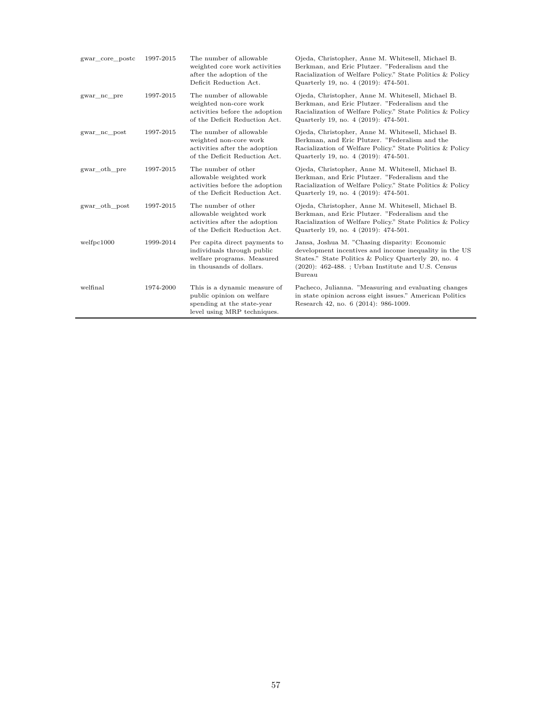| gwar core postc | 1997-2015 | The number of allowable<br>weighted core work activities<br>after the adoption of the<br>Deficit Reduction Act.        | Ojeda, Christopher, Anne M. Whitesell, Michael B.<br>Berkman, and Eric Plutzer. "Federalism and the<br>Racialization of Welfare Policy." State Politics & Policy<br>Quarterly 19, no. 4 (2019): 474-501.                          |
|-----------------|-----------|------------------------------------------------------------------------------------------------------------------------|-----------------------------------------------------------------------------------------------------------------------------------------------------------------------------------------------------------------------------------|
| gwar nc pre     | 1997-2015 | The number of allowable<br>weighted non-core work<br>activities before the adoption<br>of the Deficit Reduction Act.   | Ojeda, Christopher, Anne M. Whitesell, Michael B.<br>Berkman, and Eric Plutzer. "Federalism and the<br>Racialization of Welfare Policy." State Politics & Policy<br>Quarterly 19, no. 4 (2019): 474-501.                          |
| gwar no post    | 1997-2015 | The number of allowable<br>weighted non-core work<br>activities after the adoption<br>of the Deficit Reduction Act.    | Ojeda, Christopher, Anne M. Whitesell, Michael B.<br>Berkman, and Eric Plutzer. "Federalism and the<br>Racialization of Welfare Policy." State Politics & Policy<br>Quarterly 19, no. 4 (2019): 474-501.                          |
| gwar oth pre    | 1997-2015 | The number of other<br>allowable weighted work<br>activities before the adoption<br>of the Deficit Reduction Act.      | Ojeda, Christopher, Anne M. Whitesell, Michael B.<br>Berkman, and Eric Plutzer. "Federalism and the<br>Racialization of Welfare Policy." State Politics & Policy<br>Quarterly 19, no. 4 (2019): 474-501.                          |
| gwar oth post   | 1997-2015 | The number of other<br>allowable weighted work<br>activities after the adoption<br>of the Deficit Reduction Act.       | Ojeda, Christopher, Anne M. Whitesell, Michael B.<br>Berkman, and Eric Plutzer. "Federalism and the<br>Racialization of Welfare Policy." State Politics & Policy<br>Quarterly 19, no. 4 (2019): 474-501.                          |
| welfpc1000      | 1999-2014 | Per capita direct payments to<br>individuals through public<br>welfare programs. Measured<br>in thousands of dollars.  | Jansa, Joshua M. "Chasing disparity: Economic<br>development incentives and income inequality in the US<br>States." State Politics & Policy Quarterly 20, no. 4<br>$(2020)$ : 462-488.; Urban Institute and U.S. Census<br>Bureau |
| welfinal        | 1974-2000 | This is a dynamic measure of<br>public opinion on welfare<br>spending at the state-year<br>level using MRP techniques. | Pacheco, Julianna. "Measuring and evaluating changes<br>in state opinion across eight issues." American Politics<br>Research 42, no. 6 (2014): 986-1009.                                                                          |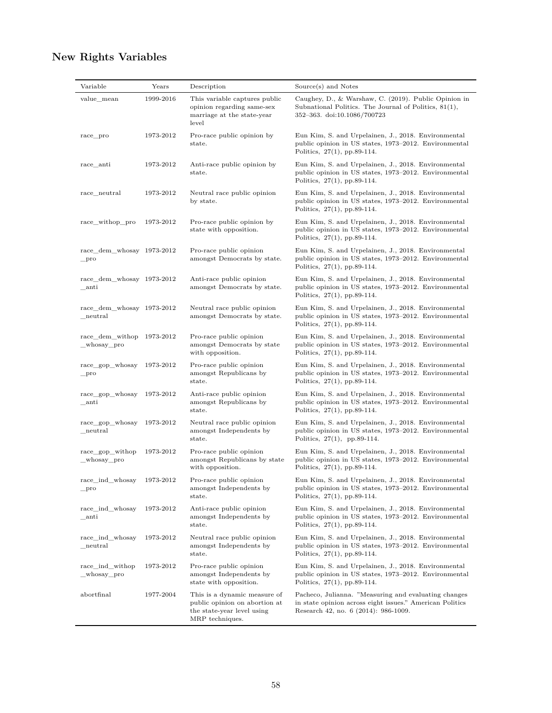| Variable                                       | Years     | Description                                                                                                    | Source(s) and Notes                                                                                                                                      |
|------------------------------------------------|-----------|----------------------------------------------------------------------------------------------------------------|----------------------------------------------------------------------------------------------------------------------------------------------------------|
| value_mean                                     | 1999-2016 | This variable captures public<br>opinion regarding same-sex<br>marriage at the state-year<br>level             | Caughey, D., & Warshaw, C. (2019). Public Opinion in<br>Subnational Politics. The Journal of Politics, 81(1),<br>352-363. doi:10.1086/700723             |
| race_pro                                       | 1973-2012 | Pro-race public opinion by<br>state.                                                                           | Eun Kim, S. and Urpelainen, J., 2018. Environmental<br>public opinion in US states, 1973–2012. Environmental<br>Politics, $27(1)$ , pp.89-114.           |
| race_anti                                      | 1973-2012 | Anti-race public opinion by<br>state.                                                                          | Eun Kim, S. and Urpelainen, J., 2018. Environmental<br>public opinion in US states, 1973-2012. Environmental<br>Politics, 27(1), pp.89-114.              |
| race_neutral                                   | 1973-2012 | Neutral race public opinion<br>by state.                                                                       | Eun Kim, S. and Urpelainen, J., 2018. Environmental<br>public opinion in US states, 1973–2012. Environmental<br>Politics, $27(1)$ , pp.89-114.           |
| race_withop_pro                                | 1973-2012 | Pro-race public opinion by<br>state with opposition.                                                           | Eun Kim, S. and Urpelainen, J., 2018. Environmental<br>public opinion in US states, 1973–2012. Environmental<br>Politics, $27(1)$ , pp.89-114.           |
| $race\_dem\_whosay$ 1973-2012<br>$_{\rm\_pro}$ |           | Pro-race public opinion<br>amongst Democrats by state.                                                         | Eun Kim, S. and Urpelainen, J., 2018. Environmental<br>public opinion in US states, 1973-2012. Environmental<br>Politics, $27(1)$ , pp.89-114.           |
| race dem whosay 1973-2012<br>_anti             |           | Anti-race public opinion<br>amongst Democrats by state.                                                        | Eun Kim, S. and Urpelainen, J., 2018. Environmental<br>public opinion in US states, 1973-2012. Environmental<br>Politics, $27(1)$ , pp.89-114.           |
| $race\_dem\_whosay$ 1973-2012<br>_neutral      |           | Neutral race public opinion<br>amongst Democrats by state.                                                     | Eun Kim, S. and Urpelainen, J., 2018. Environmental<br>public opinion in US states, 1973–2012. Environmental<br>Politics, $27(1)$ , pp.89-114.           |
| $race\_dem\_without$ 1973-2012<br>_whosay_pro  |           | Pro-race public opinion<br>amongst Democrats by state<br>with opposition.                                      | Eun Kim, S. and Urpelainen, J., 2018. Environmental<br>public opinion in US states, 1973–2012. Environmental<br>Politics, $27(1)$ , pp.89-114.           |
| race_gop_whosay<br>$_{\rm\_pro}$               | 1973-2012 | Pro-race public opinion<br>amongst Republicans by<br>state.                                                    | Eun Kim, S. and Urpelainen, J., 2018. Environmental<br>public opinion in US states, 1973–2012. Environmental<br>Politics, 27(1), pp.89-114.              |
| race_gop_whosay<br>$\_$ anti                   | 1973-2012 | Anti-race public opinion<br>amongst Republicans by<br>state.                                                   | Eun Kim, S. and Urpelainen, J., 2018. Environmental<br>public opinion in US states, 1973–2012. Environmental<br>Politics, $27(1)$ , pp.89-114.           |
| race_gop_whosay<br>neutral                     | 1973-2012 | Neutral race public opinion<br>amongst Independents by<br>state.                                               | Eun Kim, S. and Urpelainen, J., 2018. Environmental<br>public opinion in US states, 1973-2012. Environmental<br>Politics, $27(1)$ , pp.89-114.           |
| race_gop_withop<br>_whosay_pro                 | 1973-2012 | Pro-race public opinion<br>amongst Republicans by state<br>with opposition.                                    | Eun Kim, S. and Urpelainen, J., 2018. Environmental<br>public opinion in US states, 1973–2012. Environmental<br>Politics, 27(1), pp.89-114.              |
| race_ind_whosay<br>$_{\rm\_pro}$               | 1973-2012 | Pro-race public opinion<br>amongst Independents by<br>state.                                                   | Eun Kim, S. and Urpelainen, J., 2018. Environmental<br>public opinion in US states, 1973-2012. Environmental<br>Politics, $27(1)$ , pp.89-114.           |
| race_ind_whosay<br>anti                        | 1973-2012 | Anti-race public opinion<br>amongst Independents by<br>state.                                                  | Eun Kim, S. and Urpelainen, J., 2018. Environmental<br>public opinion in US states, 1973-2012. Environmental<br>Politics, $27(1)$ , pp.89-114.           |
| race_ind_whosay<br>${\tt_{neutral}}$           | 1973-2012 | Neutral race public opinion<br>amongst Independents by<br>state.                                               | Eun Kim, S. and Urpelainen, J., 2018. Environmental<br>public opinion in US states, 1973–2012. Environmental<br>Politics, $27(1)$ , pp.89-114.           |
| race_ind_withop<br>_whosay_pro                 | 1973-2012 | Pro-race public opinion<br>amongst Independents by<br>state with opposition.                                   | Eun Kim, S. and Urpelainen, J., 2018. Environmental<br>public opinion in US states, 1973–2012. Environmental<br>Politics, $27(1)$ , pp.89-114.           |
| abortfinal                                     | 1977-2004 | This is a dynamic measure of<br>public opinion on abortion at<br>the state-year level using<br>MRP techniques. | Pacheco, Julianna. "Measuring and evaluating changes<br>in state opinion across eight issues." American Politics<br>Research 42, no. 6 (2014): 986-1009. |

# **New Rights Variables**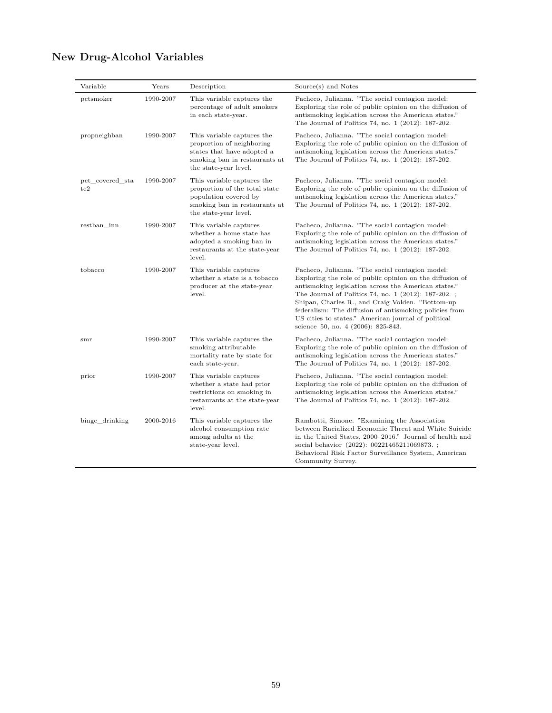|  | <b>New Drug-Alcohol Variables</b> |  |
|--|-----------------------------------|--|
|--|-----------------------------------|--|

| Variable               | Years     | Description                                                                                                                                     | Source(s) and Notes                                                                                                                                                                                                                                                                                                                                                                                                                   |
|------------------------|-----------|-------------------------------------------------------------------------------------------------------------------------------------------------|---------------------------------------------------------------------------------------------------------------------------------------------------------------------------------------------------------------------------------------------------------------------------------------------------------------------------------------------------------------------------------------------------------------------------------------|
| pctsmoker              | 1990-2007 | This variable captures the<br>percentage of adult smokers<br>in each state-year.                                                                | Pacheco, Julianna. "The social contagion model:<br>Exploring the role of public opinion on the diffusion of<br>antismoking legislation across the American states."<br>The Journal of Politics 74, no. 1 (2012): 187-202.                                                                                                                                                                                                             |
| propneighban           | 1990-2007 | This variable captures the<br>proportion of neighboring<br>states that have adopted a<br>smoking ban in restaurants at<br>the state-year level. | Pacheco, Julianna. "The social contagion model:<br>Exploring the role of public opinion on the diffusion of<br>antismoking legislation across the American states."<br>The Journal of Politics 74, no. 1 (2012): 187-202.                                                                                                                                                                                                             |
| pct covered sta<br>te2 | 1990-2007 | This variable captures the<br>proportion of the total state<br>population covered by<br>smoking ban in restaurants at<br>the state-year level.  | Pacheco, Julianna. "The social contagion model:<br>Exploring the role of public opinion on the diffusion of<br>antismoking legislation across the American states."<br>The Journal of Politics 74, no. 1 (2012): 187-202.                                                                                                                                                                                                             |
| restban inn            | 1990-2007 | This variable captures<br>whether a home state has<br>adopted a smoking ban in<br>restaurants at the state-year<br>level.                       | Pacheco, Julianna. "The social contagion model:<br>Exploring the role of public opinion on the diffusion of<br>antismoking legislation across the American states."<br>The Journal of Politics 74, no. 1 (2012): 187-202.                                                                                                                                                                                                             |
| tobacco                | 1990-2007 | This variable captures<br>whether a state is a tobacco<br>producer at the state-year<br>level.                                                  | Pacheco, Julianna. "The social contagion model:<br>Exploring the role of public opinion on the diffusion of<br>antismoking legislation across the American states."<br>The Journal of Politics 74, no. 1 (2012): 187-202.;<br>Shipan, Charles R., and Craig Volden. "Bottom-up<br>federalism: The diffusion of antismoking policies from<br>US cities to states." American journal of political<br>science 50, no. 4 (2006): 825-843. |
| smr                    | 1990-2007 | This variable captures the<br>smoking attributable<br>mortality rate by state for<br>each state-year.                                           | Pacheco, Julianna. "The social contagion model:<br>Exploring the role of public opinion on the diffusion of<br>antismoking legislation across the American states."<br>The Journal of Politics 74, no. 1 (2012): 187-202.                                                                                                                                                                                                             |
| prior                  | 1990-2007 | This variable captures<br>whether a state had prior<br>restrictions on smoking in<br>restaurants at the state-year<br>level.                    | Pacheco, Julianna. "The social contagion model:<br>Exploring the role of public opinion on the diffusion of<br>antismoking legislation across the American states."<br>The Journal of Politics 74, no. 1 (2012): 187-202.                                                                                                                                                                                                             |
| binge drinking         | 2000-2016 | This variable captures the<br>alcohol consumption rate<br>among adults at the<br>state-year level.                                              | Rambotti, Simone. "Examining the Association<br>between Racialized Economic Threat and White Suicide<br>in the United States, 2000–2016." Journal of health and<br>social behavior (2022): 00221465211069873.;<br>Behavioral Risk Factor Surveillance System, American<br>Community Survey.                                                                                                                                           |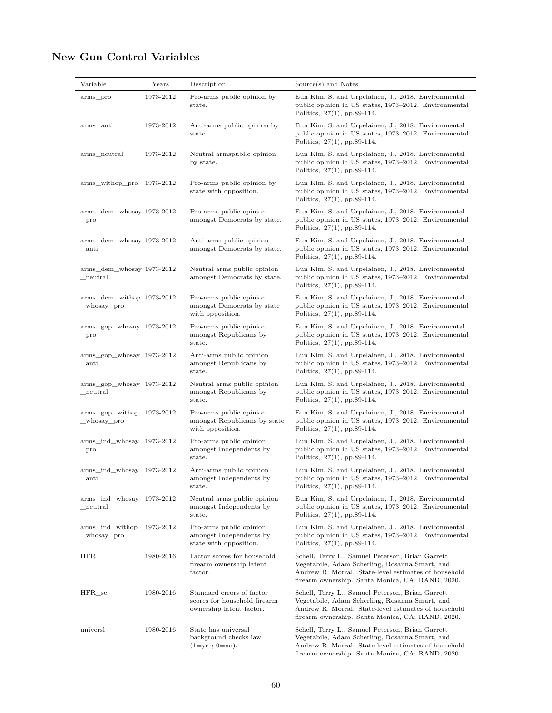# **New Gun Control Variables**

| Variable                                        | Years     | Description                                                                           | Source(s) and Notes                                                                                                                                                                                            |
|-------------------------------------------------|-----------|---------------------------------------------------------------------------------------|----------------------------------------------------------------------------------------------------------------------------------------------------------------------------------------------------------------|
| arms_pro                                        | 1973-2012 | Pro-arms public opinion by<br>state.                                                  | Eun Kim, S. and Urpelainen, J., 2018. Environmental<br>public opinion in US states, 1973–2012. Environmental<br>Politics, $27(1)$ , pp.89-114.                                                                 |
| arms_anti                                       | 1973-2012 | Anti-arms public opinion by<br>state.                                                 | Eun Kim, S. and Urpelainen, J., 2018. Environmental<br>public opinion in US states, 1973–2012. Environmental<br>Politics, $27(1)$ , pp.89-114.                                                                 |
| arms_neutral                                    | 1973-2012 | Neutral armspublic opinion<br>by state.                                               | Eun Kim, S. and Urpelainen, J., 2018. Environmental<br>public opinion in US states, 1973–2012. Environmental<br>Politics, 27(1), pp.89-114.                                                                    |
| arms_withop_pro 1973-2012                       |           | Pro-arms public opinion by<br>state with opposition.                                  | Eun Kim, S. and Urpelainen, J., 2018. Environmental<br>public opinion in US states, 1973–2012. Environmental<br>Politics, $27(1)$ , pp.89-114.                                                                 |
| arms_dem_whosay 1973-2012<br>$_{\rm\_pro}$      |           | Pro-arms public opinion<br>amongst Democrats by state.                                | Eun Kim, S. and Urpelainen, J., 2018. Environmental<br>public opinion in US states, 1973–2012. Environmental<br>Politics, $27(1)$ , pp.89-114.                                                                 |
| arms_dem_whosay 1973-2012<br>_anti              |           | Anti-arms public opinion<br>amongst Democrats by state.                               | Eun Kim, S. and Urpelainen, J., 2018. Environmental<br>public opinion in US states, 1973–2012. Environmental<br>Politics, $27(1)$ , pp.89-114.                                                                 |
| arms_dem_whosay 1973-2012<br>${\bf _{neutral}}$ |           | Neutral arms public opinion<br>amongst Democrats by state.                            | Eun Kim, S. and Urpelainen, J., 2018. Environmental<br>public opinion in US states, 1973–2012. Environmental<br>Politics, 27(1), pp.89-114.                                                                    |
| arms_dem_withop 1973-2012<br>_whosay_pro        |           | Pro-arms public opinion<br>amongst Democrats by state<br>with opposition.             | Eun Kim, S. and Urpelainen, J., 2018. Environmental<br>public opinion in US states, 1973–2012. Environmental<br>Politics, $27(1)$ , pp.89-114.                                                                 |
| arms gop whosay 1973-2012<br>$_{\rm\_pro}$      |           | Pro-arms public opinion<br>amongst Republicans by<br>state.                           | Eun Kim, S. and Urpelainen, J., 2018. Environmental<br>public opinion in US states, 1973-2012. Environmental<br>Politics, $27(1)$ , pp.89-114.                                                                 |
| arms_gop_whosay 1973-2012<br>_anti              |           | Anti-arms public opinion<br>amongst Republicans by<br>state.                          | Eun Kim, S. and Urpelainen, J., 2018. Environmental<br>public opinion in US states, 1973–2012. Environmental<br>Politics, $27(1)$ , pp.89-114.                                                                 |
| arms_gop_whosay 1973-2012<br>${\tt_{neutral}}$  |           | Neutral arms public opinion<br>amongst Republicans by<br>state.                       | Eun Kim, S. and Urpelainen, J., 2018. Environmental<br>public opinion in US states, 1973–2012. Environmental<br>Politics, $27(1)$ , pp.89-114.                                                                 |
| arms_gop_withop 1973-2012<br>_whosay_pro        |           | Pro-arms public opinion<br>amongst Republicans by state<br>with opposition.           | Eun Kim, S. and Urpelainen, J., 2018. Environmental<br>public opinion in US states, 1973–2012. Environmental<br>Politics, $27(1)$ , pp.89-114.                                                                 |
| arms_ind_whosay 1973-2012<br>$_{\rm\_pro}$      |           | Pro-arms public opinion<br>amongst Independents by<br>state.                          | Eun Kim, S. and Urpelainen, J., 2018. Environmental<br>public opinion in US states, 1973–2012. Environmental<br>Politics, $27(1)$ , pp.89-114.                                                                 |
| arms_ind_whosay 1973-2012<br>$\_$ anti          |           | Anti-arms public opinion<br>amongst Independents by<br>state.                         | Eun Kim, S. and Urpelainen, J., 2018. Environmental<br>public opinion in US states, 1973-2012. Environmental<br>Politics, $27(1)$ , pp.89-114.                                                                 |
| arms_ind_whosay 1973-2012<br>${\_}neutral$      |           | Neutral arms public opinion<br>amongst Independents by<br>state.                      | Eun Kim, S. and Urpelainen, J., 2018. Environmental<br>public opinion in US states, 1973–2012. Environmental<br>Politics, $27(1)$ , pp.89-114.                                                                 |
| arms_ind_withop<br>whosay pro                   | 1973-2012 | Pro-arms public opinion<br>amongst Independents by<br>state with opposition.          | Eun Kim, S. and Urpelainen, J., 2018. Environmental<br>public opinion in US states, 1973-2012. Environmental<br>Politics, $27(1)$ , pp.89-114.                                                                 |
| <b>HFR</b>                                      | 1980-2016 | Factor scores for household<br>firearm ownership latent<br>factor.                    | Schell, Terry L., Samuel Peterson, Brian Garrett<br>Vegetabile, Adam Scherling, Rosanna Smart, and<br>Andrew R. Morral. State-level estimates of household<br>firearm ownership. Santa Monica, CA: RAND, 2020. |
| $HFR$ <sub>se</sub>                             | 1980-2016 | Standard errors of factor<br>scores for household firearm<br>ownership latent factor. | Schell, Terry L., Samuel Peterson, Brian Garrett<br>Vegetabile, Adam Scherling, Rosanna Smart, and<br>Andrew R. Morral. State-level estimates of household<br>firearm ownership. Santa Monica, CA: RAND, 2020. |
| universl                                        | 1980-2016 | State has universal<br>background checks law<br>$(1 = yes; 0 = no).$                  | Schell, Terry L., Samuel Peterson, Brian Garrett<br>Vegetabile, Adam Scherling, Rosanna Smart, and<br>Andrew R. Morral. State-level estimates of household<br>firearm ownership. Santa Monica, CA: RAND, 2020. |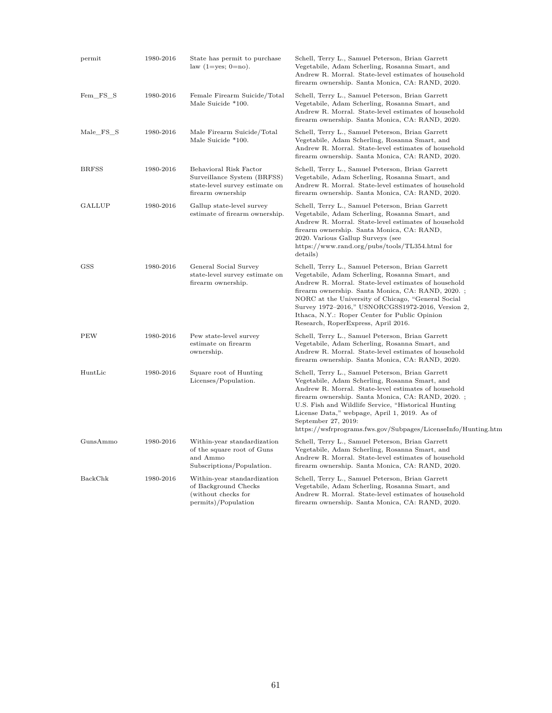| permit        | 1980-2016 | State has permit to purchase<br>law $(1 = yes; 0 = no)$ .                                                    | Schell, Terry L., Samuel Peterson, Brian Garrett<br>Vegetabile, Adam Scherling, Rosanna Smart, and<br>Andrew R. Morral. State-level estimates of household<br>firearm ownership. Santa Monica, CA: RAND, 2020.                                                                                                                                                                                                     |
|---------------|-----------|--------------------------------------------------------------------------------------------------------------|--------------------------------------------------------------------------------------------------------------------------------------------------------------------------------------------------------------------------------------------------------------------------------------------------------------------------------------------------------------------------------------------------------------------|
| Fem FS S      | 1980-2016 | Female Firearm Suicide/Total<br>Male Suicide *100.                                                           | Schell, Terry L., Samuel Peterson, Brian Garrett<br>Vegetabile, Adam Scherling, Rosanna Smart, and<br>Andrew R. Morral. State-level estimates of household<br>firearm ownership. Santa Monica, CA: RAND, 2020.                                                                                                                                                                                                     |
| Male_FS_S     | 1980-2016 | Male Firearm Suicide/Total<br>Male Suicide *100.                                                             | Schell, Terry L., Samuel Peterson, Brian Garrett<br>Vegetabile, Adam Scherling, Rosanna Smart, and<br>Andrew R. Morral. State-level estimates of household<br>firearm ownership. Santa Monica, CA: RAND, 2020.                                                                                                                                                                                                     |
| <b>BRFSS</b>  | 1980-2016 | Behavioral Risk Factor<br>Surveillance System (BRFSS)<br>state-level survey estimate on<br>firearm ownership | Schell, Terry L., Samuel Peterson, Brian Garrett<br>Vegetabile, Adam Scherling, Rosanna Smart, and<br>Andrew R. Morral. State-level estimates of household<br>firearm ownership. Santa Monica, CA: RAND, 2020.                                                                                                                                                                                                     |
| <b>GALLUP</b> | 1980-2016 | Gallup state-level survey<br>estimate of firearm ownership.                                                  | Schell, Terry L., Samuel Peterson, Brian Garrett<br>Vegetabile, Adam Scherling, Rosanna Smart, and<br>Andrew R. Morral. State-level estimates of household<br>firearm ownership. Santa Monica, CA: RAND,<br>2020. Various Gallup Surveys (see<br>https://www.rand.org/pubs/tools/TL354.html for<br>details)                                                                                                        |
| $_{\rm GSS}$  | 1980-2016 | General Social Survey<br>state-level survey estimate on<br>firearm ownership.                                | Schell, Terry L., Samuel Peterson, Brian Garrett<br>Vegetabile, Adam Scherling, Rosanna Smart, and<br>Andrew R. Morral. State-level estimates of household<br>firearm ownership. Santa Monica, CA: RAND, 2020.;<br>NORC at the University of Chicago, "General Social<br>Survey 1972-2016," USNORCGSS1972-2016, Version 2,<br>Ithaca, N.Y.: Roper Center for Public Opinion<br>Research, RoperExpress, April 2016. |
| PEW           | 1980-2016 | Pew state-level survey<br>estimate on firearm<br>ownership.                                                  | Schell, Terry L., Samuel Peterson, Brian Garrett<br>Vegetabile, Adam Scherling, Rosanna Smart, and<br>Andrew R. Morral. State-level estimates of household<br>firearm ownership. Santa Monica, CA: RAND, 2020.                                                                                                                                                                                                     |
| HuntLic       | 1980-2016 | Square root of Hunting<br>Licenses/Population.                                                               | Schell, Terry L., Samuel Peterson, Brian Garrett<br>Vegetabile, Adam Scherling, Rosanna Smart, and<br>Andrew R. Morral. State-level estimates of household<br>firearm ownership. Santa Monica, CA: RAND, 2020.;<br>U.S. Fish and Wildlife Service, "Historical Hunting"<br>License Data," webpage, April 1, 2019. As of<br>September 27, 2019:<br>https://wsfrprograms.fws.gov/Subpages/LicenseInfo/Hunting.htm    |
| GunsAmmo      | 1980-2016 | Within-year standardization<br>of the square root of Guns<br>and Ammo<br>Subscriptions/Population.           | Schell, Terry L., Samuel Peterson, Brian Garrett<br>Vegetabile, Adam Scherling, Rosanna Smart, and<br>Andrew R. Morral. State-level estimates of household<br>firearm ownership. Santa Monica, CA: RAND, 2020.                                                                                                                                                                                                     |
| BackChk       | 1980-2016 | Within-year standardization<br>of Background Checks<br>(without checks for<br>permits)/Population            | Schell, Terry L., Samuel Peterson, Brian Garrett<br>Vegetabile, Adam Scherling, Rosanna Smart, and<br>Andrew R. Morral. State-level estimates of household<br>firearm ownership. Santa Monica, CA: RAND, 2020.                                                                                                                                                                                                     |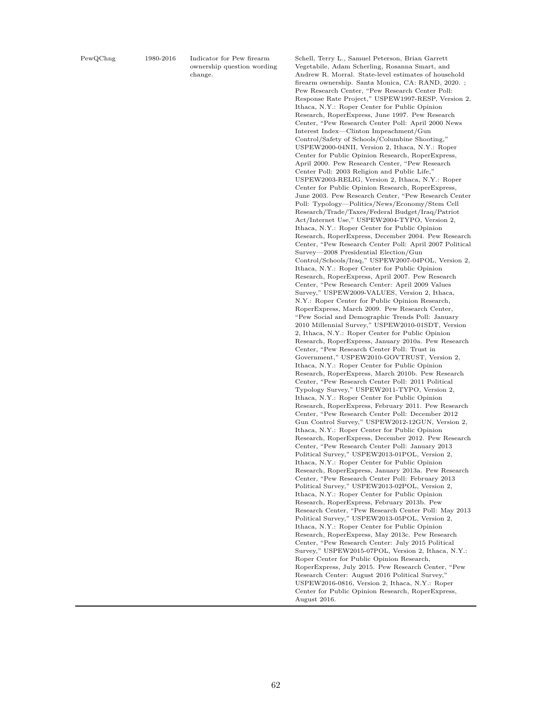PewQChng 1980-2016 Indicator for Pew firearm ownership question wording change.

Schell, Terry L., Samuel Peterson, Brian Garrett Vegetabile, Adam Scherling, Rosanna Smart, and Andrew R. Morral. State-level estimates of household firearm ownership. Santa Monica, CA: RAND, 2020. ; Pew Research Center, "Pew Research Center Poll: Response Rate Project," USPEW1997-RESP, Version 2, Ithaca, N.Y.: Roper Center for Public Opinion Research, RoperExpress, June 1997. Pew Research Center, "Pew Research Center Poll: April 2000 News Interest Index—Clinton Impeachment/Gun Control/Safety of Schools/Columbine Shooting," USPEW2000-04NII, Version 2, Ithaca, N.Y.: Roper Center for Public Opinion Research, RoperExpress, April 2000. Pew Research Center, "Pew Research Center Poll: 2003 Religion and Public Life," USPEW2003-RELIG, Version 2, Ithaca, N.Y.: Roper Center for Public Opinion Research, RoperExpress, June 2003. Pew Research Center, "Pew Research Center Poll: Typology—Politics/News/Economy/Stem Cell Research/Trade/Taxes/Federal Budget/Iraq/Patriot Act/Internet Use," USPEW2004-TYPO, Version 2, Ithaca, N.Y.: Roper Center for Public Opinion Research, RoperExpress, December 2004. Pew Research Center, "Pew Research Center Poll: April 2007 Political Survey—2008 Presidential Election/Gun Control/Schools/Iraq," USPEW2007-04POL, Version 2, Ithaca, N.Y.: Roper Center for Public Opinion Research, RoperExpress, April 2007. Pew Research Center, "Pew Research Center: April 2009 Values Survey," USPEW2009-VALUES, Version 2, Ithaca, N.Y.: Roper Center for Public Opinion Research, RoperExpress, March 2009. Pew Research Center, "Pew Social and Demographic Trends Poll: January 2010 Millennial Survey," USPEW2010-01SDT, Version 2, Ithaca, N.Y.: Roper Center for Public Opinion Research, RoperExpress, January 2010a. Pew Research Center, "Pew Research Center Poll: Trust in Government," USPEW2010-GOVTRUST, Version 2, Ithaca, N.Y.: Roper Center for Public Opinion Research, RoperExpress, March 2010b. Pew Research Center, "Pew Research Center Poll: 2011 Political Typology Survey," USPEW2011-TYPO, Version 2, Ithaca, N.Y.: Roper Center for Public Opinion Research, RoperExpress, February 2011. Pew Research Center, "Pew Research Center Poll: December 2012 Gun Control Survey," USPEW2012-12GUN, Version 2, Ithaca, N.Y.: Roper Center for Public Opinion Research, RoperExpress, December 2012. Pew Research Center, "Pew Research Center Poll: January 2013 Political Survey," USPEW2013-01POL, Version 2, Ithaca, N.Y.: Roper Center for Public Opinion Research, RoperExpress, January 2013a. Pew Research Center, "Pew Research Center Poll: February 2013 Political Survey," USPEW2013-02POL, Version 2, Ithaca, N.Y.: Roper Center for Public Opinion Research, RoperExpress, February 2013b. Pew Research Center, "Pew Research Center Poll: May 2013 Political Survey," USPEW2013-05POL, Version 2, Ithaca, N.Y.: Roper Center for Public Opinion Research, RoperExpress, May 2013c. Pew Research Center, "Pew Research Center: July 2015 Political Survey," USPEW2015-07POL, Version 2, Ithaca, N.Y.: Roper Center for Public Opinion Research, RoperExpress, July 2015. Pew Research Center, "Pew Research Center: August 2016 Political Survey," USPEW2016-0816, Version 2, Ithaca, N.Y.: Roper Center for Public Opinion Research, RoperExpress, August 2016.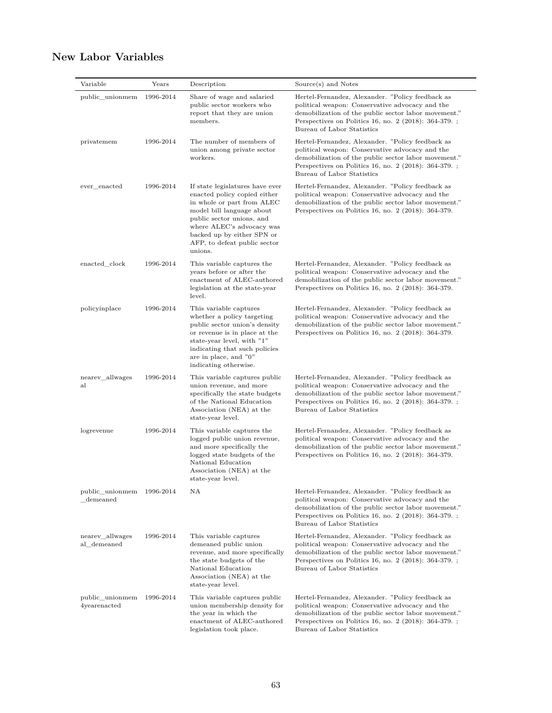# **New Labor Variables**

| Variable                                  | Years     | Description                                                                                                                                                                                                                                                   | Source(s) and Notes                                                                                                                                                                                                                                 |
|-------------------------------------------|-----------|---------------------------------------------------------------------------------------------------------------------------------------------------------------------------------------------------------------------------------------------------------------|-----------------------------------------------------------------------------------------------------------------------------------------------------------------------------------------------------------------------------------------------------|
| public unionmem                           | 1996-2014 | Share of wage and salaried<br>public sector workers who<br>report that they are union<br>members.                                                                                                                                                             | Hertel-Fernandez, Alexander. "Policy feedback as<br>political weapon: Conservative advocacy and the<br>demobilization of the public sector labor movement."<br>Perspectives on Politics 16, no. $2$ (2018): 364-379.<br>Bureau of Labor Statistics  |
| privatemem                                | 1996-2014 | The number of members of<br>union among private sector<br>workers.                                                                                                                                                                                            | Hertel-Fernandez, Alexander. "Policy feedback as<br>political weapon: Conservative advocacy and the<br>demobilization of the public sector labor movement."<br>Perspectives on Politics 16, no. $2$ (2018): 364-379.<br>Bureau of Labor Statistics  |
| ever enacted                              | 1996-2014 | If state legislatures have ever<br>enacted policy copied either<br>in whole or part from ALEC<br>model bill language about<br>public sector unions, and<br>where ALEC's advocacy was<br>backed up by either SPN or<br>AFP, to defeat public sector<br>unions. | Hertel-Fernandez, Alexander. "Policy feedback as<br>political weapon: Conservative advocacy and the<br>demobilization of the public sector labor movement."<br>Perspectives on Politics 16, no. $2$ (2018): 364-379.                                |
| enacted clock                             | 1996-2014 | This variable captures the<br>years before or after the<br>enactment of ALEC-authored<br>legislation at the state-year<br>level.                                                                                                                              | Hertel-Fernandez, Alexander. "Policy feedback as<br>political weapon: Conservative advocacy and the<br>demobilization of the public sector labor movement."<br>Perspectives on Politics 16, no. $2$ (2018): 364-379.                                |
| policyinplace                             | 1996-2014 | This variable captures<br>whether a policy targeting<br>public sector union's density<br>or revenue is in place at the<br>state-year level, with "1"<br>indicating that such policies<br>are in place, and "0"<br>indicating otherwise.                       | Hertel-Fernandez, Alexander. "Policy feedback as<br>political weapon: Conservative advocacy and the<br>demobilization of the public sector labor movement."<br>Perspectives on Politics 16, no. $2$ (2018): 364-379.                                |
| nearev allwages<br>al                     | 1996-2014 | This variable captures public<br>union revenue, and more<br>specifically the state budgets<br>of the National Education<br>Association (NEA) at the<br>state-year level.                                                                                      | Hertel-Fernandez, Alexander. "Policy feedback as<br>political weapon: Conservative advocacy and the<br>demobilization of the public sector labor movement."<br>Perspectives on Politics 16, no. 2 (2018): 364-379.<br>Bureau of Labor Statistics    |
| logrevenue                                | 1996-2014 | This variable captures the<br>logged public union revenue,<br>and more specifically the<br>logged state budgets of the<br>National Education<br>Association (NEA) at the<br>state-year level.                                                                 | Hertel-Fernandez, Alexander. "Policy feedback as<br>political weapon: Conservative advocacy and the<br>demobilization of the public sector labor movement."<br>Perspectives on Politics 16, no. $2$ (2018): 364-379.                                |
| public_unionmem 1996-2014<br>demeaned     |           | ΝA                                                                                                                                                                                                                                                            | Hertel-Fernandez, Alexander. "Policy feedback as<br>political weapon: Conservative advocacy and the<br>demobilization of the public sector labor movement."<br>Perspectives on Politics 16, no. $2$ (2018): 364-379.<br>Bureau of Labor Statistics  |
| nearev allwages<br>al demeaned            | 1996-2014 | This variable captures<br>demeaned public union<br>revenue, and more specifically<br>the state budgets of the<br>National Education<br>Association (NEA) at the<br>state-year level.                                                                          | Hertel-Fernandez, Alexander. "Policy feedback as<br>political weapon: Conservative advocacy and the<br>demobilization of the public sector labor movement."<br>Perspectives on Politics 16, no. 2 (2018): 364-379. ;<br>Bureau of Labor Statistics  |
| public unionmem 1996-2014<br>4yearenacted |           | This variable captures public<br>union membership density for<br>the year in which the<br>enactment of ALEC-authored<br>legislation took place.                                                                                                               | Hertel-Fernandez, Alexander. "Policy feedback as<br>political weapon: Conservative advocacy and the<br>demobilization of the public sector labor movement."<br>Perspectives on Politics 16, no. $2$ (2018): 364-379.;<br>Bureau of Labor Statistics |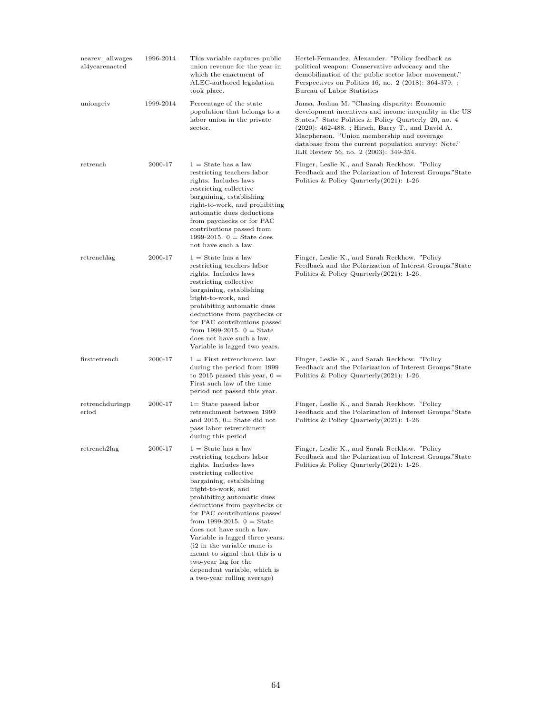| nearev_allwages<br>al4yearenacted | 1996-2014 | This variable captures public<br>union revenue for the year in<br>which the enactment of<br>ALEC-authored legislation<br>took place.                                                                                                                                                                                                                                                                                                                                                                           | Hertel-Fernandez, Alexander. "Policy feedback as<br>political weapon: Conservative advocacy and the<br>demobilization of the public sector labor movement."<br>Perspectives on Politics 16, no. 2 (2018): 364-379.<br>Bureau of Labor Statistics                                                                                                                   |
|-----------------------------------|-----------|----------------------------------------------------------------------------------------------------------------------------------------------------------------------------------------------------------------------------------------------------------------------------------------------------------------------------------------------------------------------------------------------------------------------------------------------------------------------------------------------------------------|--------------------------------------------------------------------------------------------------------------------------------------------------------------------------------------------------------------------------------------------------------------------------------------------------------------------------------------------------------------------|
| unionpriv                         | 1999-2014 | Percentage of the state<br>population that belongs to a<br>labor union in the private<br>sector.                                                                                                                                                                                                                                                                                                                                                                                                               | Jansa, Joshua M. "Chasing disparity: Economic<br>development incentives and income inequality in the US<br>States." State Politics & Policy Quarterly 20, no. 4<br>(2020): 462-488. ; Hirsch, Barry T., and David A.<br>Macpherson. "Union membership and coverage<br>database from the current population survey: Note."<br>ILR Review 56, no. 2 (2003): 349-354. |
| retrench                          | 2000-17   | $1 =$ State has a law<br>restricting teachers labor<br>rights. Includes laws<br>restricting collective<br>bargaining, establishing<br>right-to-work, and prohibiting<br>automatic dues deductions<br>from paychecks or for PAC<br>contributions passed from<br>1999-2015. $0 =$ State does<br>not have such a law.                                                                                                                                                                                             | Finger, Leslie K., and Sarah Reckhow. "Policy<br>Feedback and the Polarization of Interest Groups."State<br>Politics & Policy Quarterly $(2021)$ : 1-26.                                                                                                                                                                                                           |
| retrenchlag                       | 2000-17   | $1 =$ State has a law<br>restricting teachers labor<br>rights. Includes laws<br>restricting collective<br>bargaining, establishing<br>iright-to-work, and<br>prohibiting automatic dues<br>deductions from paychecks or<br>for PAC contributions passed<br>from 1999-2015. $0 =$ State<br>does not have such a law.<br>Variable is lagged two years.                                                                                                                                                           | Finger, Leslie K., and Sarah Reckhow. "Policy<br>Feedback and the Polarization of Interest Groups."State<br>Politics & Policy Quarterly $(2021)$ : 1-26.                                                                                                                                                                                                           |
| firstretrench                     | 2000-17   | $1 =$ First retrenchment law<br>during the period from 1999<br>to 2015 passed this year, $0 =$<br>First such law of the time<br>period not passed this year.                                                                                                                                                                                                                                                                                                                                                   | Finger, Leslie K., and Sarah Reckhow. "Policy<br>Feedback and the Polarization of Interest Groups."State<br>Politics & Policy Quarterly $(2021)$ : 1-26.                                                                                                                                                                                                           |
| retrenchduringp<br>eriod          | 2000-17   | $1 =$ State passed labor<br>retrenchment between 1999<br>and $2015$ , $0=$ State did not<br>pass labor retrenchment<br>during this period                                                                                                                                                                                                                                                                                                                                                                      | Finger, Leslie K., and Sarah Reckhow. "Policy<br>Feedback and the Polarization of Interest Groups."State<br>Politics & Policy Quarterly $(2021)$ : 1-26.                                                                                                                                                                                                           |
| retrench <sub>2</sub> lag         | 2000-17   | $1 =$ State has a law<br>restricting teachers labor<br>rights. Includes laws<br>restricting collective<br>bargaining, establishing<br>iright-to-work, and<br>prohibiting automatic dues<br>deductions from paychecks or<br>for PAC contributions passed<br>from 1999-2015. $0 =$ State<br>does not have such a law.<br>Variable is lagged three years.<br>(i2 in the variable name is<br>meant to signal that this is a<br>two-year lag for the<br>dependent variable, which is<br>a two-year rolling average) | Finger, Leslie K., and Sarah Reckhow. "Policy<br>Feedback and the Polarization of Interest Groups."State<br>Politics & Policy Quarterly $(2021)$ : 1-26.                                                                                                                                                                                                           |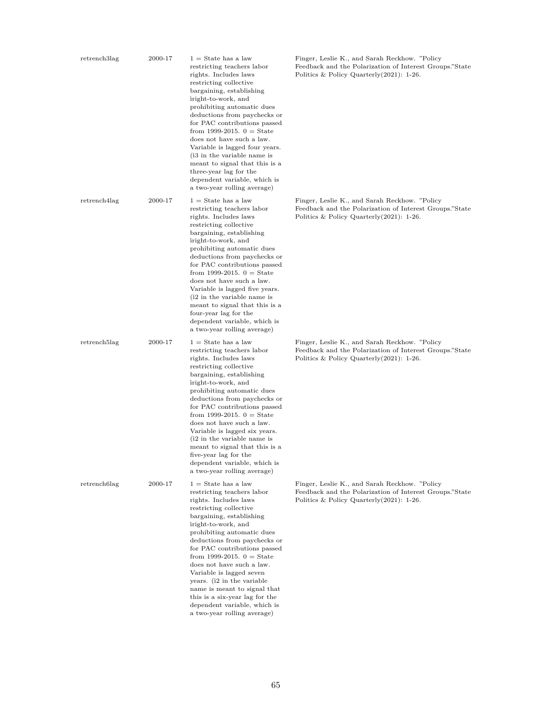| retrench3lag              | 2000-17 | $1 =$ State has a law<br>restricting teachers labor<br>rights. Includes laws<br>restricting collective<br>bargaining, establishing<br>iright-to-work, and<br>prohibiting automatic dues<br>deductions from paychecks or<br>for PAC contributions passed<br>from 1999-2015. $0 =$ State<br>does not have such a law.<br>Variable is lagged four years.<br>(i3 in the variable name is<br>meant to signal that this is a<br>three-year lag for the<br>dependent variable, which is<br>a two-year rolling average) | Finger, Leslie K., and Sarah Reckhow. "Policy<br>Feedback and the Polarization of Interest Groups."State<br>Politics & Policy Quarterly $(2021)$ : 1-26. |
|---------------------------|---------|-----------------------------------------------------------------------------------------------------------------------------------------------------------------------------------------------------------------------------------------------------------------------------------------------------------------------------------------------------------------------------------------------------------------------------------------------------------------------------------------------------------------|----------------------------------------------------------------------------------------------------------------------------------------------------------|
| retrench4lag              | 2000-17 | $1 =$ State has a law<br>restricting teachers labor<br>rights. Includes laws<br>restricting collective<br>bargaining, establishing<br>iright-to-work, and<br>prohibiting automatic dues<br>deductions from paychecks or<br>for PAC contributions passed<br>from 1999-2015. $0 =$ State<br>does not have such a law.<br>Variable is lagged five years.<br>(i2 in the variable name is<br>meant to signal that this is a<br>four-year lag for the<br>dependent variable, which is<br>a two-year rolling average)  | Finger, Leslie K., and Sarah Reckhow. "Policy<br>Feedback and the Polarization of Interest Groups."State<br>Politics & Policy Quarterly $(2021)$ : 1-26. |
| retrench <sub>5</sub> lag | 2000-17 | $1 =$ State has a law<br>restricting teachers labor<br>rights. Includes laws<br>restricting collective<br>bargaining, establishing<br>iright-to-work, and<br>prohibiting automatic dues<br>deductions from paychecks or<br>for PAC contributions passed<br>from 1999-2015. $0 =$ State<br>does not have such a law.<br>Variable is lagged six years.<br>(i2 in the variable name is<br>meant to signal that this is a<br>five-year lag for the<br>dependent variable, which is<br>a two-year rolling average)   | Finger, Leslie K., and Sarah Reckhow. "Policy<br>Feedback and the Polarization of Interest Groups."State<br>Politics & Policy Quarterly $(2021)$ : 1-26. |
| retrench6lag              | 2000-17 | $1 =$ State has a law<br>restricting teachers labor<br>rights. Includes laws<br>restricting collective<br>bargaining, establishing<br>iright-to-work, and<br>prohibiting automatic dues<br>deductions from paychecks or<br>for PAC contributions passed<br>from 1999-2015. $0 =$ State<br>does not have such a law.<br>Variable is lagged seven<br>years. (i2 in the variable<br>name is meant to signal that<br>this is a six-year lag for the<br>dependent variable, which is<br>a two-year rolling average)  | Finger, Leslie K., and Sarah Reckhow. "Policy<br>Feedback and the Polarization of Interest Groups."State<br>Politics & Policy Quarterly $(2021)$ : 1-26. |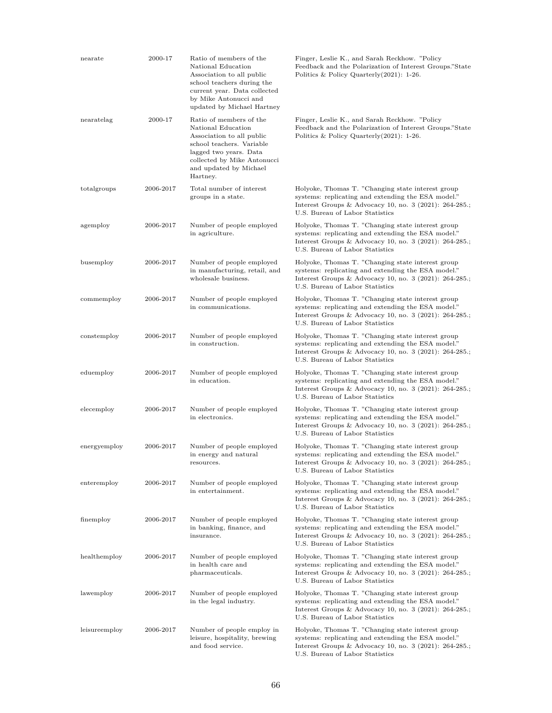| nearate       | 2000-17   | Ratio of members of the<br>National Education<br>Association to all public<br>school teachers during the<br>current year. Data collected<br>by Mike Antonucci and<br>updated by Michael Hartney        | Finger, Leslie K., and Sarah Reckhow. "Policy<br>Feedback and the Polarization of Interest Groups."State<br>Politics & Policy Quarterly $(2021)$ : 1-26.                                               |
|---------------|-----------|--------------------------------------------------------------------------------------------------------------------------------------------------------------------------------------------------------|--------------------------------------------------------------------------------------------------------------------------------------------------------------------------------------------------------|
| nearatelag    | 2000-17   | Ratio of members of the<br>National Education<br>Association to all public<br>school teachers. Variable<br>lagged two years. Data<br>collected by Mike Antonucci<br>and updated by Michael<br>Hartney. | Finger, Leslie K., and Sarah Reckhow. "Policy<br>Feedback and the Polarization of Interest Groups."State<br>Politics & Policy Quarterly $(2021)$ : 1-26.                                               |
| totalgroups   | 2006-2017 | Total number of interest<br>groups in a state.                                                                                                                                                         | Holyoke, Thomas T. "Changing state interest group<br>systems: replicating and extending the ESA model."<br>Interest Groups & Advocacy 10, no. 3 (2021): 264-285.;<br>U.S. Bureau of Labor Statistics   |
| agemploy      | 2006-2017 | Number of people employed<br>in agriculture.                                                                                                                                                           | Holyoke, Thomas T. "Changing state interest group<br>systems: replicating and extending the ESA model."<br>Interest Groups & Advocacy 10, no. 3 (2021): 264-285.;<br>U.S. Bureau of Labor Statistics   |
| busemploy     | 2006-2017 | Number of people employed<br>in manufacturing, retail, and<br>wholesale business.                                                                                                                      | Holyoke, Thomas T. "Changing state interest group<br>systems: replicating and extending the ESA model."<br>Interest Groups & Advocacy 10, no. 3 (2021): 264-285.;<br>U.S. Bureau of Labor Statistics   |
| commemploy    | 2006-2017 | Number of people employed<br>in communications.                                                                                                                                                        | Holyoke, Thomas T. "Changing state interest group<br>systems: replicating and extending the ESA model."<br>Interest Groups & Advocacy 10, no. 3 (2021): 264-285.;<br>U.S. Bureau of Labor Statistics   |
| constemploy   | 2006-2017 | Number of people employed<br>in construction.                                                                                                                                                          | Holyoke, Thomas T. "Changing state interest group<br>systems: replicating and extending the ESA model."<br>Interest Groups & Advocacy 10, no. 3 (2021): 264-285.;<br>U.S. Bureau of Labor Statistics   |
| eduemploy     | 2006-2017 | Number of people employed<br>in education.                                                                                                                                                             | Holyoke, Thomas T. "Changing state interest group<br>systems: replicating and extending the ESA model."<br>Interest Groups & Advocacy 10, no. 3 (2021): 264-285.;<br>U.S. Bureau of Labor Statistics   |
| elecemploy    | 2006-2017 | Number of people employed<br>in electronics.                                                                                                                                                           | Holyoke, Thomas T. "Changing state interest group<br>systems: replicating and extending the ESA model."<br>Interest Groups & Advocacy 10, no. 3 (2021): 264-285.;<br>U.S. Bureau of Labor Statistics   |
| energyemploy  | 2006-2017 | Number of people employed<br>in energy and natural<br>resources.                                                                                                                                       | Holyoke, Thomas T. "Changing state interest group<br>systems: replicating and extending the ESA model."<br>Interest Groups & Advocacy 10, no. 3 (2021): 264-285.;<br>U.S. Bureau of Labor Statistics   |
| enteremploy   | 2006-2017 | Number of people employed<br>in entertainment.                                                                                                                                                         | Holyoke, Thomas T. "Changing state interest group<br>systems: replicating and extending the ESA model."<br>Interest Groups & Advocacy 10, no. 3 (2021): 264-285.;<br>U.S. Bureau of Labor Statistics   |
| finemploy     | 2006-2017 | Number of people employed<br>in banking, finance, and<br>insurance.                                                                                                                                    | Holyoke, Thomas T. "Changing state interest group<br>systems: replicating and extending the ESA model."<br>Interest Groups & Advocacy 10, no. $3$ (2021): 264-285.;<br>U.S. Bureau of Labor Statistics |
| healthemploy  | 2006-2017 | Number of people employed<br>in health care and<br>pharmaceuticals.                                                                                                                                    | Holyoke, Thomas T. "Changing state interest group<br>systems: replicating and extending the ESA model."<br>Interest Groups & Advocacy 10, no. $3$ (2021): 264-285.;<br>U.S. Bureau of Labor Statistics |
| lawemploy     | 2006-2017 | Number of people employed<br>in the legal industry.                                                                                                                                                    | Holyoke, Thomas T. "Changing state interest group<br>systems: replicating and extending the ESA model."<br>Interest Groups & Advocacy 10, no. 3 (2021): 264-285.;<br>U.S. Bureau of Labor Statistics   |
| leisureemploy | 2006-2017 | Number of people employ in<br>leisure, hospitality, brewing<br>and food service.                                                                                                                       | Holyoke, Thomas T. "Changing state interest group<br>systems: replicating and extending the ESA model."<br>Interest Groups & Advocacy 10, no. 3 (2021): 264-285.;<br>U.S. Bureau of Labor Statistics   |